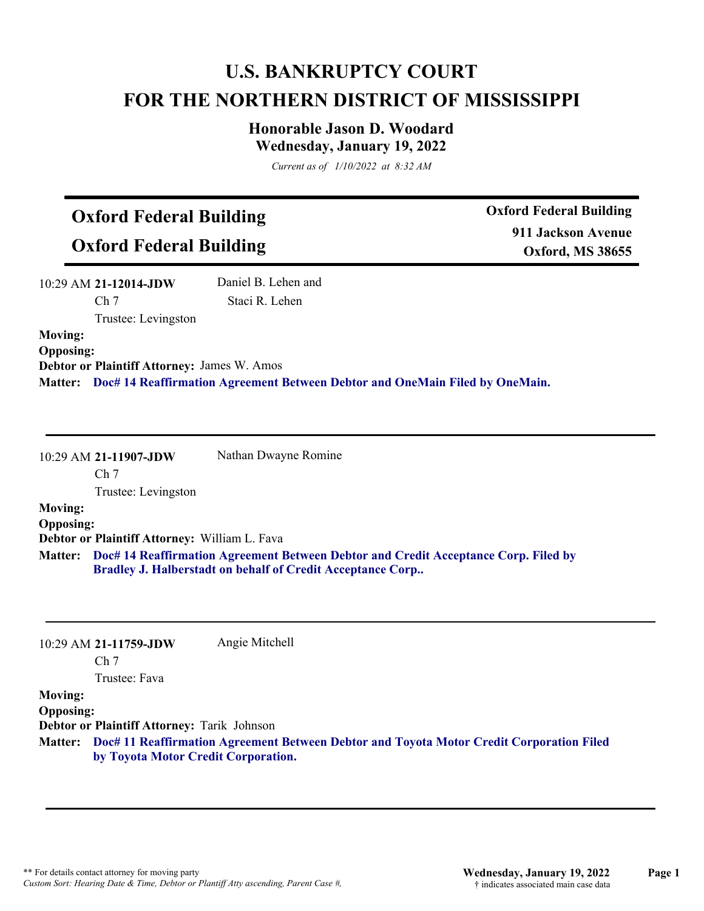# **U.S. BANKRUPTCY COURT FOR THE NORTHERN DISTRICT OF MISSISSIPPI**

# **Honorable Jason D. Woodard Wednesday, January 19, 2022**

*Current as of 1/10/2022 at 8:32 AM*

# **Oxford Federal Building**

**Oxford Federal Building**

**Oxford Federal Building 911 Jackson Avenue Oxford, MS 38655**

| $10:29$ AM 21-12014-JDW | Daniel B. Lehen and |
|-------------------------|---------------------|
| Ch <sub>7</sub>         | Staci R. Lehen      |
| Trustee: Levingston     |                     |
| <b>Moving:</b>          |                     |
| <b>Opposing:</b>        |                     |

**Debtor or Plaintiff Attorney:** James W. Amos **Matter: Doc# 14 Reaffirmation Agreement Between Debtor and OneMain Filed by OneMain.**

10:29 AM **21-11907-JDW**  Ch 7 Trustee: Levingston Nathan Dwayne Romine **Moving:**

# **Opposing: Debtor or Plaintiff Attorney:** William L. Fava

**Doc# 14 Reaffirmation Agreement Between Debtor and Credit Acceptance Corp. Filed by Matter: Bradley J. Halberstadt on behalf of Credit Acceptance Corp..**

|                  | 10:29 AM 21-11759-JDW                              | Angie Mitchell                                                                                   |
|------------------|----------------------------------------------------|--------------------------------------------------------------------------------------------------|
|                  | Ch <sub>7</sub>                                    |                                                                                                  |
|                  | Trustee: Fava                                      |                                                                                                  |
| <b>Moving:</b>   |                                                    |                                                                                                  |
| <b>Opposing:</b> |                                                    |                                                                                                  |
|                  | <b>Debtor or Plaintiff Attorney: Tarik Johnson</b> |                                                                                                  |
|                  | by Toyota Motor Credit Corporation.                | Matter: Doc# 11 Reaffirmation Agreement Between Debtor and Toyota Motor Credit Corporation Filed |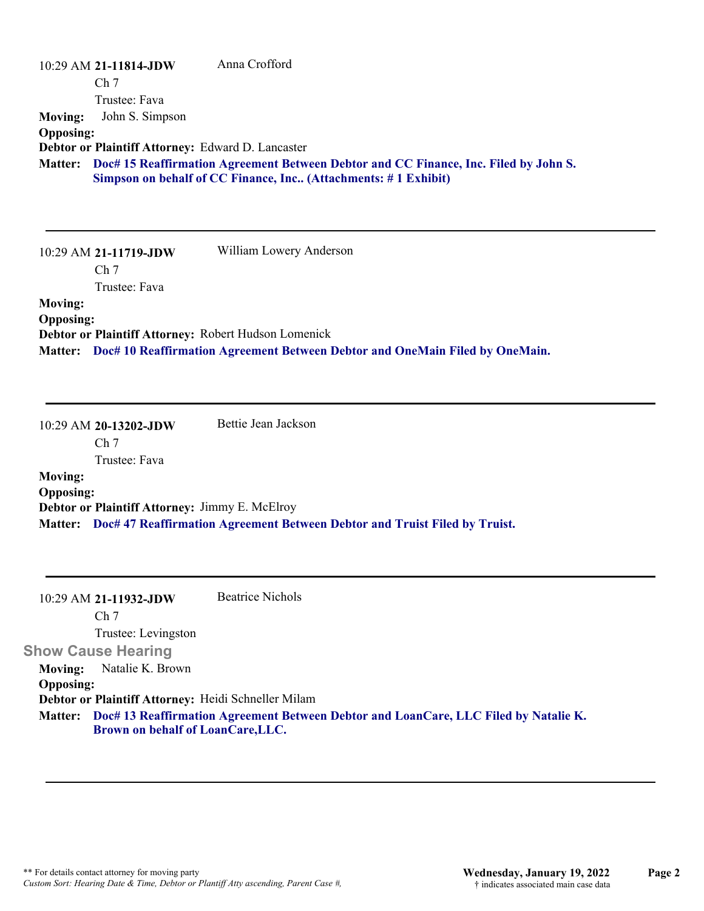|                  | $10:29$ AM 21-11814-JDW                           | Anna Crofford                                                                                                                                                  |
|------------------|---------------------------------------------------|----------------------------------------------------------------------------------------------------------------------------------------------------------------|
|                  | Ch <sub>7</sub>                                   |                                                                                                                                                                |
|                  | Trustee: Fava                                     |                                                                                                                                                                |
| <b>Moving:</b>   | John S. Simpson                                   |                                                                                                                                                                |
| <b>Opposing:</b> |                                                   |                                                                                                                                                                |
|                  | Debtor or Plaintiff Attorney: Edward D. Lancaster |                                                                                                                                                                |
|                  |                                                   | Matter: Doc# 15 Reaffirmation Agreement Between Debtor and CC Finance, Inc. Filed by John S.<br>Simpson on behalf of CC Finance, Inc (Attachments: #1 Exhibit) |
|                  | 10:29 AM 21-11719-JDW                             | William Lowery Anderson                                                                                                                                        |
|                  | Ch <sub>7</sub>                                   |                                                                                                                                                                |

Trustee: Fava

# **Moving:**

**Opposing:**

**Debtor or Plaintiff Attorney:** Robert Hudson Lomenick

**Matter: Doc# 10 Reaffirmation Agreement Between Debtor and OneMain Filed by OneMain.**

10:29 AM **20-13202-JDW**  Ch 7 Trustee: Fava Bettie Jean Jackson **Moving: Opposing: Debtor or Plaintiff Attorney:** Jimmy E. McElroy **Matter: Doc# 47 Reaffirmation Agreement Between Debtor and Truist Filed by Truist.**

| $10:29$ AM 21-11932-JDW                             | <b>Beatrice Nichols</b>                                                                      |
|-----------------------------------------------------|----------------------------------------------------------------------------------------------|
| Ch <sub>7</sub>                                     |                                                                                              |
| Trustee: Levingston                                 |                                                                                              |
| <b>Show Cause Hearing</b>                           |                                                                                              |
| Natalie K. Brown<br>Moving:                         |                                                                                              |
| <b>Opposing:</b>                                    |                                                                                              |
| Debtor or Plaintiff Attorney: Heidi Schneller Milam |                                                                                              |
|                                                     | Matter: Doc# 13 Reaffirmation Agreement Between Debtor and LoanCare, LLC Filed by Natalie K. |
| Brown on behalf of LoanCare, LLC.                   |                                                                                              |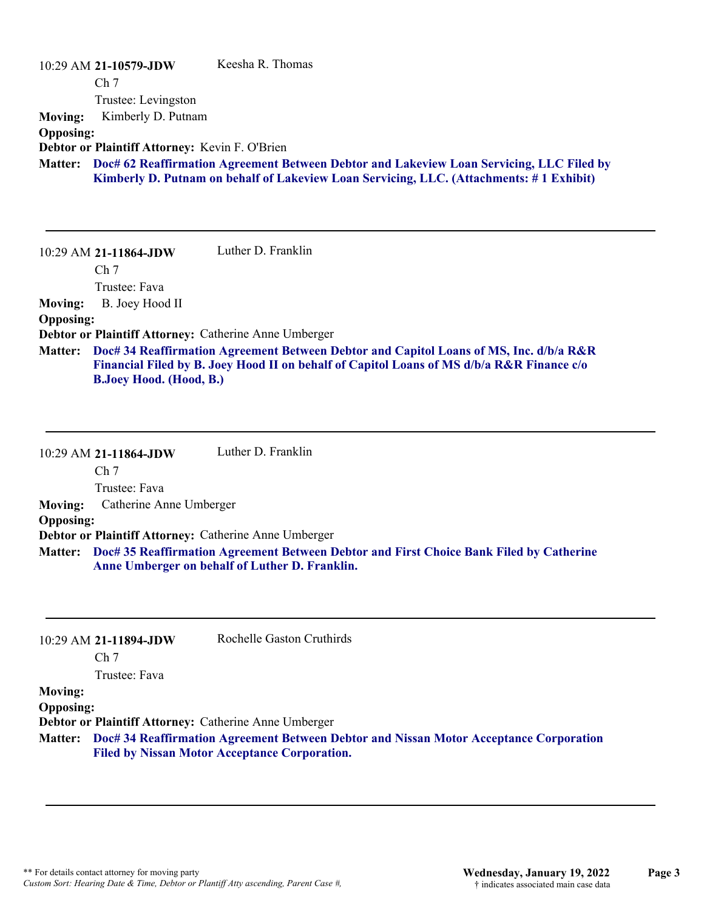| 10:29 AM 21-10579-JDW                                 | Keesha R. Thomas                                                                                 |
|-------------------------------------------------------|--------------------------------------------------------------------------------------------------|
| Ch <sub>7</sub>                                       |                                                                                                  |
| Trustee: Levingston                                   |                                                                                                  |
| Kimberly D. Putnam<br><b>Moving:</b>                  |                                                                                                  |
| <b>Opposing:</b>                                      |                                                                                                  |
| Debtor or Plaintiff Attorney: Kevin F. O'Brien        |                                                                                                  |
|                                                       | Matter: Doc# 62 Reaffirmation Agreement Between Debtor and Lakeview Loan Servicing, LLC Filed by |
|                                                       | Kimberly D. Putnam on behalf of Lakeview Loan Servicing, LLC. (Attachments: #1 Exhibit)          |
|                                                       |                                                                                                  |
|                                                       |                                                                                                  |
|                                                       |                                                                                                  |
| 10:29 AM 21-11864-JDW                                 | Luther D. Franklin                                                                               |
| Ch <sub>7</sub>                                       |                                                                                                  |
| Trustee: Fava                                         |                                                                                                  |
| B. Joey Hood II<br><b>Moving:</b>                     |                                                                                                  |
| <b>Opposing:</b>                                      |                                                                                                  |
| Debtor or Plaintiff Attorney: Catherine Anne Umberger |                                                                                                  |
| <b>Matter:</b>                                        | Doc# 34 Reaffirmation Agreement Between Debtor and Capitol Loans of MS, Inc. d/b/a R&R           |
|                                                       | Financial Filed by B. Joey Hood II on behalf of Capitol Loans of MS d/b/a R&R Finance c/o        |
| <b>B.Joey Hood.</b> (Hood, B.)                        |                                                                                                  |
|                                                       |                                                                                                  |

|                  | 10:29 AM 21-11864-JDW                                        | Luther D. Franklin                                                                                                                                |
|------------------|--------------------------------------------------------------|---------------------------------------------------------------------------------------------------------------------------------------------------|
|                  | Ch <sub>7</sub>                                              |                                                                                                                                                   |
|                  | Trustee: Fava                                                |                                                                                                                                                   |
|                  | <b>Moving:</b> Catherine Anne Umberger                       |                                                                                                                                                   |
| <b>Opposing:</b> |                                                              |                                                                                                                                                   |
|                  | <b>Debtor or Plaintiff Attorney: Catherine Anne Umberger</b> |                                                                                                                                                   |
|                  |                                                              | Matter: Doc# 35 Reaffirmation Agreement Between Debtor and First Choice Bank Filed by Catherine<br>Anne Umberger on behalf of Luther D. Franklin. |

|                  | 10:29 AM 21-11894-JDW | Rochelle Gaston Cruthirds                                                                                                                              |
|------------------|-----------------------|--------------------------------------------------------------------------------------------------------------------------------------------------------|
|                  | Ch <sub>7</sub>       |                                                                                                                                                        |
|                  | Trustee: Fava         |                                                                                                                                                        |
| <b>Moving:</b>   |                       |                                                                                                                                                        |
| <b>Opposing:</b> |                       |                                                                                                                                                        |
|                  |                       | Debtor or Plaintiff Attorney: Catherine Anne Umberger                                                                                                  |
|                  |                       | Matter: Doc# 34 Reaffirmation Agreement Between Debtor and Nissan Motor Acceptance Corporation<br><b>Filed by Nissan Motor Acceptance Corporation.</b> |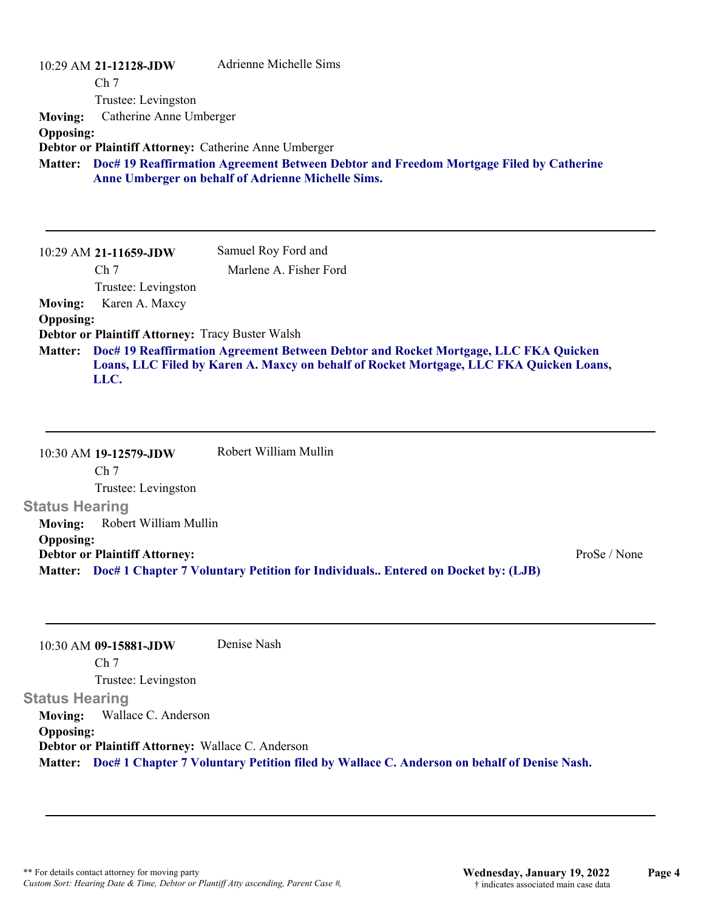|                                                      | 10:29 AM 21-12128-JDW<br>Ch <sub>7</sub><br>Trustee: Levingston | Adrienne Michelle Sims                                                                                                                                                                                       |
|------------------------------------------------------|-----------------------------------------------------------------|--------------------------------------------------------------------------------------------------------------------------------------------------------------------------------------------------------------|
| <b>Moving:</b><br><b>Opposing:</b><br><b>Matter:</b> | Catherine Anne Umberger                                         | Debtor or Plaintiff Attorney: Catherine Anne Umberger<br>Doc# 19 Reaffirmation Agreement Between Debtor and Freedom Mortgage Filed by Catherine<br><b>Anne Umberger on behalf of Adrienne Michelle Sims.</b> |
|                                                      |                                                                 |                                                                                                                                                                                                              |
|                                                      | $10:29$ AM 21-11659-JDW                                         | Samuel Roy Ford and                                                                                                                                                                                          |
|                                                      | Ch <sub>7</sub>                                                 | Marlene A. Fisher Ford                                                                                                                                                                                       |
|                                                      | Trustee: Levingston                                             |                                                                                                                                                                                                              |
| <b>Moving:</b>                                       | Karen A. Maxcy                                                  |                                                                                                                                                                                                              |
| <b>Opposing:</b>                                     |                                                                 |                                                                                                                                                                                                              |
|                                                      | <b>Debtor or Plaintiff Attorney: Tracy Buster Walsh</b>         |                                                                                                                                                                                                              |
| <b>Matter:</b>                                       | LLC.                                                            | Doc# 19 Reaffirmation Agreement Between Debtor and Rocket Mortgage, LLC FKA Quicken<br>Loans, LLC Filed by Karen A. Maxcy on behalf of Rocket Mortgage, LLC FKA Quicken Loans,                               |

10:30 AM **19-12579-JDW**  Ch 7 Trustee: Levingston **Status Hearing**  Robert William Mullin **Moving:** Robert William Mullin **Opposing: Debtor or Plaintiff Attorney:** ProSe / None **Matter: Doc# 1 Chapter 7 Voluntary Petition for Individuals.. Entered on Docket by: (LJB)**

10:30 AM **09-15881-JDW**  Ch 7 Trustee: Levingston **Status Hearing**  Denise Nash **Moving:** Wallace C. Anderson **Opposing: Debtor or Plaintiff Attorney:** Wallace C. Anderson **Matter: Doc# 1 Chapter 7 Voluntary Petition filed by Wallace C. Anderson on behalf of Denise Nash.**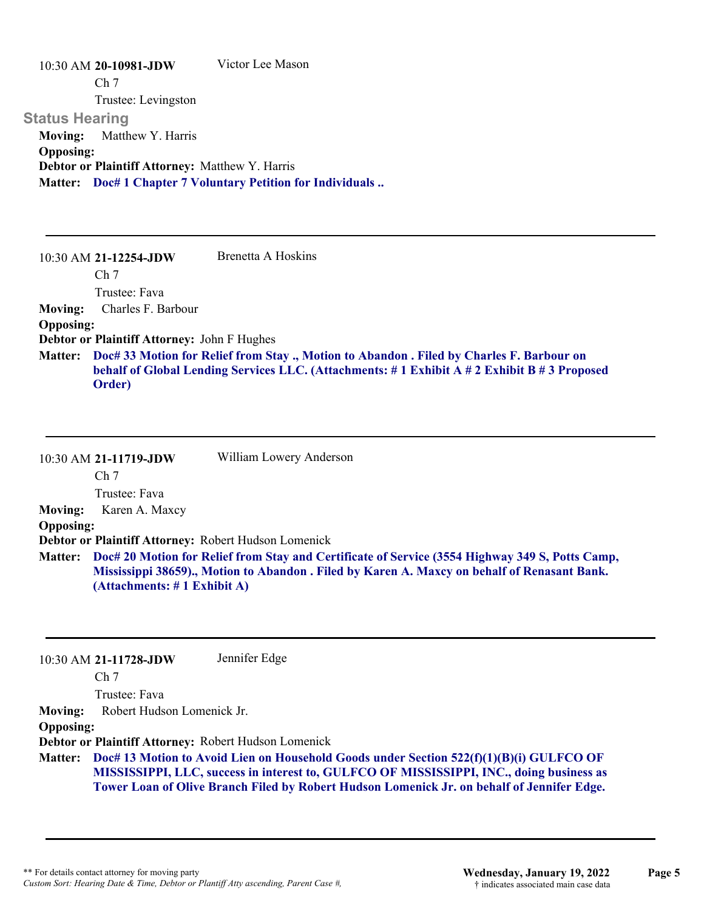|                       | 10:30 AM 20-10981-JDW                                  | Victor Lee Mason                                                   |
|-----------------------|--------------------------------------------------------|--------------------------------------------------------------------|
|                       | Ch <sub>7</sub>                                        |                                                                    |
|                       | Trustee: Levingston                                    |                                                                    |
| <b>Status Hearing</b> |                                                        |                                                                    |
|                       | <b>Moving:</b> Matthew Y. Harris                       |                                                                    |
| <b>Opposing:</b>      |                                                        |                                                                    |
|                       | <b>Debtor or Plaintiff Attorney: Matthew Y. Harris</b> |                                                                    |
|                       |                                                        | <b>Matter:</b> Doc# 1 Chapter 7 Voluntary Petition for Individuals |
|                       |                                                        |                                                                    |

|                  | $10:30$ AM 21-12254-JDW                            | Brenetta A Hoskins                                                                                                                                                                              |
|------------------|----------------------------------------------------|-------------------------------------------------------------------------------------------------------------------------------------------------------------------------------------------------|
|                  | Ch <sub>7</sub>                                    |                                                                                                                                                                                                 |
|                  | Trustee: Fava                                      |                                                                                                                                                                                                 |
| <b>Moving:</b>   | Charles F. Barbour                                 |                                                                                                                                                                                                 |
| <b>Opposing:</b> |                                                    |                                                                                                                                                                                                 |
|                  | <b>Debtor or Plaintiff Attorney: John F Hughes</b> |                                                                                                                                                                                                 |
|                  | Order)                                             | Matter: Doc# 33 Motion for Relief from Stay ., Motion to Abandon . Filed by Charles F. Barbour on<br>behalf of Global Lending Services LLC. (Attachments: #1 Exhibit A #2 Exhibit B #3 Proposed |

|                  | 10:30 AM 21-11719-JDW        | William Lowery Anderson                                                                                                                                                                                 |
|------------------|------------------------------|---------------------------------------------------------------------------------------------------------------------------------------------------------------------------------------------------------|
|                  | Ch <sub>7</sub>              |                                                                                                                                                                                                         |
|                  | Trustee: Fava                |                                                                                                                                                                                                         |
| Moving:          | Karen A. Maxcy               |                                                                                                                                                                                                         |
| <b>Opposing:</b> |                              |                                                                                                                                                                                                         |
|                  |                              | Debtor or Plaintiff Attorney: Robert Hudson Lomenick                                                                                                                                                    |
|                  | (Attachments: # 1 Exhibit A) | Matter: Doc# 20 Motion for Relief from Stay and Certificate of Service (3554 Highway 349 S, Potts Camp,<br>Mississippi 38659)., Motion to Abandon . Filed by Karen A. Maxcy on behalf of Renasant Bank. |

| $10:30$ AM 21-11728-JDW | Jennifer Edge |
|-------------------------|---------------|
|-------------------------|---------------|

Ch 7

Trustee: Fava

**Moving:** Robert Hudson Lomenick Jr.

**Opposing:**

**Debtor or Plaintiff Attorney:** Robert Hudson Lomenick

**Doc# 13 Motion to Avoid Lien on Household Goods under Section 522(f)(1)(B)(i) GULFCO OF Matter: MISSISSIPPI, LLC, success in interest to, GULFCO OF MISSISSIPPI, INC., doing business as Tower Loan of Olive Branch Filed by Robert Hudson Lomenick Jr. on behalf of Jennifer Edge.**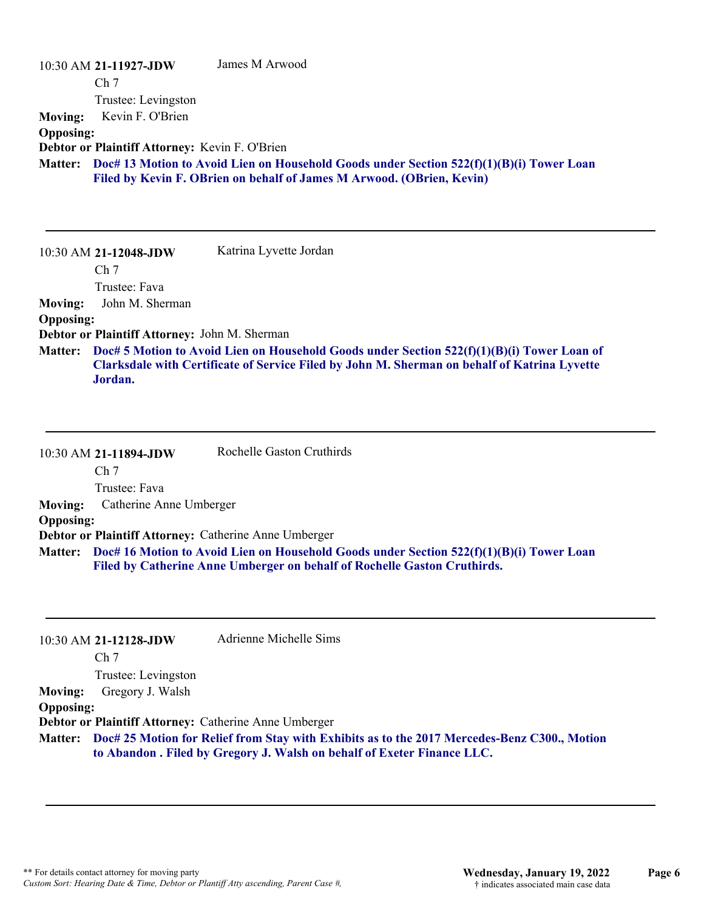|                  | 10:30 AM 21-11927-JDW                          | James M Arwood                                                                                                                                                                             |
|------------------|------------------------------------------------|--------------------------------------------------------------------------------------------------------------------------------------------------------------------------------------------|
|                  | Ch <sub>7</sub>                                |                                                                                                                                                                                            |
|                  | Trustee: Levingston                            |                                                                                                                                                                                            |
| <b>Moving:</b>   | Kevin F. O'Brien                               |                                                                                                                                                                                            |
| <b>Opposing:</b> |                                                |                                                                                                                                                                                            |
|                  | Debtor or Plaintiff Attorney: Kevin F. O'Brien |                                                                                                                                                                                            |
| <b>Matter:</b>   |                                                | Doc# 13 Motion to Avoid Lien on Household Goods under Section $522(f)(1)(B)(i)$ Tower Loan                                                                                                 |
|                  |                                                | Filed by Kevin F. OBrien on behalf of James M Arwood. (OBrien, Kevin)                                                                                                                      |
|                  |                                                |                                                                                                                                                                                            |
|                  |                                                |                                                                                                                                                                                            |
|                  |                                                |                                                                                                                                                                                            |
|                  | 10:30 AM 21-12048-JDW                          | Katrina Lyvette Jordan                                                                                                                                                                     |
|                  | Ch <sub>7</sub>                                |                                                                                                                                                                                            |
|                  | Trustee: Fava                                  |                                                                                                                                                                                            |
| <b>Moving:</b>   | John M. Sherman                                |                                                                                                                                                                                            |
| <b>Opposing:</b> |                                                |                                                                                                                                                                                            |
|                  | Debtor or Plaintiff Attorney: John M. Sherman  |                                                                                                                                                                                            |
| <b>Matter:</b>   |                                                | Doc# 5 Motion to Avoid Lien on Household Goods under Section 522(f)(1)(B)(i) Tower Loan of<br>Clarksdale with Certificate of Service Filed by John M. Sherman on behalf of Katrina Lyvette |

|                  | 10:30 AM 21-11894-JDW                                 | Rochelle Gaston Cruthirds                                                                                                                                                    |
|------------------|-------------------------------------------------------|------------------------------------------------------------------------------------------------------------------------------------------------------------------------------|
|                  | Ch <sub>7</sub>                                       |                                                                                                                                                                              |
|                  | Trustee: Fava                                         |                                                                                                                                                                              |
| <b>Moving:</b>   | Catherine Anne Umberger                               |                                                                                                                                                                              |
| <b>Opposing:</b> |                                                       |                                                                                                                                                                              |
|                  | Debtor or Plaintiff Attorney: Catherine Anne Umberger |                                                                                                                                                                              |
|                  |                                                       | Matter: Doc# 16 Motion to Avoid Lien on Household Goods under Section 522(f)(1)(B)(i) Tower Loan<br>Filed by Catherine Anne Umberger on behalf of Rochelle Gaston Cruthirds. |

|                  | $10:30$ AM 21-12128-JDW                               | Adrienne Michelle Sims                                                                                                                                                          |
|------------------|-------------------------------------------------------|---------------------------------------------------------------------------------------------------------------------------------------------------------------------------------|
|                  | Ch <sub>7</sub>                                       |                                                                                                                                                                                 |
|                  | Trustee: Levingston                                   |                                                                                                                                                                                 |
| <b>Moving:</b>   | Gregory J. Walsh                                      |                                                                                                                                                                                 |
| <b>Opposing:</b> |                                                       |                                                                                                                                                                                 |
|                  | Debtor or Plaintiff Attorney: Catherine Anne Umberger |                                                                                                                                                                                 |
|                  |                                                       | Matter: Doc# 25 Motion for Relief from Stay with Exhibits as to the 2017 Mercedes-Benz C300., Motion<br>to Abandon . Filed by Gregory J. Walsh on behalf of Exeter Finance LLC. |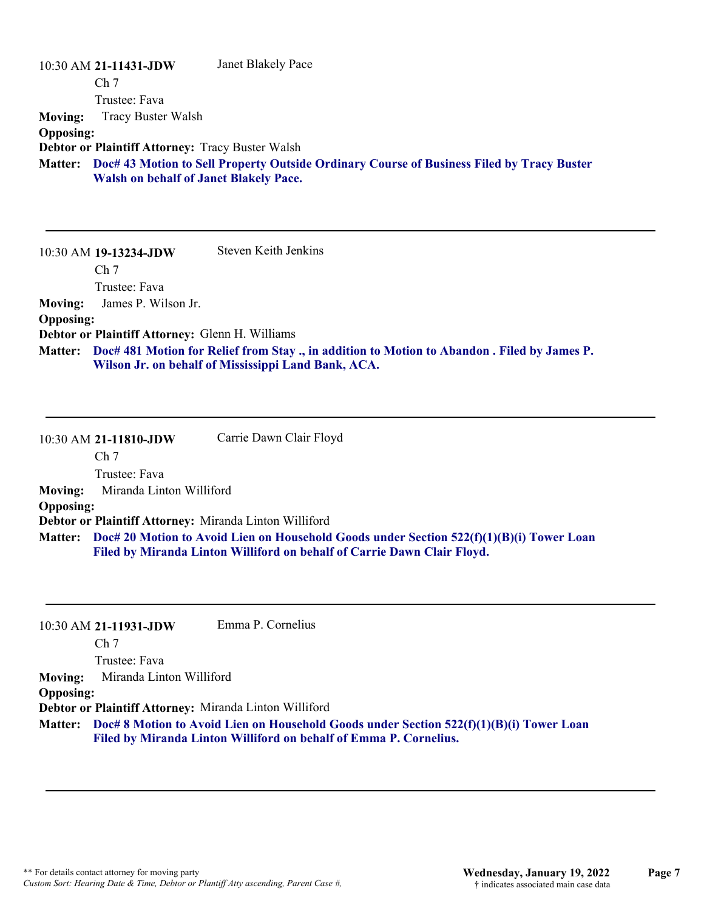|                  | 10:30 AM 21-11431-JDW                                                                     | Janet Blakely Pace |  |
|------------------|-------------------------------------------------------------------------------------------|--------------------|--|
|                  | Ch <sub>7</sub>                                                                           |                    |  |
|                  | Trustee: Fava                                                                             |                    |  |
| <b>Moving:</b>   | Tracy Buster Walsh                                                                        |                    |  |
| <b>Opposing:</b> |                                                                                           |                    |  |
|                  | <b>Debtor or Plaintiff Attorney: Tracy Buster Walsh</b>                                   |                    |  |
| <b>Matter:</b>   | Doc# 43 Motion to Sell Property Outside Ordinary Course of Business Filed by Tracy Buster |                    |  |
|                  | <b>Walsh on behalf of Janet Blakely Pace.</b>                                             |                    |  |
|                  |                                                                                           |                    |  |

|                  | 10:30 AM 19-13234-JDW                           | Steven Keith Jenkins                                                                                                                                      |
|------------------|-------------------------------------------------|-----------------------------------------------------------------------------------------------------------------------------------------------------------|
|                  | Ch <sub>7</sub>                                 |                                                                                                                                                           |
|                  | Trustee: Fava                                   |                                                                                                                                                           |
| Moving:          | James P. Wilson Jr.                             |                                                                                                                                                           |
| <b>Opposing:</b> |                                                 |                                                                                                                                                           |
|                  | Debtor or Plaintiff Attorney: Glenn H. Williams |                                                                                                                                                           |
|                  |                                                 | Matter: Doc# 481 Motion for Relief from Stay., in addition to Motion to Abandon. Filed by James P.<br>Wilson Jr. on behalf of Mississippi Land Bank, ACA. |

|                  | 10:30 AM 21-11810-JDW    | Carrie Dawn Clair Floyd                                                                                                                                                     |
|------------------|--------------------------|-----------------------------------------------------------------------------------------------------------------------------------------------------------------------------|
|                  | Ch <sub>7</sub>          |                                                                                                                                                                             |
|                  | Trustee: Fava            |                                                                                                                                                                             |
| <b>Moving:</b>   | Miranda Linton Williford |                                                                                                                                                                             |
| <b>Opposing:</b> |                          |                                                                                                                                                                             |
|                  |                          | Debtor or Plaintiff Attorney: Miranda Linton Williford                                                                                                                      |
|                  |                          | Matter: Doc# 20 Motion to Avoid Lien on Household Goods under Section 522(f)(1)(B)(i) Tower Loan<br>Filed by Miranda Linton Williford on behalf of Carrie Dawn Clair Floyd. |

|                  | 10:30 AM 21-11931-JDW    | Emma P. Cornelius                                                                                                                                              |
|------------------|--------------------------|----------------------------------------------------------------------------------------------------------------------------------------------------------------|
|                  | Ch <sub>7</sub>          |                                                                                                                                                                |
|                  | Trustee: Fava            |                                                                                                                                                                |
| <b>Moving:</b>   | Miranda Linton Williford |                                                                                                                                                                |
| <b>Opposing:</b> |                          |                                                                                                                                                                |
|                  |                          | Debtor or Plaintiff Attorney: Miranda Linton Williford                                                                                                         |
| <b>Matter:</b>   |                          | Doc# 8 Motion to Avoid Lien on Household Goods under Section $522(f)(1)(B)(i)$ Tower Loan<br>Filed by Miranda Linton Williford on behalf of Emma P. Cornelius. |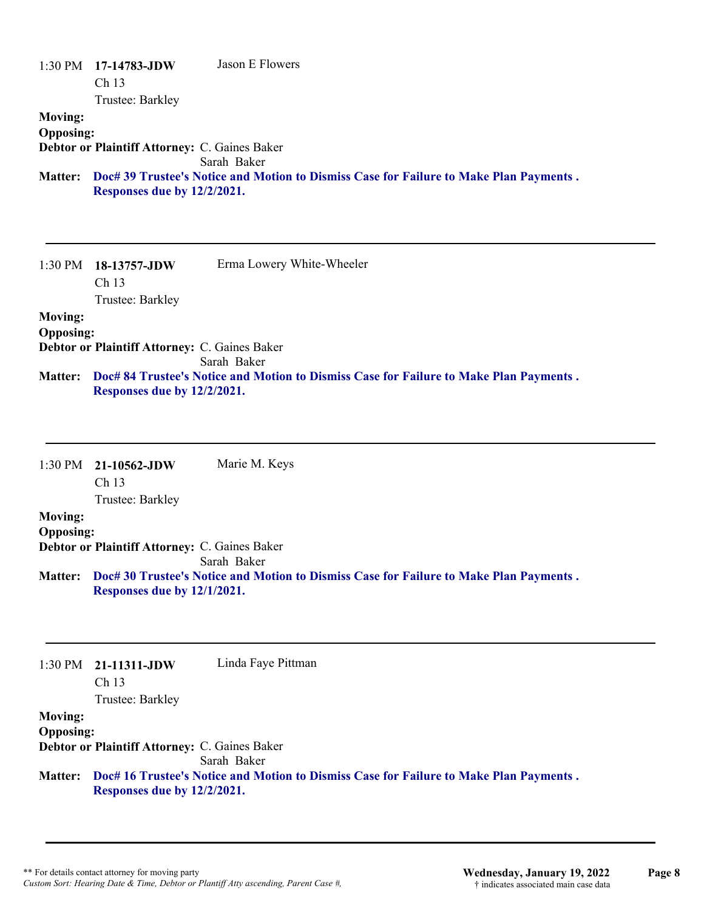|                  | $1:30 \text{ PM}$ 17-14783-JDW                | Jason E Flowers                                                                        |
|------------------|-----------------------------------------------|----------------------------------------------------------------------------------------|
|                  | Ch <sub>13</sub>                              |                                                                                        |
|                  | Trustee: Barkley                              |                                                                                        |
| <b>Moving:</b>   |                                               |                                                                                        |
| <b>Opposing:</b> |                                               |                                                                                        |
|                  | Debtor or Plaintiff Attorney: C. Gaines Baker |                                                                                        |
|                  |                                               | Sarah Baker                                                                            |
| <b>Matter:</b>   |                                               | Doc# 39 Trustee's Notice and Motion to Dismiss Case for Failure to Make Plan Payments. |
|                  | Responses due by 12/2/2021.                   |                                                                                        |
|                  |                                               |                                                                                        |
|                  |                                               |                                                                                        |

1:30 PM **18-13757-JDW**  Ch 13 Trustee: Barkley Erma Lowery White-Wheeler **Moving: Opposing: Debtor or Plaintiff Attorney:** C. Gaines Baker

Sarah Baker

**Doc# 84 Trustee's Notice and Motion to Dismiss Case for Failure to Make Plan Payments . Matter: Responses due by 12/2/2021.**

|                  | $1:30 \text{ PM}$ 21-10562-JDW                       | Marie M. Keys                                                                          |
|------------------|------------------------------------------------------|----------------------------------------------------------------------------------------|
|                  | $\rm Ch$ 13                                          |                                                                                        |
|                  | Trustee: Barkley                                     |                                                                                        |
| <b>Moving:</b>   |                                                      |                                                                                        |
| <b>Opposing:</b> |                                                      |                                                                                        |
|                  | <b>Debtor or Plaintiff Attorney: C. Gaines Baker</b> |                                                                                        |
|                  |                                                      | Sarah Baker                                                                            |
| <b>Matter:</b>   |                                                      | Doc# 30 Trustee's Notice and Motion to Dismiss Case for Failure to Make Plan Payments. |
|                  | Responses due by 12/1/2021.                          |                                                                                        |
|                  |                                                      |                                                                                        |

1:30 PM **21-11311-JDW**  Ch 13 Trustee: Barkley Linda Faye Pittman **Moving: Opposing: Debtor or Plaintiff Attorney:** C. Gaines Baker Sarah Baker **Doc# 16 Trustee's Notice and Motion to Dismiss Case for Failure to Make Plan Payments . Matter: Responses due by 12/2/2021.**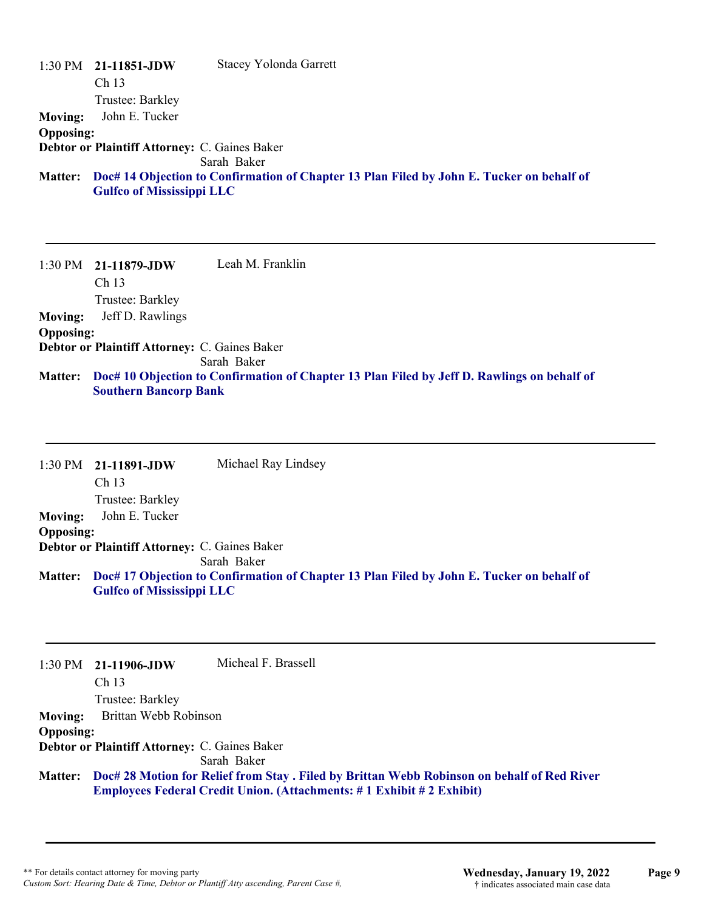|                  | $1:30 \text{ PM}$ 21-11851-JDW                       | <b>Stacey Yolonda Garrett</b>                                                                     |
|------------------|------------------------------------------------------|---------------------------------------------------------------------------------------------------|
|                  | Ch <sub>13</sub>                                     |                                                                                                   |
|                  | Trustee: Barkley                                     |                                                                                                   |
| <b>Moving:</b>   | John E. Tucker                                       |                                                                                                   |
| <b>Opposing:</b> |                                                      |                                                                                                   |
|                  | <b>Debtor or Plaintiff Attorney: C. Gaines Baker</b> |                                                                                                   |
|                  |                                                      | Sarah Baker                                                                                       |
|                  | <b>Gulfco of Mississippi LLC</b>                     | Matter: Doc# 14 Objection to Confirmation of Chapter 13 Plan Filed by John E. Tucker on behalf of |

1:30 PM **21-11879-JDW**  Ch 13 Trustee: Barkley Leah M. Franklin **Moving:** Jeff D. Rawlings **Opposing: Debtor or Plaintiff Attorney:** C. Gaines Baker Sarah Baker **Doc# 10 Objection to Confirmation of Chapter 13 Plan Filed by Jeff D. Rawlings on behalf of Matter: Southern Bancorp Bank**

| $1:30$ PM $21-11891$ -JDW | Michael Ray Lindsey                                                                       |
|---------------------------|-------------------------------------------------------------------------------------------|
| Ch <sub>13</sub>          |                                                                                           |
| Trustee: Barkley          |                                                                                           |
| John E. Tucker            |                                                                                           |
| <b>Opposing:</b>          |                                                                                           |
|                           |                                                                                           |
|                           | Sarah Baker                                                                               |
|                           | Doc# 17 Objection to Confirmation of Chapter 13 Plan Filed by John E. Tucker on behalf of |
|                           | <b>Debtor or Plaintiff Attorney: C. Gaines Baker</b><br><b>Gulfco of Mississippi LLC</b>  |

1:30 PM **21-11906-JDW**  Ch 13 Trustee: Barkley Micheal F. Brassell **Moving:** Brittan Webb Robinson **Opposing: Debtor or Plaintiff Attorney:** C. Gaines Baker Sarah Baker **Doc# 28 Motion for Relief from Stay . Filed by Brittan Webb Robinson on behalf of Red River Matter: Employees Federal Credit Union. (Attachments: # 1 Exhibit # 2 Exhibit)**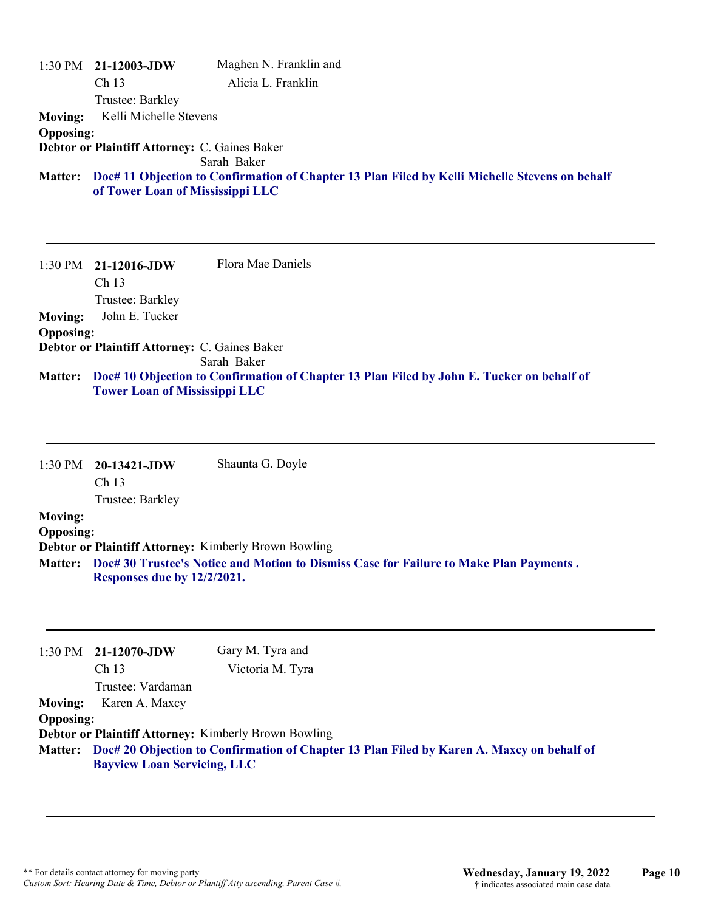|                  | $1:30$ PM $21-12003$ -JDW                                                                                                          | Maghen N. Franklin and |
|------------------|------------------------------------------------------------------------------------------------------------------------------------|------------------------|
|                  | Ch <sub>13</sub>                                                                                                                   | Alicia L. Franklin     |
|                  | Trustee: Barkley                                                                                                                   |                        |
| <b>Moving:</b>   | Kelli Michelle Stevens                                                                                                             |                        |
| <b>Opposing:</b> |                                                                                                                                    |                        |
|                  | <b>Debtor or Plaintiff Attorney: C. Gaines Baker</b>                                                                               |                        |
|                  |                                                                                                                                    | Sarah Baker            |
| <b>Matter:</b>   | Doc# 11 Objection to Confirmation of Chapter 13 Plan Filed by Kelli Michelle Stevens on behalf<br>of Tower Loan of Mississippi LLC |                        |
|                  |                                                                                                                                    |                        |

1:30 PM **21-12016-JDW**  Ch 13 Trustee: Barkley Flora Mae Daniels **Moving:** John E. Tucker **Opposing: Debtor or Plaintiff Attorney:** C. Gaines Baker Sarah Baker **Doc# 10 Objection to Confirmation of Chapter 13 Plan Filed by John E. Tucker on behalf of Matter: Tower Loan of Mississippi LLC**

|                  | $1:30 \text{ PM}$ 20-13421-JDW | Shaunta G. Doyle                                                                       |
|------------------|--------------------------------|----------------------------------------------------------------------------------------|
|                  | Ch <sub>13</sub>               |                                                                                        |
|                  | Trustee: Barkley               |                                                                                        |
| <b>Moving:</b>   |                                |                                                                                        |
| <b>Opposing:</b> |                                |                                                                                        |
|                  |                                | <b>Debtor or Plaintiff Attorney: Kimberly Brown Bowling</b>                            |
| <b>Matter:</b>   | Responses due by 12/2/2021.    | Doc# 30 Trustee's Notice and Motion to Dismiss Case for Failure to Make Plan Payments. |

|                  | $1:30 \text{ PM}$ 21-12070-JDW     | Gary M. Tyra and                                                                                  |
|------------------|------------------------------------|---------------------------------------------------------------------------------------------------|
|                  | Ch <sub>13</sub>                   | Victoria M. Tyra                                                                                  |
|                  | Trustee: Vardaman                  |                                                                                                   |
| <b>Moving:</b>   | Karen A. Maxcy                     |                                                                                                   |
| <b>Opposing:</b> |                                    |                                                                                                   |
|                  |                                    | <b>Debtor or Plaintiff Attorney: Kimberly Brown Bowling</b>                                       |
|                  | <b>Bayview Loan Servicing, LLC</b> | Matter: Doc# 20 Objection to Confirmation of Chapter 13 Plan Filed by Karen A. Maxcy on behalf of |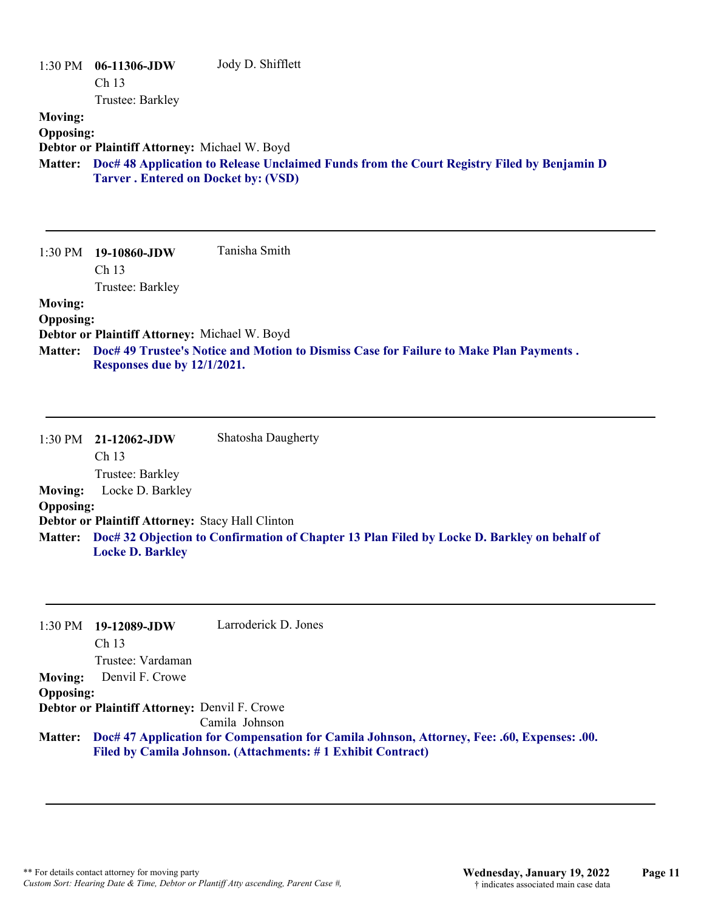| $1:30$ PM        | 06-11306-JDW                                  | Jody D. Shifflett                                                                                  |
|------------------|-----------------------------------------------|----------------------------------------------------------------------------------------------------|
|                  | Ch <sub>13</sub>                              |                                                                                                    |
|                  | Trustee: Barkley                              |                                                                                                    |
| <b>Moving:</b>   |                                               |                                                                                                    |
| <b>Opposing:</b> |                                               |                                                                                                    |
|                  | Debtor or Plaintiff Attorney: Michael W. Boyd |                                                                                                    |
|                  | <b>Tarver. Entered on Docket by: (VSD)</b>    | Matter: Doc# 48 Application to Release Unclaimed Funds from the Court Registry Filed by Benjamin D |

|                  | $1:30 \text{ PM}$ 19-10860-JDW                       | Tanisha Smith                                                                          |
|------------------|------------------------------------------------------|----------------------------------------------------------------------------------------|
|                  | Ch <sub>13</sub>                                     |                                                                                        |
|                  | Trustee: Barkley                                     |                                                                                        |
| <b>Moving:</b>   |                                                      |                                                                                        |
| <b>Opposing:</b> |                                                      |                                                                                        |
|                  | <b>Debtor or Plaintiff Attorney: Michael W. Boyd</b> |                                                                                        |
| <b>Matter:</b>   |                                                      | Doc# 49 Trustee's Notice and Motion to Dismiss Case for Failure to Make Plan Payments. |

**Responses due by 12/1/2021.**

|                  | $1:30$ PM $21-12062$ -JDW                               | Shatosha Daugherty                                                                                  |
|------------------|---------------------------------------------------------|-----------------------------------------------------------------------------------------------------|
|                  | Ch 13                                                   |                                                                                                     |
|                  | Trustee: Barkley                                        |                                                                                                     |
| <b>Moving:</b>   | Locke D. Barkley                                        |                                                                                                     |
| <b>Opposing:</b> |                                                         |                                                                                                     |
|                  | <b>Debtor or Plaintiff Attorney: Stacy Hall Clinton</b> |                                                                                                     |
|                  |                                                         | Matter: Doc# 32 Objection to Confirmation of Chapter 13 Plan Filed by Locke D. Barkley on behalf of |
|                  | <b>Locke D. Barkley</b>                                 |                                                                                                     |

|                  | $1:30 \text{ PM}$ 19-12089-JDW                       | Larroderick D. Jones                                                                                |
|------------------|------------------------------------------------------|-----------------------------------------------------------------------------------------------------|
|                  | Ch <sub>13</sub>                                     |                                                                                                     |
|                  | Trustee: Vardaman                                    |                                                                                                     |
|                  | <b>Moving:</b> Denvil F. Crowe                       |                                                                                                     |
| <b>Opposing:</b> |                                                      |                                                                                                     |
|                  | <b>Debtor or Plaintiff Attorney: Denvil F. Crowe</b> |                                                                                                     |
|                  |                                                      | Camila Johnson                                                                                      |
|                  |                                                      | Matter: Doc# 47 Application for Compensation for Camila Johnson, Attorney, Fee: .60, Expenses: .00. |

**Filed by Camila Johnson. (Attachments: # 1 Exhibit Contract)**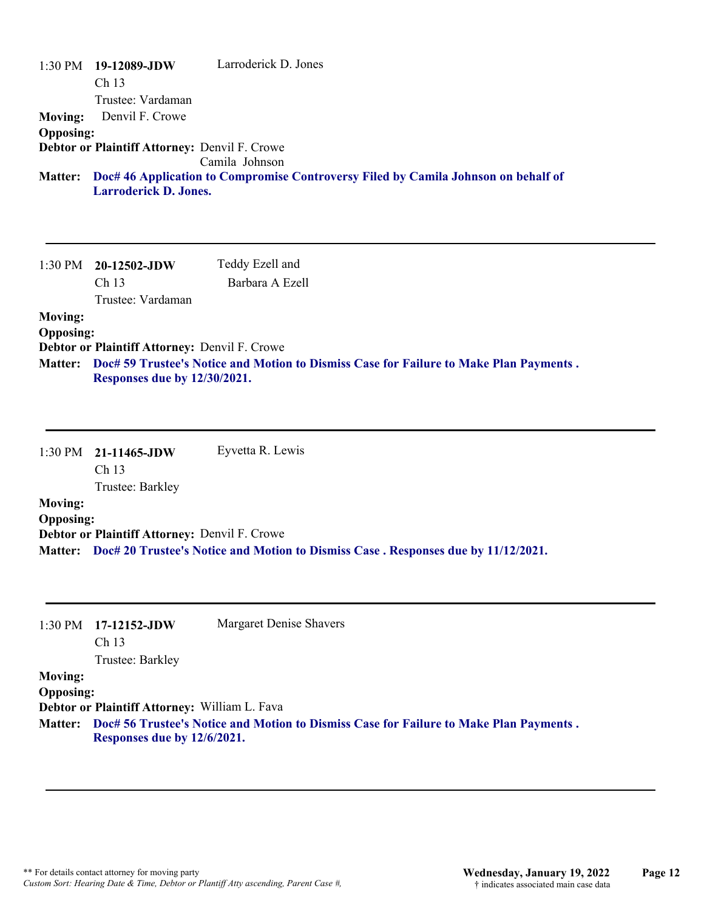| 1:30 PM          | 19-12089-JDW                                         | Larroderick D. Jones                                                                   |
|------------------|------------------------------------------------------|----------------------------------------------------------------------------------------|
|                  | Ch 13                                                |                                                                                        |
|                  | Trustee: Vardaman                                    |                                                                                        |
| <b>Moving:</b>   | Denvil F. Crowe                                      |                                                                                        |
| <b>Opposing:</b> |                                                      |                                                                                        |
|                  | <b>Debtor or Plaintiff Attorney: Denvil F. Crowe</b> | Camila Johnson                                                                         |
| <b>Matter:</b>   | <b>Larroderick D. Jones.</b>                         | Doc# 46 Application to Compromise Controversy Filed by Camila Johnson on behalf of     |
|                  |                                                      |                                                                                        |
|                  |                                                      |                                                                                        |
|                  |                                                      |                                                                                        |
|                  |                                                      |                                                                                        |
|                  | $1:30 \text{ PM}$ 20-12502-JDW                       | Teddy Ezell and                                                                        |
|                  | Ch 13                                                | Barbara A Ezell                                                                        |
|                  | Trustee: Vardaman                                    |                                                                                        |
| <b>Moving:</b>   |                                                      |                                                                                        |
| <b>Opposing:</b> |                                                      |                                                                                        |
|                  | <b>Debtor or Plaintiff Attorney: Denvil F. Crowe</b> |                                                                                        |
| <b>Matter:</b>   | <b>Responses due by 12/30/2021.</b>                  | Doc# 59 Trustee's Notice and Motion to Dismiss Case for Failure to Make Plan Payments. |

|                  | $1:30 \text{ PM}$ 21-11465-JDW                       | Eyvetta R. Lewis                                                                           |
|------------------|------------------------------------------------------|--------------------------------------------------------------------------------------------|
|                  | Ch <sub>13</sub>                                     |                                                                                            |
|                  | Trustee: Barkley                                     |                                                                                            |
| <b>Moving:</b>   |                                                      |                                                                                            |
| <b>Opposing:</b> |                                                      |                                                                                            |
|                  | <b>Debtor or Plaintiff Attorney: Denvil F. Crowe</b> |                                                                                            |
|                  |                                                      | Matter: Doc# 20 Trustee's Notice and Motion to Dismiss Case . Responses due by 11/12/2021. |

| 1:30 PM          | $17-12152$ -JDW<br>Ch <sub>13</sub>           | Margaret Denise Shavers                                                                        |
|------------------|-----------------------------------------------|------------------------------------------------------------------------------------------------|
|                  |                                               |                                                                                                |
|                  | Trustee: Barkley                              |                                                                                                |
| <b>Moving:</b>   |                                               |                                                                                                |
| <b>Opposing:</b> |                                               |                                                                                                |
|                  | Debtor or Plaintiff Attorney: William L. Fava |                                                                                                |
|                  | Responses due by 12/6/2021.                   | Matter: Doc# 56 Trustee's Notice and Motion to Dismiss Case for Failure to Make Plan Payments. |
|                  |                                               |                                                                                                |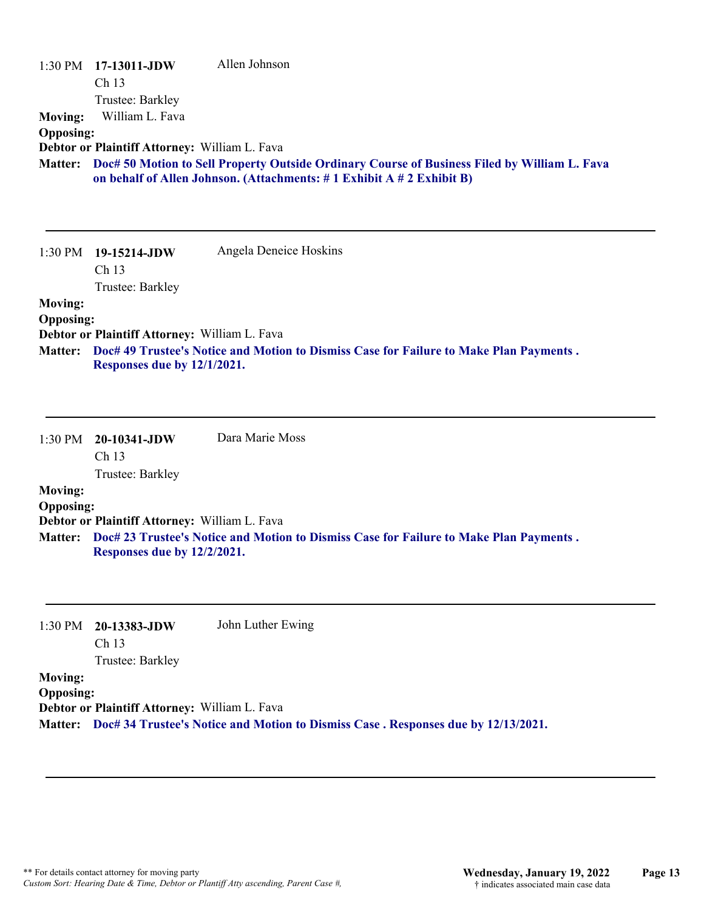| <b>Moving:</b><br><b>Opposing:</b><br><b>Matter:</b> | 1:30 PM 17-13011-JDW<br>Ch 13<br>Trustee: Barkley<br>William L. Fava<br>Debtor or Plaintiff Attorney: William L. Fava | Allen Johnson<br>Doc# 50 Motion to Sell Property Outside Ordinary Course of Business Filed by William L. Fava<br>on behalf of Allen Johnson. (Attachments: #1 Exhibit A #2 Exhibit B) |
|------------------------------------------------------|-----------------------------------------------------------------------------------------------------------------------|---------------------------------------------------------------------------------------------------------------------------------------------------------------------------------------|
|                                                      | 1:30 PM 19-15214-JDW<br>Ch 13<br>Trustee: Barkley                                                                     | Angela Deneice Hoskins                                                                                                                                                                |
| <b>Moving:</b><br><b>Opposing:</b><br><b>Matter:</b> | Debtor or Plaintiff Attorney: William L. Fava<br>Responses due by 12/1/2021.                                          | Doc# 49 Trustee's Notice and Motion to Dismiss Case for Failure to Make Plan Payments.                                                                                                |
|                                                      | 1:30 PM 20-10341-JDW<br>Ch <sub>13</sub><br>Trustee: Barkley                                                          | Dara Marie Moss                                                                                                                                                                       |
| <b>Moving:</b><br><b>Opposing:</b>                   | Debtor or Plaintiff Attorney: William L. Fava                                                                         |                                                                                                                                                                                       |
| <b>Matter:</b>                                       | Responses due by 12/2/2021.                                                                                           | Doc# 23 Trustee's Notice and Motion to Dismiss Case for Failure to Make Plan Payments.                                                                                                |

**Debtor or Plaintiff Attorney:** William L. Fava

**Matter: Doc# 34 Trustee's Notice and Motion to Dismiss Case . Responses due by 12/13/2021.**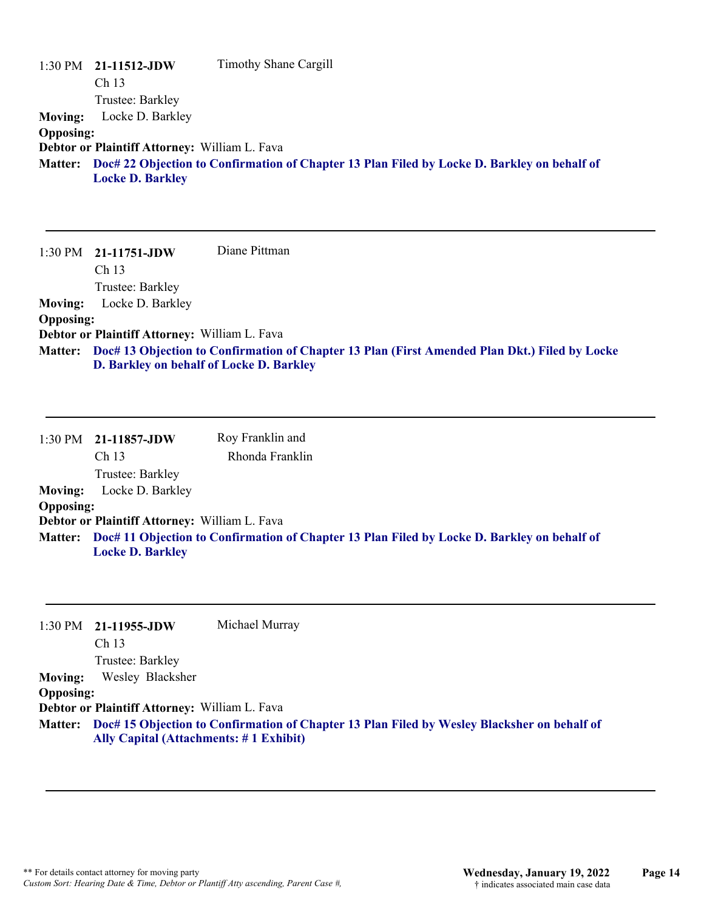|                  | $1:30 \text{ PM}$ 21-11512-JDW                | Timothy Shane Cargill                                                                               |
|------------------|-----------------------------------------------|-----------------------------------------------------------------------------------------------------|
|                  | Ch <sub>13</sub>                              |                                                                                                     |
|                  | Trustee: Barkley                              |                                                                                                     |
| <b>Moving:</b>   | Locke D. Barkley                              |                                                                                                     |
| <b>Opposing:</b> |                                               |                                                                                                     |
|                  | Debtor or Plaintiff Attorney: William L. Fava |                                                                                                     |
|                  | <b>Locke D. Barkley</b>                       | Matter: Doc# 22 Objection to Confirmation of Chapter 13 Plan Filed by Locke D. Barkley on behalf of |

1:30 PM **21-11751-JDW**  Ch 13 Trustee: Barkley Diane Pittman **Moving:** Locke D. Barkley **Opposing: Debtor or Plaintiff Attorney:** William L. Fava **Doc# 13 Objection to Confirmation of Chapter 13 Plan (First Amended Plan Dkt.) Filed by Locke Matter: D. Barkley on behalf of Locke D. Barkley**

|                  | 1:30 PM 21-11857-JDW                          | Roy Franklin and |                                                                                                     |  |
|------------------|-----------------------------------------------|------------------|-----------------------------------------------------------------------------------------------------|--|
|                  | Ch <sub>13</sub>                              | Rhonda Franklin  |                                                                                                     |  |
|                  | Trustee: Barkley                              |                  |                                                                                                     |  |
| <b>Moving:</b>   | Locke D. Barkley                              |                  |                                                                                                     |  |
| <b>Opposing:</b> |                                               |                  |                                                                                                     |  |
|                  | Debtor or Plaintiff Attorney: William L. Fava |                  |                                                                                                     |  |
|                  | <b>Locke D. Barkley</b>                       |                  | Matter: Doc# 11 Objection to Confirmation of Chapter 13 Plan Filed by Locke D. Barkley on behalf of |  |

|                  | $1:30 \text{ PM}$ 21-11955-JDW                | Michael Murray                                                                                      |
|------------------|-----------------------------------------------|-----------------------------------------------------------------------------------------------------|
|                  | Ch 13                                         |                                                                                                     |
|                  | Trustee: Barkley                              |                                                                                                     |
| <b>Moving:</b>   | Wesley Blacksher                              |                                                                                                     |
| <b>Opposing:</b> |                                               |                                                                                                     |
|                  | Debtor or Plaintiff Attorney: William L. Fava |                                                                                                     |
|                  |                                               | Matter: Doc# 15 Objection to Confirmation of Chapter 13 Plan Filed by Wesley Blacksher on behalf of |
|                  | Ally Capital (Attachments: #1 Exhibit)        |                                                                                                     |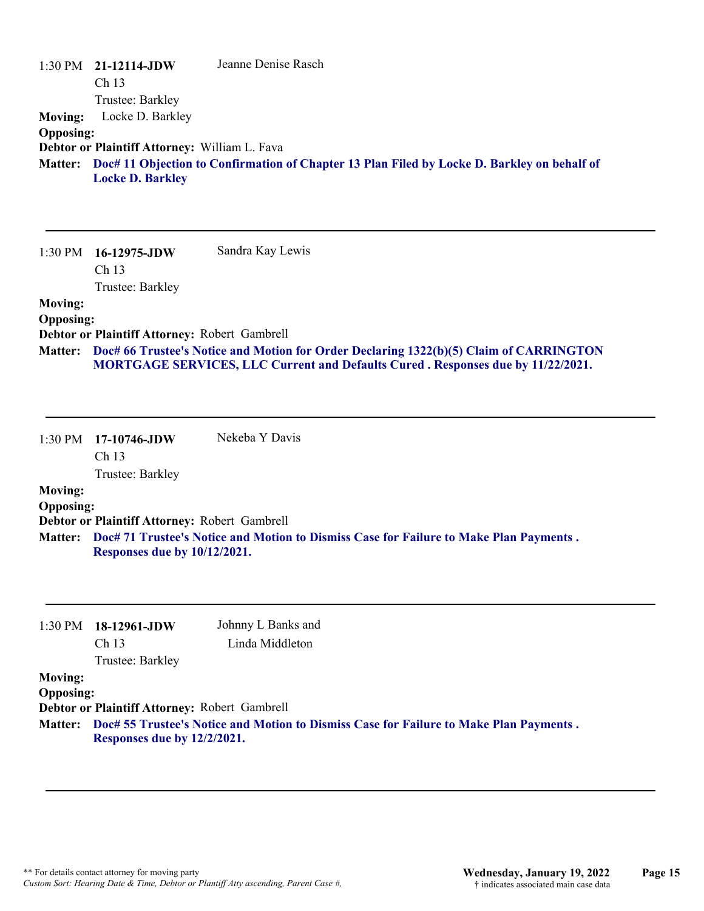| <b>Moving:</b><br><b>Opposing:</b><br><b>Matter:</b> | $1:30 \text{ PM}$ 21-12114-JDW<br>Ch 13<br>Trustee: Barkley<br>Locke D. Barkley<br>Debtor or Plaintiff Attorney: William L. Fava<br><b>Locke D. Barkley</b> | Jeanne Denise Rasch<br>Doc# 11 Objection to Confirmation of Chapter 13 Plan Filed by Locke D. Barkley on behalf of                                                                                           |
|------------------------------------------------------|-------------------------------------------------------------------------------------------------------------------------------------------------------------|--------------------------------------------------------------------------------------------------------------------------------------------------------------------------------------------------------------|
| <b>Moving:</b><br><b>Opposing:</b>                   | 1:30 PM 16-12975-JDW<br>Ch <sub>13</sub><br>Trustee: Barkley<br>Debtor or Plaintiff Attorney: Robert Gambrell                                               | Sandra Kay Lewis<br>Matter: Doc# 66 Trustee's Notice and Motion for Order Declaring 1322(b)(5) Claim of CARRINGTON<br><b>MORTGAGE SERVICES, LLC Current and Defaults Cured. Responses due by 11/22/2021.</b> |
| <b>Moving:</b><br><b>Opposing:</b>                   | 1:30 PM 17-10746-JDW<br>Ch <sub>13</sub><br>Trustee: Barkley<br>Debtor or Plaintiff Attorney: Robert Gambrell                                               | Nekeba Y Davis                                                                                                                                                                                               |

**Doc# 71 Trustee's Notice and Motion to Dismiss Case for Failure to Make Plan Payments . Matter: Responses due by 10/12/2021.**

|                  | $1:30 \text{ PM}$ 18-12961-JDW                | Johnny L Banks and                                                                             |
|------------------|-----------------------------------------------|------------------------------------------------------------------------------------------------|
|                  | Ch <sub>13</sub><br>Trustee: Barkley          | Linda Middleton                                                                                |
|                  |                                               |                                                                                                |
| <b>Moving:</b>   |                                               |                                                                                                |
| <b>Opposing:</b> |                                               |                                                                                                |
|                  | Debtor or Plaintiff Attorney: Robert Gambrell |                                                                                                |
|                  |                                               | Matter: Doc# 55 Trustee's Notice and Motion to Dismiss Case for Failure to Make Plan Payments. |
|                  | Responses due by 12/2/2021.                   |                                                                                                |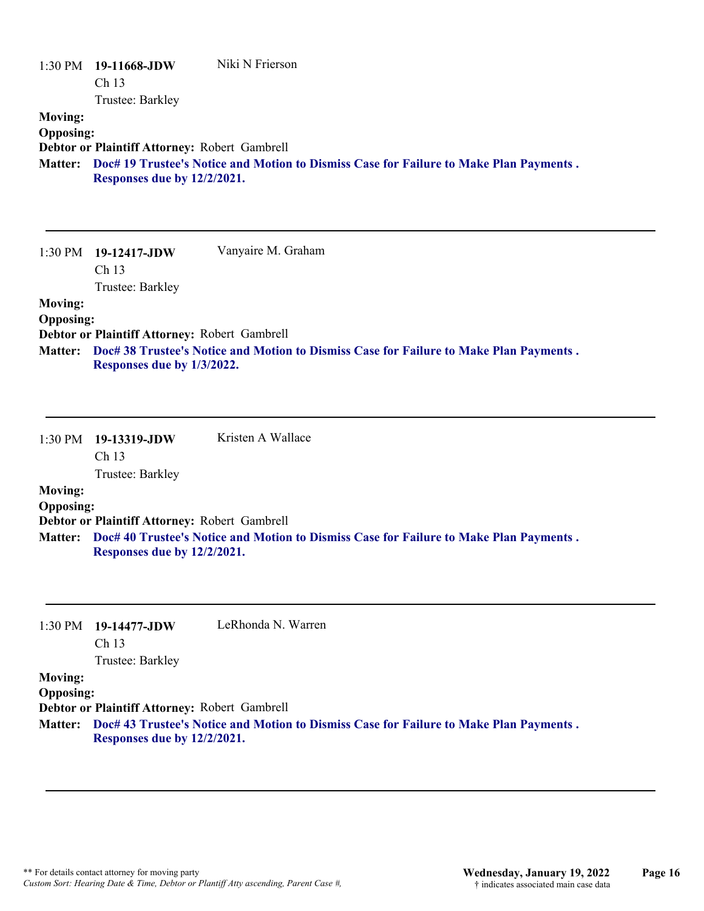|                                                      | 1:30 PM 19-11668-JDW<br>Ch <sub>13</sub>                                                         | Niki N Frierson                                                                        |
|------------------------------------------------------|--------------------------------------------------------------------------------------------------|----------------------------------------------------------------------------------------|
| <b>Moving:</b><br><b>Opposing:</b><br><b>Matter:</b> | Trustee: Barkley<br>Debtor or Plaintiff Attorney: Robert Gambrell<br>Responses due by 12/2/2021. | Doc# 19 Trustee's Notice and Motion to Dismiss Case for Failure to Make Plan Payments. |
| 1:30 PM                                              | $19-12417$ -JDW<br>Ch <sub>13</sub><br>Trustee: Barkley                                          | Vanyaire M. Graham                                                                     |
| <b>Moving:</b><br><b>Opposing:</b>                   |                                                                                                  |                                                                                        |

**Debtor or Plaintiff Attorney:** Robert Gambrell

**Doc# 38 Trustee's Notice and Motion to Dismiss Case for Failure to Make Plan Payments . Matter: Responses due by 1/3/2022.**

|                  | $1:30 \text{ PM}$ 19-13319-JDW<br>Ch <sub>13</sub> | Kristen A Wallace                                                                      |
|------------------|----------------------------------------------------|----------------------------------------------------------------------------------------|
|                  | Trustee: Barkley                                   |                                                                                        |
| <b>Moving:</b>   |                                                    |                                                                                        |
| <b>Opposing:</b> |                                                    |                                                                                        |
|                  | Debtor or Plaintiff Attorney: Robert Gambrell      |                                                                                        |
| <b>Matter:</b>   | Responses due by 12/2/2021.                        | Doc# 40 Trustee's Notice and Motion to Dismiss Case for Failure to Make Plan Payments. |

| $1:30 \text{ PM}$ 19-14477-JDW | LeRhonda N. Warren |
|--------------------------------|--------------------|
| Ch 13                          |                    |

Trustee: Barkley

### **Moving:**

**Opposing:**

**Debtor or Plaintiff Attorney:** Robert Gambrell

**Doc# 43 Trustee's Notice and Motion to Dismiss Case for Failure to Make Plan Payments . Matter: Responses due by 12/2/2021.**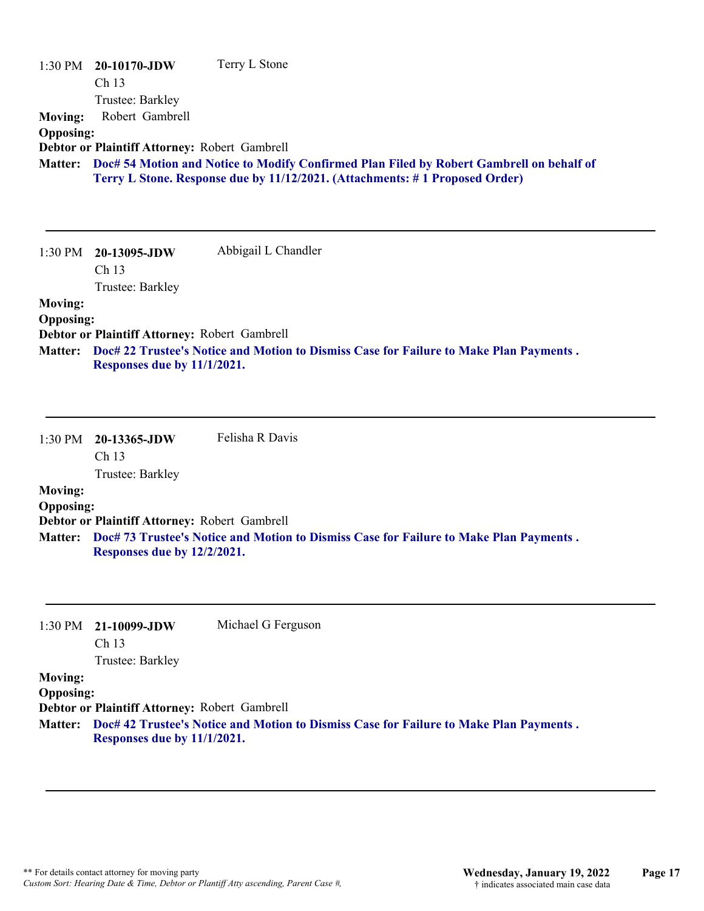| 1:30 PM<br><b>Moving:</b><br><b>Opposing:</b>        | 20-10170-JDW<br>Ch 13<br>Trustee: Barkley<br>Robert Gambrell<br>Debtor or Plaintiff Attorney: Robert Gambrell | Terry L Stone                                                                                                                                                           |
|------------------------------------------------------|---------------------------------------------------------------------------------------------------------------|-------------------------------------------------------------------------------------------------------------------------------------------------------------------------|
| <b>Matter:</b>                                       |                                                                                                               | Doc# 54 Motion and Notice to Modify Confirmed Plan Filed by Robert Gambrell on behalf of<br>Terry L Stone. Response due by 11/12/2021. (Attachments: #1 Proposed Order) |
| 1:30 PM                                              | 20-13095-JDW<br>Ch <sub>13</sub>                                                                              | Abbigail L Chandler                                                                                                                                                     |
|                                                      | Trustee: Barkley                                                                                              |                                                                                                                                                                         |
| <b>Moving:</b><br><b>Opposing:</b><br><b>Matter:</b> | Debtor or Plaintiff Attorney: Robert Gambrell<br>Responses due by 11/1/2021.                                  | Doc# 22 Trustee's Notice and Motion to Dismiss Case for Failure to Make Plan Payments.                                                                                  |
| $1:30$ PM                                            | 20-13365-JDW<br>Ch 13<br>Trustee: Barkley                                                                     | Felisha R Davis                                                                                                                                                         |
| <b>Moving:</b>                                       |                                                                                                               |                                                                                                                                                                         |
| <b>Opposing:</b>                                     |                                                                                                               |                                                                                                                                                                         |
|                                                      | Debtor or Plaintiff Attorney: Robert Gambrell                                                                 |                                                                                                                                                                         |
| <b>Matter:</b>                                       | Responses due by 12/2/2021.                                                                                   | Doc# 73 Trustee's Notice and Motion to Dismiss Case for Failure to Make Plan Payments.                                                                                  |

|                  | $1:30 \text{ PM}$ 21-10099-JDW<br>Ch <sub>13</sub> | Michael G Ferguson                                                                             |
|------------------|----------------------------------------------------|------------------------------------------------------------------------------------------------|
|                  |                                                    |                                                                                                |
|                  | Trustee: Barkley                                   |                                                                                                |
| <b>Moving:</b>   |                                                    |                                                                                                |
| <b>Opposing:</b> |                                                    |                                                                                                |
|                  | Debtor or Plaintiff Attorney: Robert Gambrell      |                                                                                                |
|                  |                                                    | Matter: Doc# 42 Trustee's Notice and Motion to Dismiss Case for Failure to Make Plan Payments. |
|                  | Responses due by 11/1/2021.                        |                                                                                                |
|                  |                                                    |                                                                                                |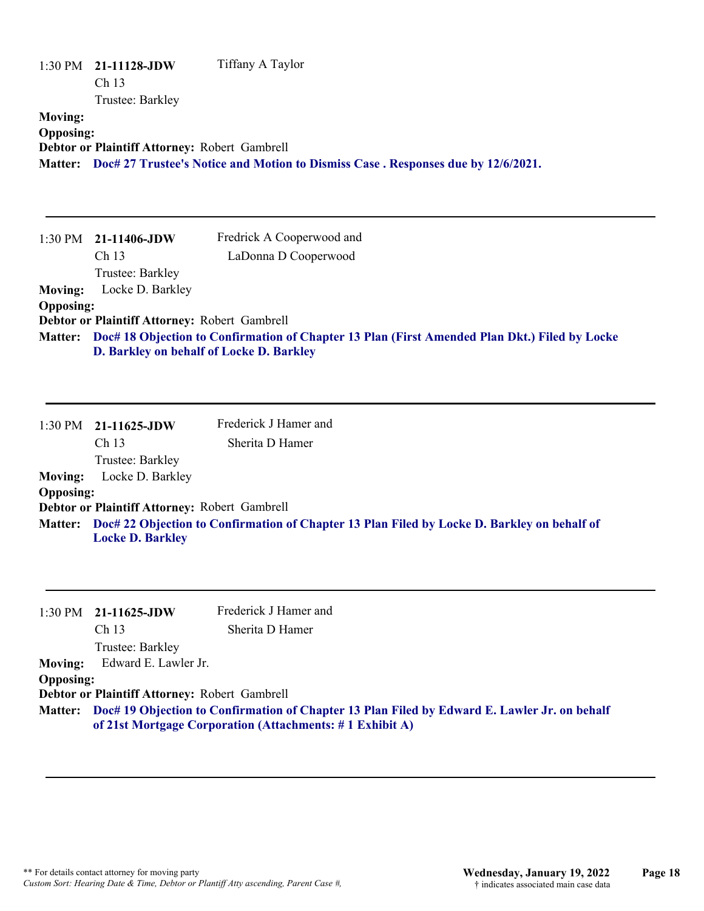| 1:30 PM                            | 21-11128-JDW<br>Ch 13<br>Trustee: Barkley                                                 | Tiffany A Taylor                                                                                                                                         |
|------------------------------------|-------------------------------------------------------------------------------------------|----------------------------------------------------------------------------------------------------------------------------------------------------------|
| <b>Moving:</b><br><b>Opposing:</b> | Debtor or Plaintiff Attorney: Robert Gambrell                                             | Matter: Doc# 27 Trustee's Notice and Motion to Dismiss Case . Responses due by 12/6/2021.                                                                |
|                                    | 1:30 PM 21-11406-JDW<br>Ch 13<br>Trustee: Barkley                                         | Fredrick A Cooperwood and<br>LaDonna D Cooperwood                                                                                                        |
| <b>Moving:</b>                     | Locke D. Barkley                                                                          |                                                                                                                                                          |
| <b>Opposing:</b>                   |                                                                                           |                                                                                                                                                          |
| <b>Matter:</b>                     | Debtor or Plaintiff Attorney: Robert Gambrell<br>D. Barkley on behalf of Locke D. Barkley | Doc# 18 Objection to Confirmation of Chapter 13 Plan (First Amended Plan Dkt.) Filed by Locke                                                            |
| 1:30 PM                            | 21-11625-JDW<br>Ch 13<br>Trustee: Barkley                                                 | Frederick J Hamer and<br>Sherita D Hamer                                                                                                                 |
| <b>Moving:</b>                     | Locke D. Barkley                                                                          |                                                                                                                                                          |
| <b>Opposing:</b>                   |                                                                                           |                                                                                                                                                          |
| <b>Matter:</b>                     | Debtor or Plaintiff Attorney: Robert Gambrell<br><b>Locke D. Barkley</b>                  | Doc# 22 Objection to Confirmation of Chapter 13 Plan Filed by Locke D. Barkley on behalf of                                                              |
| 1:30 PM                            | 21-11625-JDW                                                                              | Frederick J Hamer and                                                                                                                                    |
|                                    | Ch 13                                                                                     | Sherita D Hamer                                                                                                                                          |
| <b>Moving:</b><br><b>Opposing:</b> | Trustee: Barkley<br>Edward E. Lawler Jr.                                                  |                                                                                                                                                          |
| <b>Matter:</b>                     | Debtor or Plaintiff Attorney: Robert Gambrell                                             | Doc# 19 Objection to Confirmation of Chapter 13 Plan Filed by Edward E. Lawler Jr. on behalf<br>of 21st Mortgage Corporation (Attachments: #1 Exhibit A) |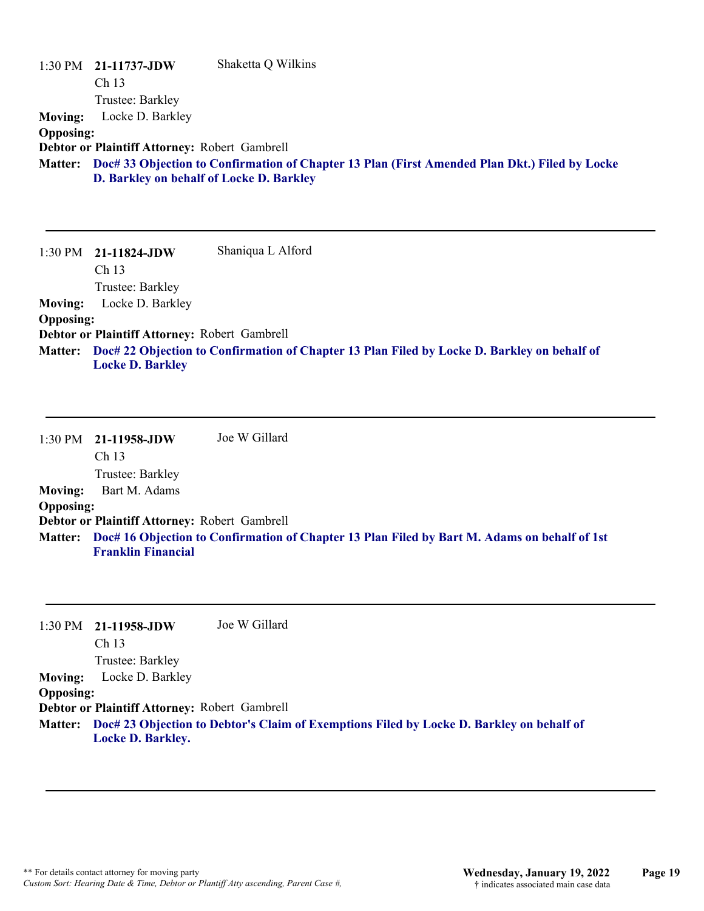| $1:30$ PM        | 21-11737-JDW                                  | Shaketta Q Wilkins                                                                            |
|------------------|-----------------------------------------------|-----------------------------------------------------------------------------------------------|
|                  | Ch <sub>13</sub>                              |                                                                                               |
|                  | Trustee: Barkley                              |                                                                                               |
| <b>Moving:</b>   | Locke D. Barkley                              |                                                                                               |
| <b>Opposing:</b> |                                               |                                                                                               |
|                  | Debtor or Plaintiff Attorney: Robert Gambrell |                                                                                               |
| <b>Matter:</b>   |                                               | Doc# 33 Objection to Confirmation of Chapter 13 Plan (First Amended Plan Dkt.) Filed by Locke |
|                  | D. Barkley on behalf of Locke D. Barkley      |                                                                                               |
|                  |                                               |                                                                                               |

1:30 PM **21-11824-JDW**  Ch 13 Trustee: Barkley Shaniqua L Alford **Moving:** Locke D. Barkley **Opposing: Debtor or Plaintiff Attorney:** Robert Gambrell **Doc# 22 Objection to Confirmation of Chapter 13 Plan Filed by Locke D. Barkley on behalf of Matter: Locke D. Barkley**

1:30 PM **21-11958-JDW**  Ch 13 Trustee: Barkley Joe W Gillard **Moving:** Bart M. Adams **Opposing: Debtor or Plaintiff Attorney:** Robert Gambrell **Doc# 16 Objection to Confirmation of Chapter 13 Plan Filed by Bart M. Adams on behalf of 1st Matter: Franklin Financial**

1:30 PM **21-11958-JDW**  Ch 13 Trustee: Barkley Joe W Gillard **Moving:** Locke D. Barkley **Opposing: Debtor or Plaintiff Attorney:** Robert Gambrell **Doc# 23 Objection to Debtor's Claim of Exemptions Filed by Locke D. Barkley on behalf of Matter: Locke D. Barkley.**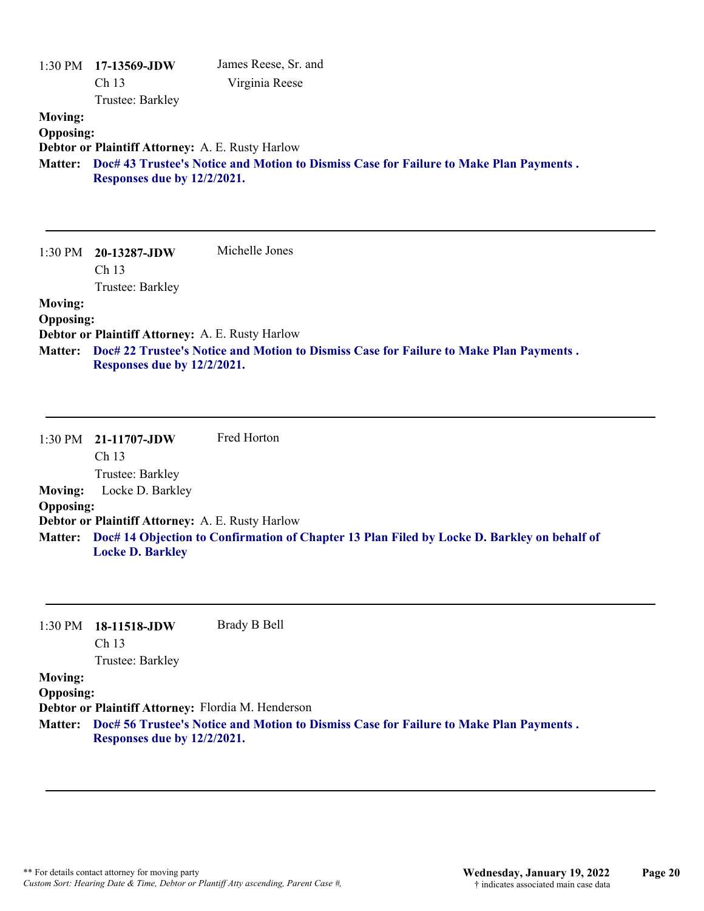|                                                      | 1:30 PM 17-13569-JDW<br>Ch 13<br>Trustee: Barkley                               | James Reese, Sr. and<br>Virginia Reese                                                 |
|------------------------------------------------------|---------------------------------------------------------------------------------|----------------------------------------------------------------------------------------|
| <b>Moving:</b><br><b>Opposing:</b>                   | Debtor or Plaintiff Attorney: A. E. Rusty Harlow                                |                                                                                        |
| <b>Matter:</b>                                       | Responses due by 12/2/2021.                                                     | Doc# 43 Trustee's Notice and Motion to Dismiss Case for Failure to Make Plan Payments. |
| 1:30 PM                                              | 20-13287-JDW<br>Ch 13<br>Trustee: Barkley                                       | Michelle Jones                                                                         |
| <b>Moving:</b><br><b>Opposing:</b><br><b>Matter:</b> | Debtor or Plaintiff Attorney: A. E. Rusty Harlow<br>Responses due by 12/2/2021. | Doc# 22 Trustee's Notice and Motion to Dismiss Case for Failure to Make Plan Payments. |
|                                                      | 1:30 PM 21-11707-JDW<br>$\sim$ 1 $\sim$                                         | Fred Horton                                                                            |

Ch 13 Trustee: Barkley **Moving:** Locke D. Barkley **Opposing: Debtor or Plaintiff Attorney:** A. E. Rusty Harlow **Doc# 14 Objection to Confirmation of Chapter 13 Plan Filed by Locke D. Barkley on behalf of Matter: Locke D. Barkley**

1:30 PM **18-11518-JDW**  Ch 13 Brady B Bell

Trustee: Barkley

# **Moving:**

**Opposing:**

**Debtor or Plaintiff Attorney:** Flordia M. Henderson

**Doc# 56 Trustee's Notice and Motion to Dismiss Case for Failure to Make Plan Payments . Matter: Responses due by 12/2/2021.**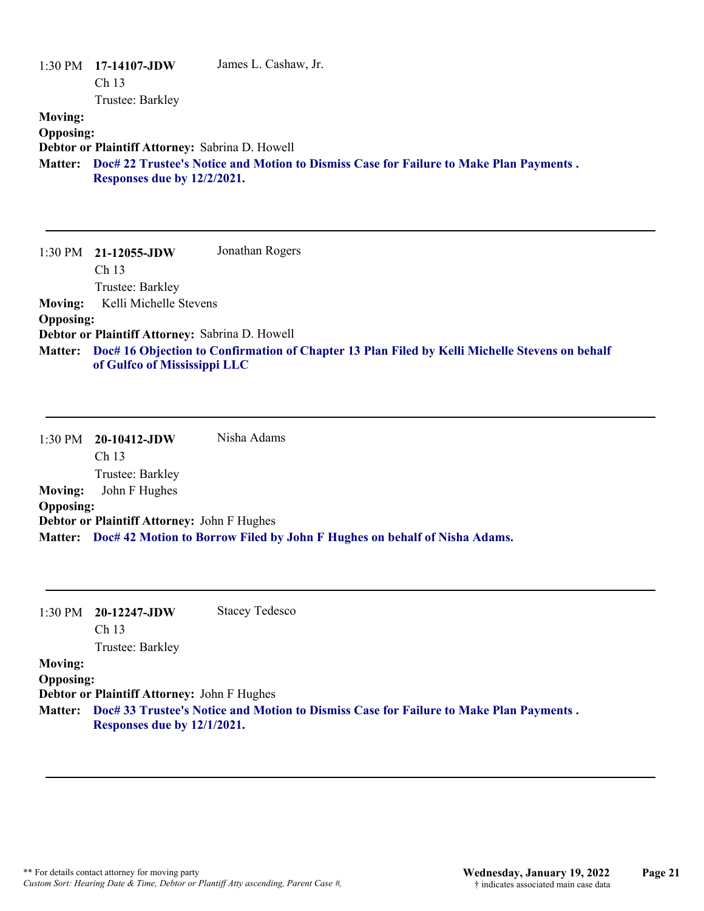|                  | $1:30 \text{ PM}$ 17-14107-JDW                  | James L. Cashaw, Jr.                                                                   |
|------------------|-------------------------------------------------|----------------------------------------------------------------------------------------|
|                  | Ch <sub>13</sub>                                |                                                                                        |
|                  | Trustee: Barkley                                |                                                                                        |
| <b>Moving:</b>   |                                                 |                                                                                        |
| <b>Opposing:</b> |                                                 |                                                                                        |
|                  | Debtor or Plaintiff Attorney: Sabrina D. Howell |                                                                                        |
| <b>Matter:</b>   | Responses due by 12/2/2021.                     | Doc# 22 Trustee's Notice and Motion to Dismiss Case for Failure to Make Plan Payments. |

1:30 PM **21-12055-JDW**  Ch 13 Trustee: Barkley Jonathan Rogers **Moving:** Kelli Michelle Stevens **Opposing: Debtor or Plaintiff Attorney:** Sabrina D. Howell **Doc# 16 Objection to Confirmation of Chapter 13 Plan Filed by Kelli Michelle Stevens on behalf Matter: of Gulfco of Mississippi LLC**

1:30 PM **20-10412-JDW**  Ch 13 Trustee: Barkley Nisha Adams **Moving:** John F Hughes **Opposing: Debtor or Plaintiff Attorney:** John F Hughes **Matter: Doc# 42 Motion to Borrow Filed by John F Hughes on behalf of Nisha Adams.**

| 1:30 PM                            | $20-12247$ -JDW<br>Ch <sub>13</sub><br>Trustee: Barkley                    | <b>Stacey Tedesco</b>                                                                          |
|------------------------------------|----------------------------------------------------------------------------|------------------------------------------------------------------------------------------------|
| <b>Moving:</b><br><b>Opposing:</b> | Debtor or Plaintiff Attorney: John F Hughes<br>Responses due by 12/1/2021. | Matter: Doc# 33 Trustee's Notice and Motion to Dismiss Case for Failure to Make Plan Payments. |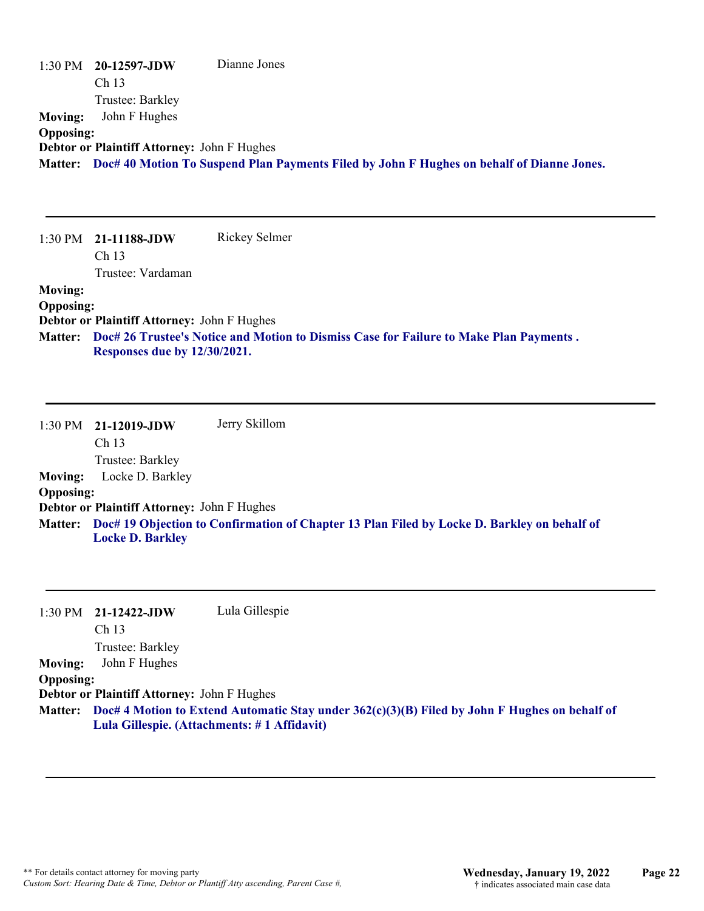|                  | 1:30 PM 20-12597-JDW                        | Dianne Jones                                                                                      |
|------------------|---------------------------------------------|---------------------------------------------------------------------------------------------------|
|                  | Ch <sub>13</sub>                            |                                                                                                   |
|                  | Trustee: Barkley                            |                                                                                                   |
| <b>Moving:</b>   | John F Hughes                               |                                                                                                   |
| <b>Opposing:</b> |                                             |                                                                                                   |
|                  | Debtor or Plaintiff Attorney: John F Hughes |                                                                                                   |
|                  |                                             | Matter: Doc# 40 Motion To Suspend Plan Payments Filed by John F Hughes on behalf of Dianne Jones. |

|                  | $1:30 \text{ PM}$ 21-11188-JDW              | Rickey Selmer                                                                          |
|------------------|---------------------------------------------|----------------------------------------------------------------------------------------|
|                  | Ch <sub>13</sub>                            |                                                                                        |
|                  | Trustee: Vardaman                           |                                                                                        |
| <b>Moving:</b>   |                                             |                                                                                        |
| <b>Opposing:</b> |                                             |                                                                                        |
|                  | Debtor or Plaintiff Attorney: John F Hughes |                                                                                        |
| <b>Matter:</b>   |                                             | Doc# 26 Trustee's Notice and Motion to Dismiss Case for Failure to Make Plan Payments. |
|                  | Responses due by 12/30/2021.                |                                                                                        |

|                  | $1:30$ PM $21-12019$ -JDW                          | Jerry Skillom                                                                               |
|------------------|----------------------------------------------------|---------------------------------------------------------------------------------------------|
|                  | Ch <sub>13</sub>                                   |                                                                                             |
|                  | Trustee: Barkley                                   |                                                                                             |
| <b>Moving:</b>   | Locke D. Barkley                                   |                                                                                             |
| <b>Opposing:</b> |                                                    |                                                                                             |
|                  | <b>Debtor or Plaintiff Attorney: John F Hughes</b> |                                                                                             |
| <b>Matter:</b>   |                                                    | Doc# 19 Objection to Confirmation of Chapter 13 Plan Filed by Locke D. Barkley on behalf of |
|                  | <b>Locke D. Barkley</b>                            |                                                                                             |

|                  | $1:30$ PM $21-12422$ -JDW                          | Lula Gillespie                                                                                        |
|------------------|----------------------------------------------------|-------------------------------------------------------------------------------------------------------|
|                  | Ch <sub>13</sub>                                   |                                                                                                       |
|                  | Trustee: Barkley                                   |                                                                                                       |
| <b>Moving:</b>   | John F Hughes                                      |                                                                                                       |
| <b>Opposing:</b> |                                                    |                                                                                                       |
|                  | <b>Debtor or Plaintiff Attorney: John F Hughes</b> |                                                                                                       |
|                  |                                                    | Matter: Doc# 4 Motion to Extend Automatic Stay under 362(c)(3)(B) Filed by John F Hughes on behalf of |
|                  | Lula Gillespie. (Attachments: #1 Affidavit)        |                                                                                                       |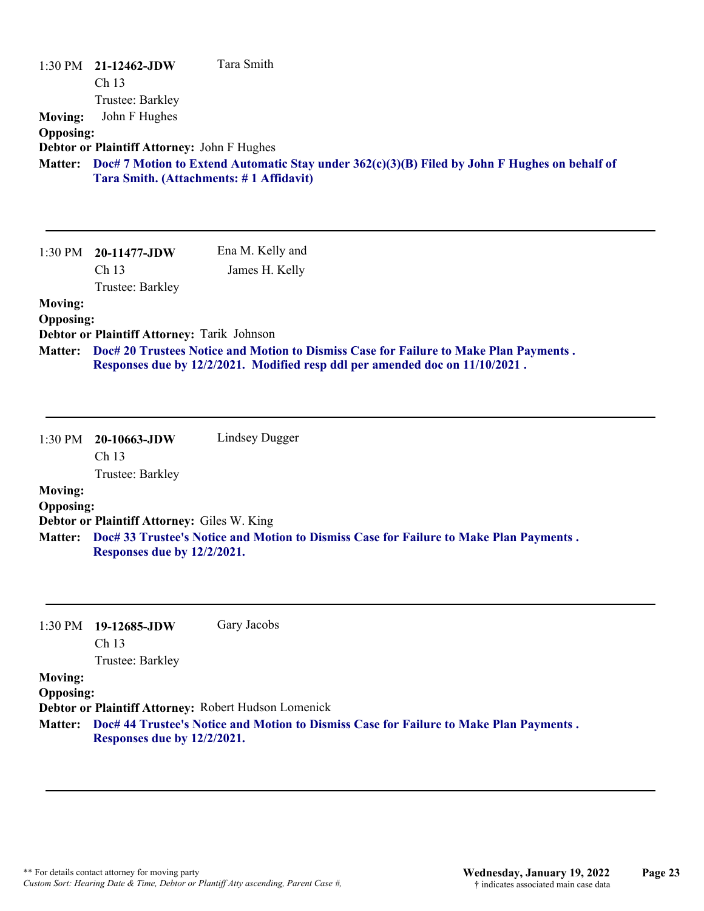| <b>Moving:</b><br><b>Opposing:</b><br><b>Matter:</b> | 1:30 PM 21-12462-JDW<br>Ch <sub>13</sub><br>Trustee: Barkley<br>John F Hughes<br>Debtor or Plaintiff Attorney: John F Hughes<br>Tara Smith. (Attachments: #1 Affidavit) | Tara Smith<br>Doc# 7 Motion to Extend Automatic Stay under $362(c)(3)(B)$ Filed by John F Hughes on behalf of                                                         |
|------------------------------------------------------|-------------------------------------------------------------------------------------------------------------------------------------------------------------------------|-----------------------------------------------------------------------------------------------------------------------------------------------------------------------|
| 1:30 PM                                              | 20-11477-JDW<br>Ch 13<br>Trustee: Barkley                                                                                                                               | Ena M. Kelly and<br>James H. Kelly                                                                                                                                    |
| <b>Moving:</b><br><b>Opposing:</b><br><b>Matter:</b> | Debtor or Plaintiff Attorney: Tarik Johnson                                                                                                                             | Doc# 20 Trustees Notice and Motion to Dismiss Case for Failure to Make Plan Payments.<br>Responses due by 12/2/2021. Modified resp ddl per amended doc on 11/10/2021. |
| 1:30 PM                                              | 20-10663-JDW<br>Ch 13<br>Trustee: Barkley                                                                                                                               | Lindsey Dugger                                                                                                                                                        |
| <b>Moving:</b>                                       |                                                                                                                                                                         |                                                                                                                                                                       |
| <b>Opposing:</b><br><b>Matter:</b>                   | Debtor or Plaintiff Attorney: Giles W. King<br>Responses due by 12/2/2021.                                                                                              | Doc# 33 Trustee's Notice and Motion to Dismiss Case for Failure to Make Plan Payments.                                                                                |
| 1:30 PM                                              | 19-12685-JDW<br>Ch 13                                                                                                                                                   | Gary Jacobs                                                                                                                                                           |
| <b>Moving:</b><br><b>Opposing:</b>                   | Trustee: Barkley                                                                                                                                                        | Debtor or Plaintiff Attorney: Robert Hudson Lomenick                                                                                                                  |

**Doc# 44 Trustee's Notice and Motion to Dismiss Case for Failure to Make Plan Payments . Matter: Responses due by 12/2/2021.**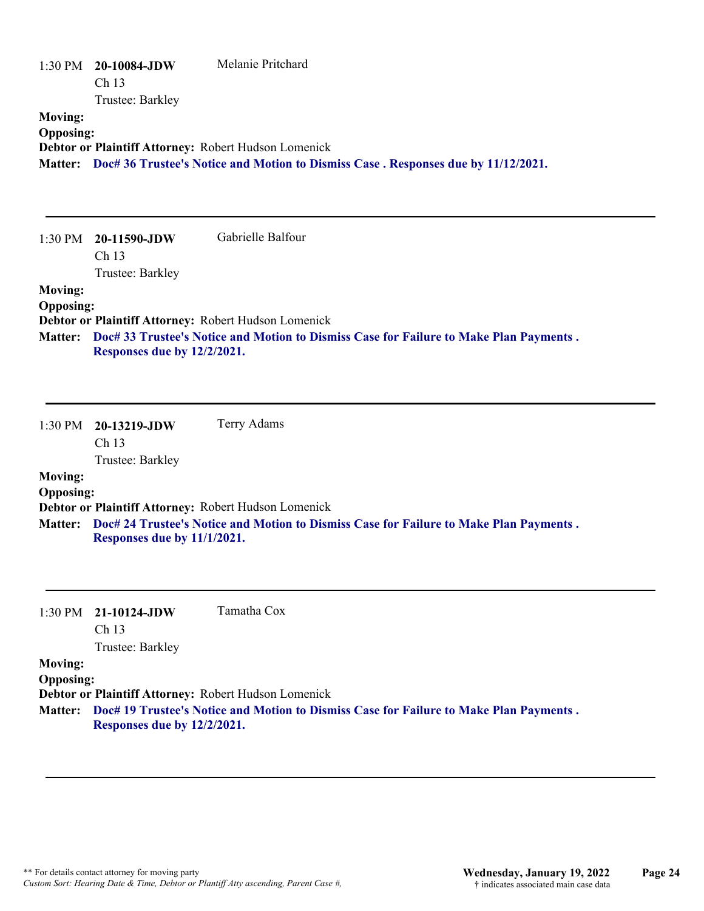|                                    | 1:30 PM 20-10084-JDW<br>Ch 13<br>Trustee: Barkley | Melanie Pritchard                                                                                                                                      |
|------------------------------------|---------------------------------------------------|--------------------------------------------------------------------------------------------------------------------------------------------------------|
| <b>Moving:</b><br><b>Opposing:</b> |                                                   | Debtor or Plaintiff Attorney: Robert Hudson Lomenick<br>Matter: Doc# 36 Trustee's Notice and Motion to Dismiss Case. Responses due by 11/12/2021.      |
| $1:30$ PM                          | 20-11590-JDW<br>Ch 13<br>Trustee: Barkley         | Gabrielle Balfour                                                                                                                                      |
| <b>Moving:</b><br><b>Opposing:</b> | Responses due by 12/2/2021.                       | Debtor or Plaintiff Attorney: Robert Hudson Lomenick<br>Matter: Doc# 33 Trustee's Notice and Motion to Dismiss Case for Failure to Make Plan Payments. |
| 1:30 PM                            | 20-13219-JDW<br>Ch 13<br>Trustee: Barkley         | Terry Adams                                                                                                                                            |
| <b>Moving:</b><br><b>Opposing:</b> |                                                   | Debtor or Plaintiff Attorney: Robert Hudson Lomenick                                                                                                   |
|                                    | Responses due by 11/1/2021.                       | Matter: Doc# 24 Trustee's Notice and Motion to Dismiss Case for Failure to Make Plan Payments.                                                         |
| 1:30 PM                            | 21-10124-JDW<br>Ch 13<br>Trustee: Barkley         | Tamatha Cox                                                                                                                                            |
| $M_{\alpha \nu \alpha \sigma \nu}$ |                                                   |                                                                                                                                                        |

**Moving: Opposing:**

**Debtor or Plaintiff Attorney:** Robert Hudson Lomenick

**Doc# 19 Trustee's Notice and Motion to Dismiss Case for Failure to Make Plan Payments . Matter: Responses due by 12/2/2021.**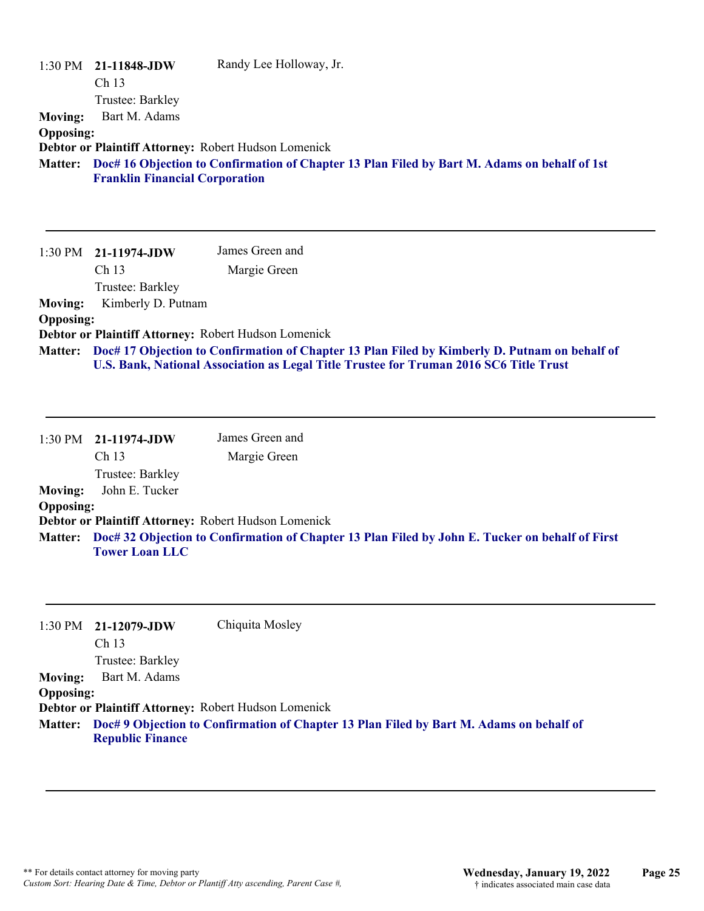| <b>Moving:</b><br><b>Opposing:</b>                              | 1:30 PM 21-11848-JDW<br>Ch <sub>13</sub><br>Trustee: Barkley<br>Bart M. Adams<br>Debtor or Plaintiff Attorney: Robert Hudson Lomenick<br><b>Franklin Financial Corporation</b> | Randy Lee Holloway, Jr.<br>Matter: Doc# 16 Objection to Confirmation of Chapter 13 Plan Filed by Bart M. Adams on behalf of 1st                                                                                                   |
|-----------------------------------------------------------------|--------------------------------------------------------------------------------------------------------------------------------------------------------------------------------|-----------------------------------------------------------------------------------------------------------------------------------------------------------------------------------------------------------------------------------|
| 1:30 PM<br><b>Moving:</b><br><b>Opposing:</b><br><b>Matter:</b> | 21-11974-JDW<br>Ch 13<br>Trustee: Barkley<br>Kimberly D. Putnam<br>Debtor or Plaintiff Attorney: Robert Hudson Lomenick                                                        | James Green and<br>Margie Green<br>Doc# 17 Objection to Confirmation of Chapter 13 Plan Filed by Kimberly D. Putnam on behalf of<br><b>U.S. Bank, National Association as Legal Title Trustee for Truman 2016 SC6 Title Trust</b> |
| 1:30 PM<br><b>Moving:</b><br><b>Opposing:</b>                   | 21-11974-JDW<br>Ch <sub>13</sub><br>Trustee: Barkley<br>John E. Tucker<br>Debtor or Plaintiff Attorney: Robert Hudson Lomenick<br><b>Tower Loan LLC</b>                        | James Green and<br>Margie Green<br>Matter: Doc# 32 Objection to Confirmation of Chapter 13 Plan Filed by John E. Tucker on behalf of First                                                                                        |

|                  | $1:30 \text{ PM}$ 21-12079-JDW                       | Chiquita Mosley                                                                         |
|------------------|------------------------------------------------------|-----------------------------------------------------------------------------------------|
|                  | Ch <sub>13</sub>                                     |                                                                                         |
|                  | Trustee: Barkley                                     |                                                                                         |
| <b>Moving:</b>   | Bart M. Adams                                        |                                                                                         |
| <b>Opposing:</b> |                                                      |                                                                                         |
|                  | Debtor or Plaintiff Attorney: Robert Hudson Lomenick |                                                                                         |
| <b>Matter:</b>   | <b>Republic Finance</b>                              | Doc# 9 Objection to Confirmation of Chapter 13 Plan Filed by Bart M. Adams on behalf of |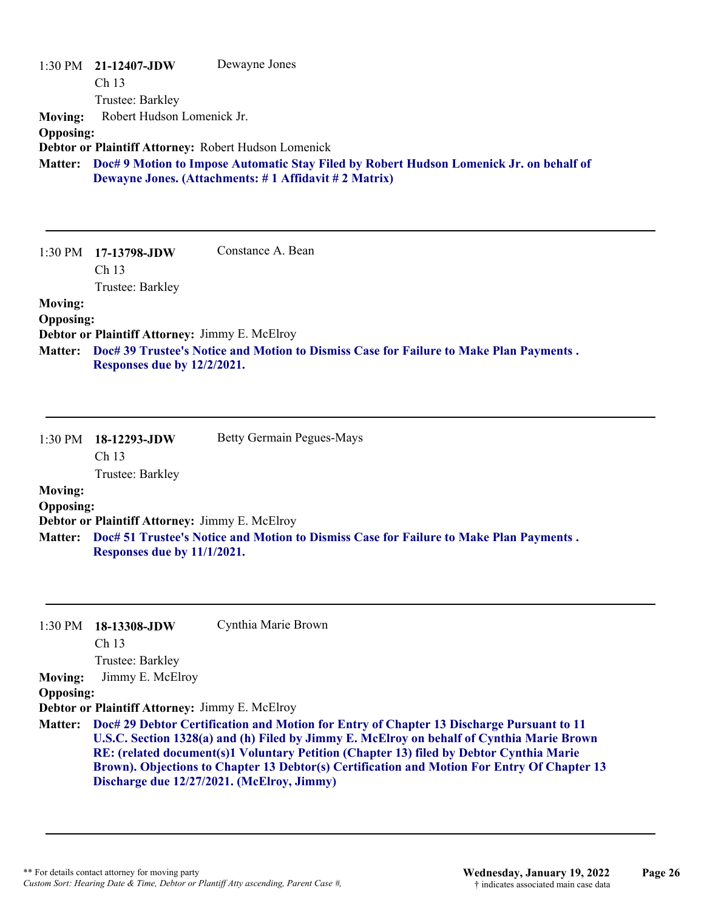|                  | $1:30 \text{ PM}$ 21-12407-JDW | Dewayne Jones                                                                                   |
|------------------|--------------------------------|-------------------------------------------------------------------------------------------------|
|                  | Ch <sub>13</sub>               |                                                                                                 |
|                  | Trustee: Barkley               |                                                                                                 |
| <b>Moving:</b>   | Robert Hudson Lomenick Jr.     |                                                                                                 |
| <b>Opposing:</b> |                                |                                                                                                 |
|                  |                                | Debtor or Plaintiff Attorney: Robert Hudson Lomenick                                            |
|                  |                                | Matter: Doc# 9 Motion to Impose Automatic Stay Filed by Robert Hudson Lomenick Jr. on behalf of |
|                  |                                | Dewayne Jones. (Attachments: #1 Affidavit #2 Matrix)                                            |
|                  |                                |                                                                                                 |
|                  |                                |                                                                                                 |

|                  | $1:30 \text{ PM}$ 17-13798-JDW                        | Constance A. Bean                                                                      |
|------------------|-------------------------------------------------------|----------------------------------------------------------------------------------------|
|                  | Ch <sub>13</sub>                                      |                                                                                        |
|                  | Trustee: Barkley                                      |                                                                                        |
| <b>Moving:</b>   |                                                       |                                                                                        |
| <b>Opposing:</b> |                                                       |                                                                                        |
|                  | <b>Debtor or Plaintiff Attorney: Jimmy E. McElroy</b> |                                                                                        |
| <b>Matter:</b>   |                                                       | Doc# 39 Trustee's Notice and Motion to Dismiss Case for Failure to Make Plan Payments. |
|                  | Responses due by 12/2/2021.                           |                                                                                        |

| $1:30$ PM        | 18-12293-JDW                                   | <b>Betty Germain Pegues-Mays</b>                                                       |
|------------------|------------------------------------------------|----------------------------------------------------------------------------------------|
|                  | Ch <sub>13</sub>                               |                                                                                        |
|                  | Trustee: Barkley                               |                                                                                        |
| <b>Moving:</b>   |                                                |                                                                                        |
| <b>Opposing:</b> |                                                |                                                                                        |
|                  | Debtor or Plaintiff Attorney: Jimmy E. McElroy |                                                                                        |
| <b>Matter:</b>   | Responses due by 11/1/2021.                    | Doc# 51 Trustee's Notice and Motion to Dismiss Case for Failure to Make Plan Payments. |

| 1:30 PM          | 18-13308-JDW                                   | Cynthia Marie Brown                                                                         |
|------------------|------------------------------------------------|---------------------------------------------------------------------------------------------|
|                  | Ch <sub>13</sub>                               |                                                                                             |
|                  | Trustee: Barkley                               |                                                                                             |
| <b>Moving:</b>   | Jimmy E. McElroy                               |                                                                                             |
| <b>Opposing:</b> |                                                |                                                                                             |
|                  | Debtor or Plaintiff Attorney: Jimmy E. McElroy |                                                                                             |
| <b>Matter:</b>   |                                                | Doc# 29 Debtor Certification and Motion for Entry of Chapter 13 Discharge Pursuant to 11    |
|                  |                                                | U.S.C. Section 1328(a) and (h) Filed by Jimmy E. McElroy on behalf of Cynthia Marie Brown   |
|                  |                                                | RE: (related document(s)1 Voluntary Petition (Chapter 13) filed by Debtor Cynthia Marie     |
|                  |                                                | Brown). Objections to Chapter 13 Debtor(s) Certification and Motion For Entry Of Chapter 13 |
|                  |                                                | Discharge due 12/27/2021. (McElroy, Jimmy)                                                  |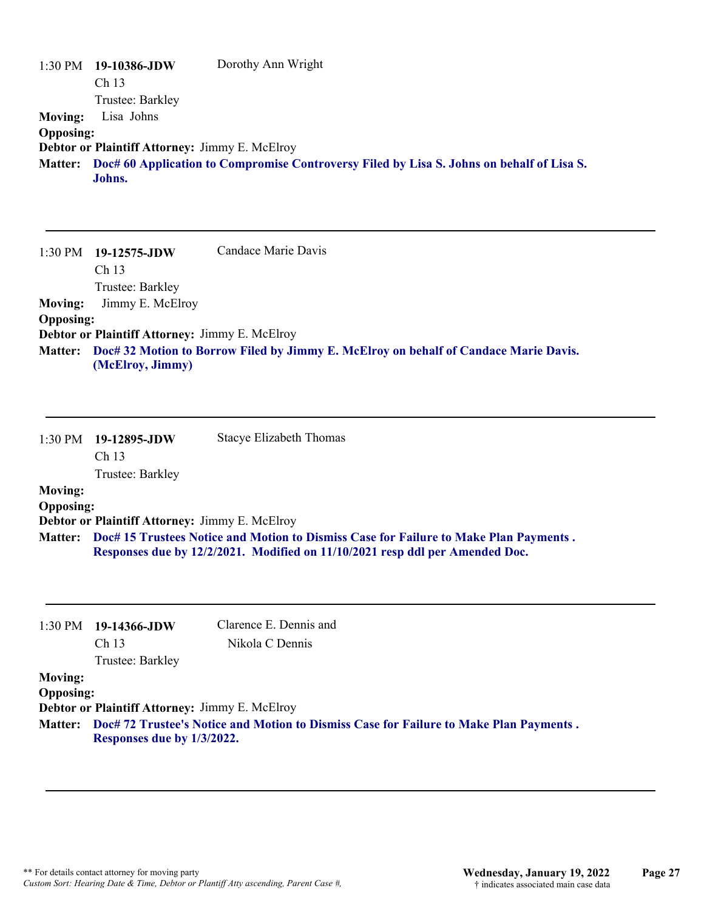|                  | $1:30 \text{ PM}$ 19-10386-JDW | Dorothy Ann Wright                                                                        |
|------------------|--------------------------------|-------------------------------------------------------------------------------------------|
|                  | Ch <sub>13</sub>               |                                                                                           |
|                  | Trustee: Barkley               |                                                                                           |
| <b>Moving:</b>   | Lisa Johns                     |                                                                                           |
| <b>Opposing:</b> |                                |                                                                                           |
|                  |                                | Debtor or Plaintiff Attorney: Jimmy E. McElroy                                            |
| <b>Matter:</b>   |                                | Doc# 60 Application to Compromise Controversy Filed by Lisa S. Johns on behalf of Lisa S. |
|                  | Johns.                         |                                                                                           |

|                  | $1:30 \text{ PM}$ 19-12575-JDW                        | Candace Marie Davis                                                                          |
|------------------|-------------------------------------------------------|----------------------------------------------------------------------------------------------|
|                  | Ch <sub>13</sub>                                      |                                                                                              |
|                  | Trustee: Barkley                                      |                                                                                              |
| <b>Moving:</b>   | Jimmy E. McElroy                                      |                                                                                              |
| <b>Opposing:</b> |                                                       |                                                                                              |
|                  | <b>Debtor or Plaintiff Attorney: Jimmy E. McElroy</b> |                                                                                              |
|                  | (McElroy, Jimmy)                                      | Matter: Doc# 32 Motion to Borrow Filed by Jimmy E. McElroy on behalf of Candace Marie Davis. |

|                  | 1:30 PM 19-12895-JDW | Stacye Elizabeth Thomas                                                                                                                                               |
|------------------|----------------------|-----------------------------------------------------------------------------------------------------------------------------------------------------------------------|
|                  | Ch <sub>13</sub>     |                                                                                                                                                                       |
|                  | Trustee: Barkley     |                                                                                                                                                                       |
| <b>Moving:</b>   |                      |                                                                                                                                                                       |
| <b>Opposing:</b> |                      |                                                                                                                                                                       |
|                  |                      | Debtor or Plaintiff Attorney: Jimmy E. McElroy                                                                                                                        |
| <b>Matter:</b>   |                      | Doc# 15 Trustees Notice and Motion to Dismiss Case for Failure to Make Plan Payments.<br>Responses due by 12/2/2021. Modified on 11/10/2021 resp ddl per Amended Doc. |

|                  | $1:30 \text{ PM}$ 19-14366-JDW                                                                                               | Clarence E. Dennis and |
|------------------|------------------------------------------------------------------------------------------------------------------------------|------------------------|
|                  | Ch <sub>13</sub>                                                                                                             | Nikola C Dennis        |
|                  | Trustee: Barkley                                                                                                             |                        |
| <b>Moving:</b>   |                                                                                                                              |                        |
| <b>Opposing:</b> |                                                                                                                              |                        |
|                  | <b>Debtor or Plaintiff Attorney: Jimmy E. McElroy</b>                                                                        |                        |
|                  | Matter: Doc# 72 Trustee's Notice and Motion to Dismiss Case for Failure to Make Plan Payments.<br>Responses due by 1/3/2022. |                        |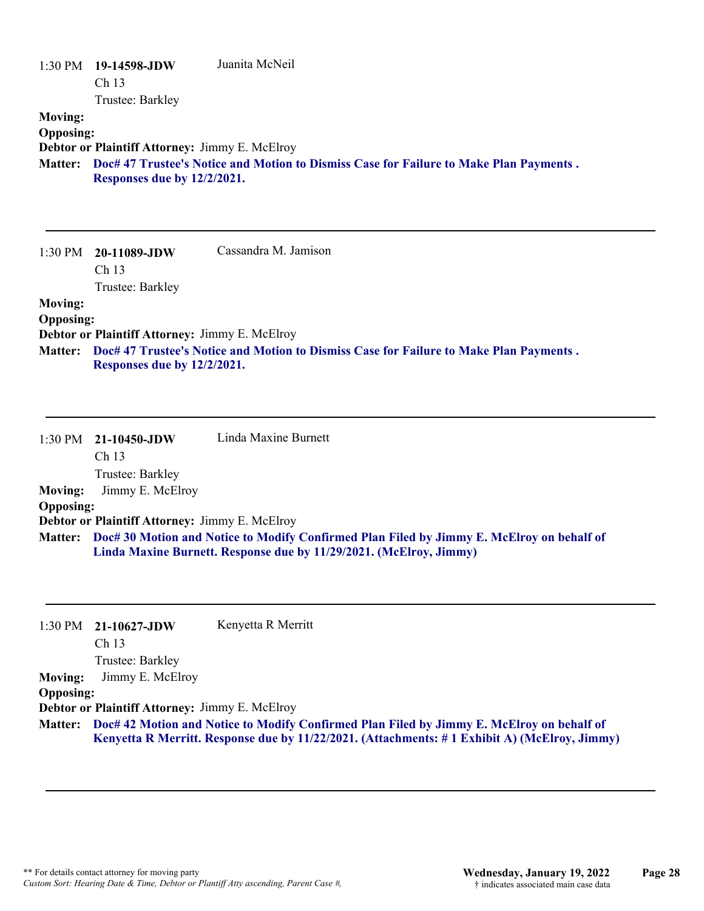|                  | 1:30 PM 19-14598-JDW        | Juanita McNeil                                                                         |
|------------------|-----------------------------|----------------------------------------------------------------------------------------|
|                  | Ch <sub>13</sub>            |                                                                                        |
|                  | Trustee: Barkley            |                                                                                        |
| <b>Moving:</b>   |                             |                                                                                        |
| <b>Opposing:</b> |                             |                                                                                        |
|                  |                             | <b>Debtor or Plaintiff Attorney: Jimmy E. McElroy</b>                                  |
| <b>Matter:</b>   | Responses due by 12/2/2021. | Doc# 47 Trustee's Notice and Motion to Dismiss Case for Failure to Make Plan Payments. |
|                  |                             |                                                                                        |

| 1:30 PM          | 20-11089-JDW                                   | Cassandra M. Jamison                                                                   |
|------------------|------------------------------------------------|----------------------------------------------------------------------------------------|
|                  | Ch <sub>13</sub>                               |                                                                                        |
|                  | Trustee: Barkley                               |                                                                                        |
| <b>Moving:</b>   |                                                |                                                                                        |
| <b>Opposing:</b> |                                                |                                                                                        |
|                  | Debtor or Plaintiff Attorney: Jimmy E. McElroy |                                                                                        |
| <b>Matter:</b>   | Responses due by 12/2/2021.                    | Doc# 47 Trustee's Notice and Motion to Dismiss Case for Failure to Make Plan Payments. |

|                  | $1:30$ PM $21-10450$ -JDW                             | Linda Maxine Burnett                                                                      |
|------------------|-------------------------------------------------------|-------------------------------------------------------------------------------------------|
|                  | Ch <sub>13</sub>                                      |                                                                                           |
|                  | Trustee: Barkley                                      |                                                                                           |
| <b>Moving:</b>   | Jimmy E. McElroy                                      |                                                                                           |
| <b>Opposing:</b> |                                                       |                                                                                           |
|                  | <b>Debtor or Plaintiff Attorney: Jimmy E. McElroy</b> |                                                                                           |
| <b>Matter:</b>   |                                                       | Doc# 30 Motion and Notice to Modify Confirmed Plan Filed by Jimmy E. McElroy on behalf of |
|                  |                                                       | Linda Maxine Burnett. Response due by 11/29/2021. (McElroy, Jimmy)                        |
|                  |                                                       |                                                                                           |

| 1:30 PM          | 21-10627-JDW                                   | Kenyetta R Merritt                                                                           |
|------------------|------------------------------------------------|----------------------------------------------------------------------------------------------|
|                  | Ch <sub>13</sub>                               |                                                                                              |
|                  | Trustee: Barkley                               |                                                                                              |
| <b>Moving:</b>   | Jimmy E. McElroy                               |                                                                                              |
| <b>Opposing:</b> |                                                |                                                                                              |
|                  | Debtor or Plaintiff Attorney: Jimmy E. McElroy |                                                                                              |
| <b>Matter:</b>   |                                                | Doc# 42 Motion and Notice to Modify Confirmed Plan Filed by Jimmy E. McElroy on behalf of    |
|                  |                                                | Kenyetta R Merritt. Response due by 11/22/2021. (Attachments: #1 Exhibit A) (McElroy, Jimmy) |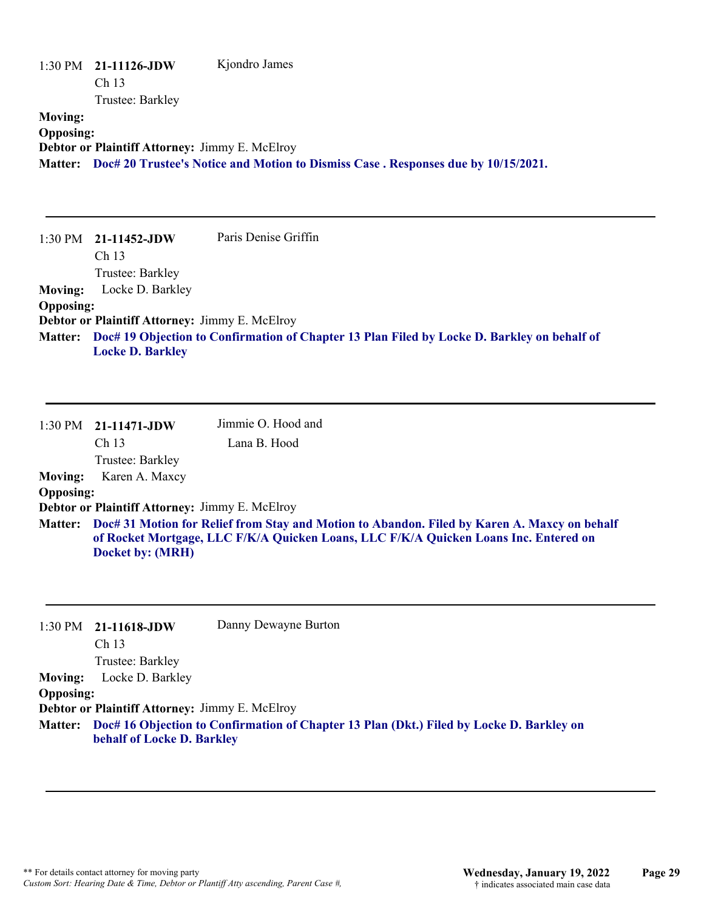|                  | $1:30 \text{ PM}$ 21-11126-JDW                 | Kjondro James                                                                     |
|------------------|------------------------------------------------|-----------------------------------------------------------------------------------|
|                  | Ch <sub>13</sub>                               |                                                                                   |
|                  | Trustee: Barkley                               |                                                                                   |
| <b>Moving:</b>   |                                                |                                                                                   |
| <b>Opposing:</b> |                                                |                                                                                   |
|                  | Debtor or Plaintiff Attorney: Jimmy E. McElroy |                                                                                   |
| <b>Matter:</b>   |                                                | Doc# 20 Trustee's Notice and Motion to Dismiss Case. Responses due by 10/15/2021. |
|                  |                                                |                                                                                   |
|                  |                                                |                                                                                   |

|                  | $1:30 \text{ PM}$ 21-11452-JDW                 | Paris Denise Griffin                                                                                |
|------------------|------------------------------------------------|-----------------------------------------------------------------------------------------------------|
|                  | Ch 13                                          |                                                                                                     |
|                  | Trustee: Barkley                               |                                                                                                     |
| <b>Moving:</b>   | Locke D. Barkley                               |                                                                                                     |
| <b>Opposing:</b> |                                                |                                                                                                     |
|                  | Debtor or Plaintiff Attorney: Jimmy E. McElroy |                                                                                                     |
|                  |                                                | Matter: Doc# 19 Objection to Confirmation of Chapter 13 Plan Filed by Locke D. Barkley on behalf of |
|                  | <b>Locke D. Barkley</b>                        |                                                                                                     |

|                  | $1:30$ PM $21-11471$ -JDW                                                                                                                                                                                        | Jimmie O. Hood and |
|------------------|------------------------------------------------------------------------------------------------------------------------------------------------------------------------------------------------------------------|--------------------|
|                  | Ch <sub>13</sub>                                                                                                                                                                                                 | Lana B. Hood       |
|                  | Trustee: Barkley                                                                                                                                                                                                 |                    |
| <b>Moving:</b>   | Karen A. Maxcy                                                                                                                                                                                                   |                    |
| <b>Opposing:</b> |                                                                                                                                                                                                                  |                    |
|                  | Debtor or Plaintiff Attorney: Jimmy E. McElroy                                                                                                                                                                   |                    |
|                  | Matter: Doc# 31 Motion for Relief from Stay and Motion to Abandon. Filed by Karen A. Maxcy on behalf<br>of Rocket Mortgage, LLC F/K/A Quicken Loans, LLC F/K/A Quicken Loans Inc. Entered on<br>Docket by: (MRH) |                    |

|                  | $1:30 \text{ PM}$ 21-11618-JDW                        | Danny Dewayne Burton                                                                     |
|------------------|-------------------------------------------------------|------------------------------------------------------------------------------------------|
|                  | Ch <sub>13</sub>                                      |                                                                                          |
|                  | Trustee: Barkley                                      |                                                                                          |
| <b>Moving:</b>   | Locke D. Barkley                                      |                                                                                          |
| <b>Opposing:</b> |                                                       |                                                                                          |
|                  | <b>Debtor or Plaintiff Attorney: Jimmy E. McElroy</b> |                                                                                          |
| <b>Matter:</b>   | behalf of Locke D. Barkley                            | Doc# 16 Objection to Confirmation of Chapter 13 Plan (Dkt.) Filed by Locke D. Barkley on |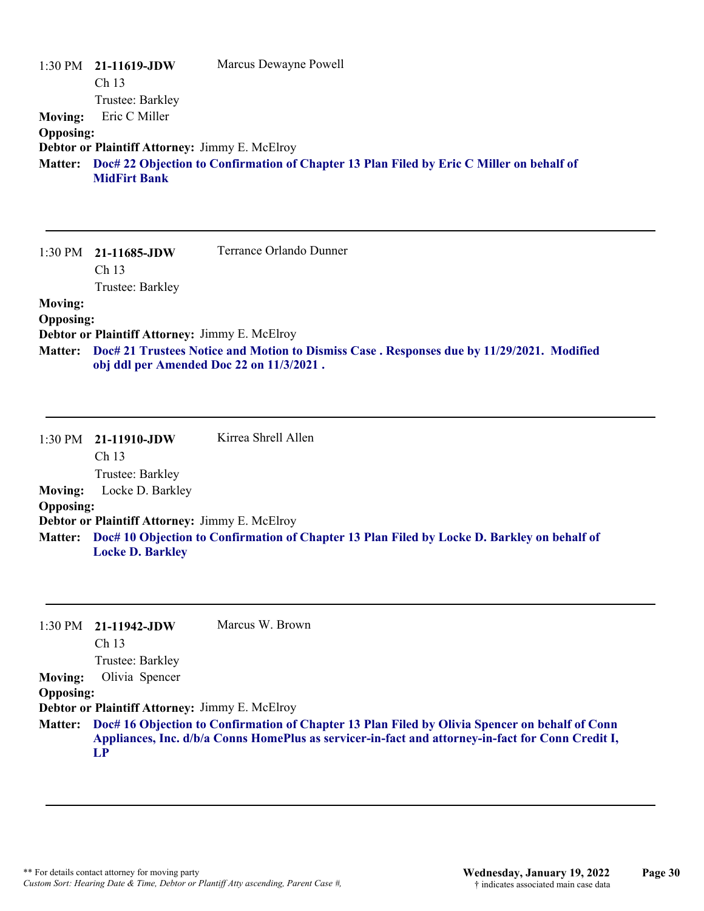|                  | $1:30 \text{ PM}$ 21-11619-JDW                        | Marcus Dewayne Powell                                                                            |
|------------------|-------------------------------------------------------|--------------------------------------------------------------------------------------------------|
|                  | Ch <sub>13</sub>                                      |                                                                                                  |
|                  | Trustee: Barkley                                      |                                                                                                  |
| <b>Moving:</b>   | Eric C Miller                                         |                                                                                                  |
| <b>Opposing:</b> |                                                       |                                                                                                  |
|                  | <b>Debtor or Plaintiff Attorney: Jimmy E. McElroy</b> |                                                                                                  |
|                  | <b>MidFirt Bank</b>                                   | Matter: Doc# 22 Objection to Confirmation of Chapter 13 Plan Filed by Eric C Miller on behalf of |

|                  | $1:30 \text{ PM}$ 21-11685-JDW                        | Terrance Orlando Dunner                                                                                                               |  |
|------------------|-------------------------------------------------------|---------------------------------------------------------------------------------------------------------------------------------------|--|
|                  | Ch <sub>13</sub>                                      |                                                                                                                                       |  |
|                  | Trustee: Barkley                                      |                                                                                                                                       |  |
| <b>Moving:</b>   |                                                       |                                                                                                                                       |  |
| <b>Opposing:</b> |                                                       |                                                                                                                                       |  |
|                  | <b>Debtor or Plaintiff Attorney: Jimmy E. McElroy</b> |                                                                                                                                       |  |
| <b>Matter:</b>   |                                                       | Doc# 21 Trustees Notice and Motion to Dismiss Case. Responses due by 11/29/2021. Modified<br>obj ddl per Amended Doc 22 on 11/3/2021. |  |

|                  | $1:30 \text{ PM}$ 21-11910-JDW                        | Kirrea Shrell Allen                                                                                 |
|------------------|-------------------------------------------------------|-----------------------------------------------------------------------------------------------------|
|                  | Ch <sub>13</sub>                                      |                                                                                                     |
|                  | Trustee: Barkley                                      |                                                                                                     |
| <b>Moving:</b>   | Locke D. Barkley                                      |                                                                                                     |
| <b>Opposing:</b> |                                                       |                                                                                                     |
|                  | <b>Debtor or Plaintiff Attorney: Jimmy E. McElroy</b> |                                                                                                     |
|                  |                                                       | Matter: Doc# 10 Objection to Confirmation of Chapter 13 Plan Filed by Locke D. Barkley on behalf of |
|                  | <b>Locke D. Barkley</b>                               |                                                                                                     |

|                  | $1:30 \text{ PM}$ 21-11942-JDW                        | Marcus W. Brown                                                                                   |
|------------------|-------------------------------------------------------|---------------------------------------------------------------------------------------------------|
|                  | Ch <sub>13</sub>                                      |                                                                                                   |
|                  | Trustee: Barkley                                      |                                                                                                   |
| <b>Moving:</b>   | Olivia Spencer                                        |                                                                                                   |
| <b>Opposing:</b> |                                                       |                                                                                                   |
|                  | <b>Debtor or Plaintiff Attorney: Jimmy E. McElroy</b> |                                                                                                   |
| <b>Matter:</b>   |                                                       | Doc# 16 Objection to Confirmation of Chapter 13 Plan Filed by Olivia Spencer on behalf of Conn    |
|                  |                                                       | Appliances, Inc. d/b/a Conns HomePlus as servicer-in-fact and attorney-in-fact for Conn Credit I, |
|                  | LP                                                    |                                                                                                   |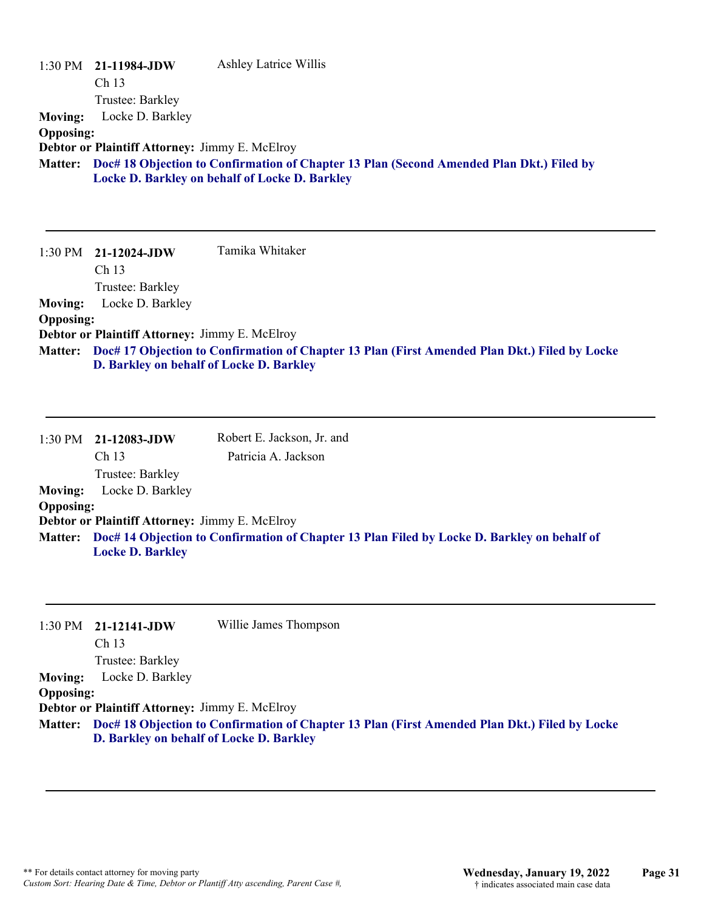|                  | $1:30 \text{ PM}$ 21-11984-JDW                 | <b>Ashley Latrice Willis</b>                                                             |
|------------------|------------------------------------------------|------------------------------------------------------------------------------------------|
|                  | Ch <sub>13</sub>                               |                                                                                          |
|                  | Trustee: Barkley                               |                                                                                          |
| <b>Moving:</b>   | Locke D. Barkley                               |                                                                                          |
| <b>Opposing:</b> |                                                |                                                                                          |
|                  | Debtor or Plaintiff Attorney: Jimmy E. McElroy |                                                                                          |
| <b>Matter:</b>   |                                                | Doc# 18 Objection to Confirmation of Chapter 13 Plan (Second Amended Plan Dkt.) Filed by |
|                  |                                                | Locke D. Barkley on behalf of Locke D. Barkley                                           |
|                  |                                                |                                                                                          |

|                  | $1:30 \text{ PM}$ 21-12024-JDW                 | Tamika Whitaker                                                                                       |
|------------------|------------------------------------------------|-------------------------------------------------------------------------------------------------------|
|                  | Ch <sub>13</sub>                               |                                                                                                       |
|                  | Trustee: Barkley                               |                                                                                                       |
| <b>Moving:</b>   | Locke D. Barkley                               |                                                                                                       |
| <b>Opposing:</b> |                                                |                                                                                                       |
|                  | Debtor or Plaintiff Attorney: Jimmy E. McElroy |                                                                                                       |
|                  |                                                | Matter: Doc# 17 Objection to Confirmation of Chapter 13 Plan (First Amended Plan Dkt.) Filed by Locke |
|                  | D. Barkley on behalf of Locke D. Barkley       |                                                                                                       |

|                  | 1:30 PM 21-12083-JDW                                  | Robert E. Jackson, Jr. and                                                                          |
|------------------|-------------------------------------------------------|-----------------------------------------------------------------------------------------------------|
|                  | Ch 13                                                 | Patricia A. Jackson                                                                                 |
|                  | Trustee: Barkley                                      |                                                                                                     |
| <b>Moving:</b>   | Locke D. Barkley                                      |                                                                                                     |
| <b>Opposing:</b> |                                                       |                                                                                                     |
|                  | <b>Debtor or Plaintiff Attorney: Jimmy E. McElroy</b> |                                                                                                     |
|                  | <b>Locke D. Barkley</b>                               | Matter: Doc# 14 Objection to Confirmation of Chapter 13 Plan Filed by Locke D. Barkley on behalf of |

|                  | $1:30 \text{ PM}$ 21-12141-JDW                        | Willie James Thompson                                                                                 |
|------------------|-------------------------------------------------------|-------------------------------------------------------------------------------------------------------|
|                  | Ch 13                                                 |                                                                                                       |
|                  | Trustee: Barkley                                      |                                                                                                       |
| <b>Moving:</b>   | Locke D. Barkley                                      |                                                                                                       |
| <b>Opposing:</b> |                                                       |                                                                                                       |
|                  | <b>Debtor or Plaintiff Attorney: Jimmy E. McElroy</b> |                                                                                                       |
|                  |                                                       | Matter: Doc# 18 Objection to Confirmation of Chapter 13 Plan (First Amended Plan Dkt.) Filed by Locke |
|                  | D. Barkley on behalf of Locke D. Barkley              |                                                                                                       |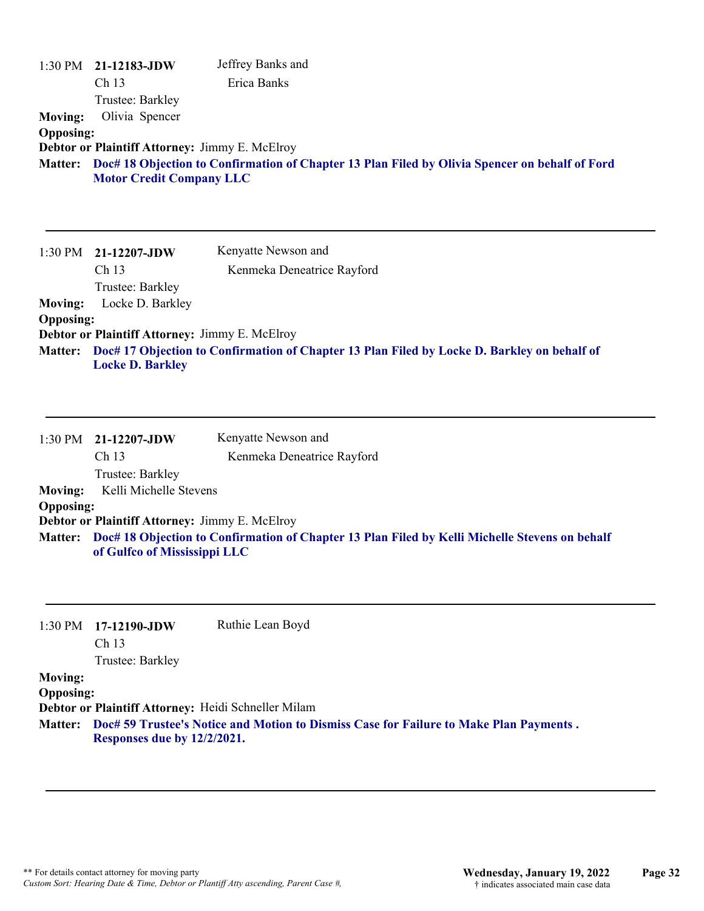| <b>Moving:</b><br><b>Opposing:</b><br><b>Matter:</b> | 1:30 PM 21-12183-JDW<br>Ch <sub>13</sub><br>Trustee: Barkley<br>Olivia Spencer<br>Debtor or Plaintiff Attorney: Jimmy E. McElroy<br><b>Motor Credit Company LLC</b> | Jeffrey Banks and<br>Erica Banks<br>Doc# 18 Objection to Confirmation of Chapter 13 Plan Filed by Olivia Spencer on behalf of Ford |
|------------------------------------------------------|---------------------------------------------------------------------------------------------------------------------------------------------------------------------|------------------------------------------------------------------------------------------------------------------------------------|
| 1:30 PM                                              | 21-12207-JDW<br>Ch 13<br>Trustee: Barkley                                                                                                                           | Kenyatte Newson and<br>Kenmeka Deneatrice Rayford                                                                                  |
| <b>Moving:</b>                                       | Locke D. Barkley                                                                                                                                                    |                                                                                                                                    |
| <b>Opposing:</b>                                     | Debtor or Plaintiff Attorney: Jimmy E. McElroy                                                                                                                      |                                                                                                                                    |
| <b>Matter:</b>                                       | <b>Locke D. Barkley</b>                                                                                                                                             | Doc# 17 Objection to Confirmation of Chapter 13 Plan Filed by Locke D. Barkley on behalf of                                        |
|                                                      | 1:30 PM 21-12207-JDW                                                                                                                                                | Kenyatte Newson and                                                                                                                |
|                                                      | Ch 13                                                                                                                                                               | Kenmeka Deneatrice Rayford                                                                                                         |
|                                                      | Trustee: Barkley                                                                                                                                                    |                                                                                                                                    |
| <b>Moving:</b><br><b>Opposing:</b>                   | Kelli Michelle Stevens                                                                                                                                              |                                                                                                                                    |
|                                                      | Debtor or Plaintiff Attorney: Jimmy E. McElroy                                                                                                                      |                                                                                                                                    |
| <b>Matter:</b>                                       | of Gulfco of Mississippi LLC                                                                                                                                        | Doc# 18 Objection to Confirmation of Chapter 13 Plan Filed by Kelli Michelle Stevens on behalf                                     |
| 1:30 PM                                              | 17-12190-JDW<br>Ch <sub>13</sub><br>Trustee: Barkley                                                                                                                | Ruthie Lean Boyd                                                                                                                   |
| <b>Moving:</b><br><b>Opposing:</b><br><b>Matter:</b> | Debtor or Plaintiff Attorney: Heidi Schneller Milam<br>Responses due by 12/2/2021.                                                                                  | Doc# 59 Trustee's Notice and Motion to Dismiss Case for Failure to Make Plan Payments.                                             |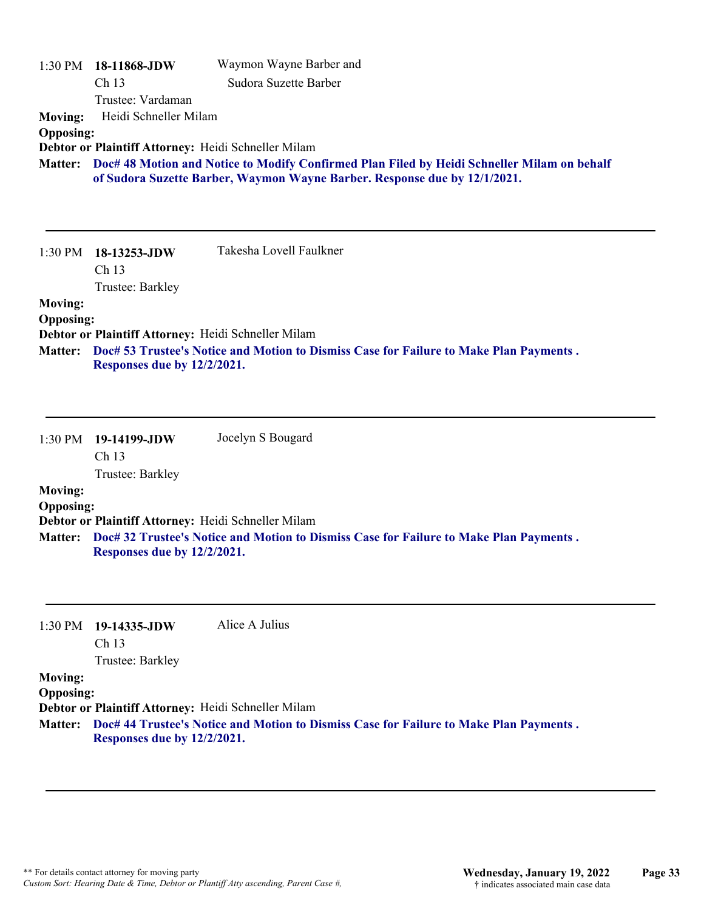| $1:30$ PM<br><b>Moving:</b><br><b>Opposing:</b><br><b>Matter:</b> | 18-11868-JDW<br>Ch 13<br>Trustee: Vardaman<br>Heidi Schneller Milam<br>Debtor or Plaintiff Attorney: Heidi Schneller Milam      | Waymon Wayne Barber and<br>Sudora Suzette Barber<br>Doc# 48 Motion and Notice to Modify Confirmed Plan Filed by Heidi Schneller Milam on behalf<br>of Sudora Suzette Barber, Waymon Wayne Barber. Response due by 12/1/2021. |
|-------------------------------------------------------------------|---------------------------------------------------------------------------------------------------------------------------------|------------------------------------------------------------------------------------------------------------------------------------------------------------------------------------------------------------------------------|
| 1:30 PM                                                           | 18-13253-JDW<br>Ch 13<br>Trustee: Barkley                                                                                       | Takesha Lovell Faulkner                                                                                                                                                                                                      |
| <b>Moving:</b><br><b>Opposing:</b><br><b>Matter:</b>              | Debtor or Plaintiff Attorney: Heidi Schneller Milam<br>Responses due by 12/2/2021.                                              | Doc# 53 Trustee's Notice and Motion to Dismiss Case for Failure to Make Plan Payments.                                                                                                                                       |
| 1:30 PM<br><b>Moving:</b><br><b>Opposing:</b><br><b>Matter:</b>   | 19-14199-JDW<br>Ch 13<br>Trustee: Barkley<br>Debtor or Plaintiff Attorney: Heidi Schneller Milam<br>Responses due by 12/2/2021. | Jocelyn S Bougard<br>Doc# 32 Trustee's Notice and Motion to Dismiss Case for Failure to Make Plan Payments.                                                                                                                  |

1:30 PM **19-14335-JDW**  Ch 13 Alice A Julius

Trustee: Barkley

### **Moving:**

**Opposing:**

**Debtor or Plaintiff Attorney:** Heidi Schneller Milam

**Doc# 44 Trustee's Notice and Motion to Dismiss Case for Failure to Make Plan Payments . Matter: Responses due by 12/2/2021.**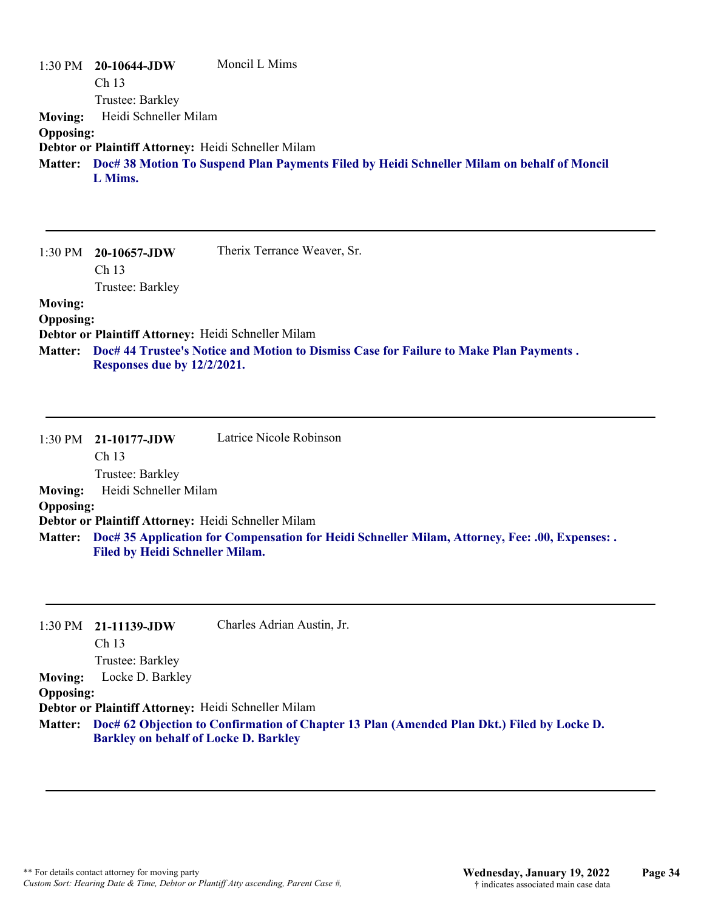|                  | $1:30 \text{ PM}$ 20-10644-JDW                      | Moncil L Mims                                                                                      |
|------------------|-----------------------------------------------------|----------------------------------------------------------------------------------------------------|
|                  | Ch <sub>13</sub>                                    |                                                                                                    |
|                  | Trustee: Barkley                                    |                                                                                                    |
| Moving:          | Heidi Schneller Milam                               |                                                                                                    |
| <b>Opposing:</b> |                                                     |                                                                                                    |
|                  | Debtor or Plaintiff Attorney: Heidi Schneller Milam |                                                                                                    |
|                  |                                                     | Matter: Doc# 38 Motion To Suspend Plan Payments Filed by Heidi Schneller Milam on behalf of Moncil |
|                  | L Mims.                                             |                                                                                                    |

|                  | $1:30 \text{ PM}$ 20-10657-JDW                      | Therix Terrance Weaver, Sr.                                                            |
|------------------|-----------------------------------------------------|----------------------------------------------------------------------------------------|
|                  | Ch <sub>13</sub>                                    |                                                                                        |
|                  | Trustee: Barkley                                    |                                                                                        |
| <b>Moving:</b>   |                                                     |                                                                                        |
| <b>Opposing:</b> |                                                     |                                                                                        |
|                  | Debtor or Plaintiff Attorney: Heidi Schneller Milam |                                                                                        |
| <b>Matter:</b>   | Responses due by 12/2/2021.                         | Doc# 44 Trustee's Notice and Motion to Dismiss Case for Failure to Make Plan Payments. |

|                  | $1:30 \text{ PM}$ 21-10177-JDW                      | Latrice Nicole Robinson                                                                                 |
|------------------|-----------------------------------------------------|---------------------------------------------------------------------------------------------------------|
|                  | Ch <sub>13</sub>                                    |                                                                                                         |
|                  | Trustee: Barkley                                    |                                                                                                         |
| <b>Moving:</b>   | Heidi Schneller Milam                               |                                                                                                         |
| <b>Opposing:</b> |                                                     |                                                                                                         |
|                  | Debtor or Plaintiff Attorney: Heidi Schneller Milam |                                                                                                         |
|                  | <b>Filed by Heidi Schneller Milam.</b>              | Matter: Doc# 35 Application for Compensation for Heidi Schneller Milam, Attorney, Fee: .00, Expenses: . |

|                  | 1:30 PM 21-11139-JDW                                | Charles Adrian Austin, Jr.                                                                         |
|------------------|-----------------------------------------------------|----------------------------------------------------------------------------------------------------|
|                  | Ch <sub>13</sub>                                    |                                                                                                    |
|                  | Trustee: Barkley                                    |                                                                                                    |
| <b>Moving:</b>   | Locke D. Barkley                                    |                                                                                                    |
| <b>Opposing:</b> |                                                     |                                                                                                    |
|                  | Debtor or Plaintiff Attorney: Heidi Schneller Milam |                                                                                                    |
|                  | <b>Barkley on behalf of Locke D. Barkley</b>        | Matter: Doc# 62 Objection to Confirmation of Chapter 13 Plan (Amended Plan Dkt.) Filed by Locke D. |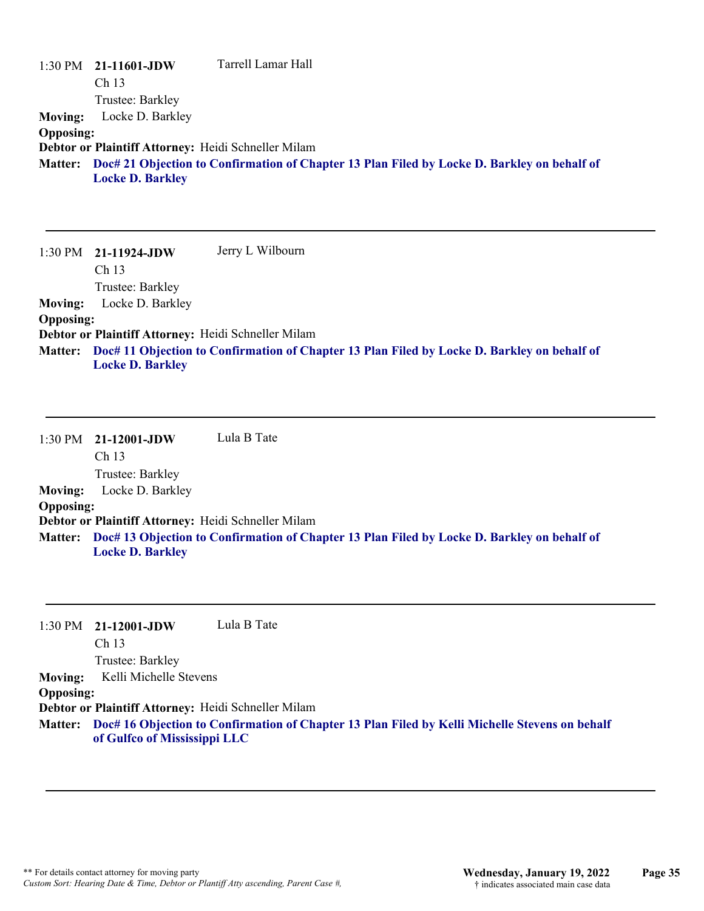|                  | $1:30 \text{ PM}$ 21-11601-JDW                      | Tarrell Lamar Hall                                                                          |
|------------------|-----------------------------------------------------|---------------------------------------------------------------------------------------------|
|                  | Ch <sub>13</sub>                                    |                                                                                             |
|                  | Trustee: Barkley                                    |                                                                                             |
| <b>Moving:</b>   | Locke D. Barkley                                    |                                                                                             |
| <b>Opposing:</b> |                                                     |                                                                                             |
|                  | Debtor or Plaintiff Attorney: Heidi Schneller Milam |                                                                                             |
| <b>Matter:</b>   |                                                     | Doc# 21 Objection to Confirmation of Chapter 13 Plan Filed by Locke D. Barkley on behalf of |
|                  | <b>Locke D. Barkley</b>                             |                                                                                             |

1:30 PM **21-11924-JDW**  Ch 13 Trustee: Barkley Jerry L Wilbourn **Moving:** Locke D. Barkley **Opposing: Debtor or Plaintiff Attorney:** Heidi Schneller Milam **Doc# 11 Objection to Confirmation of Chapter 13 Plan Filed by Locke D. Barkley on behalf of Matter: Locke D. Barkley**

1:30 PM **21-12001-JDW**  Ch 13 Trustee: Barkley Lula B Tate **Moving:** Locke D. Barkley **Opposing: Debtor or Plaintiff Attorney:** Heidi Schneller Milam **Doc# 13 Objection to Confirmation of Chapter 13 Plan Filed by Locke D. Barkley on behalf of Matter: Locke D. Barkley**

1:30 PM **21-12001-JDW**  Ch 13 Trustee: Barkley Lula B Tate **Moving:** Kelli Michelle Stevens **Opposing: Debtor or Plaintiff Attorney:** Heidi Schneller Milam **Doc# 16 Objection to Confirmation of Chapter 13 Plan Filed by Kelli Michelle Stevens on behalf Matter: of Gulfco of Mississippi LLC**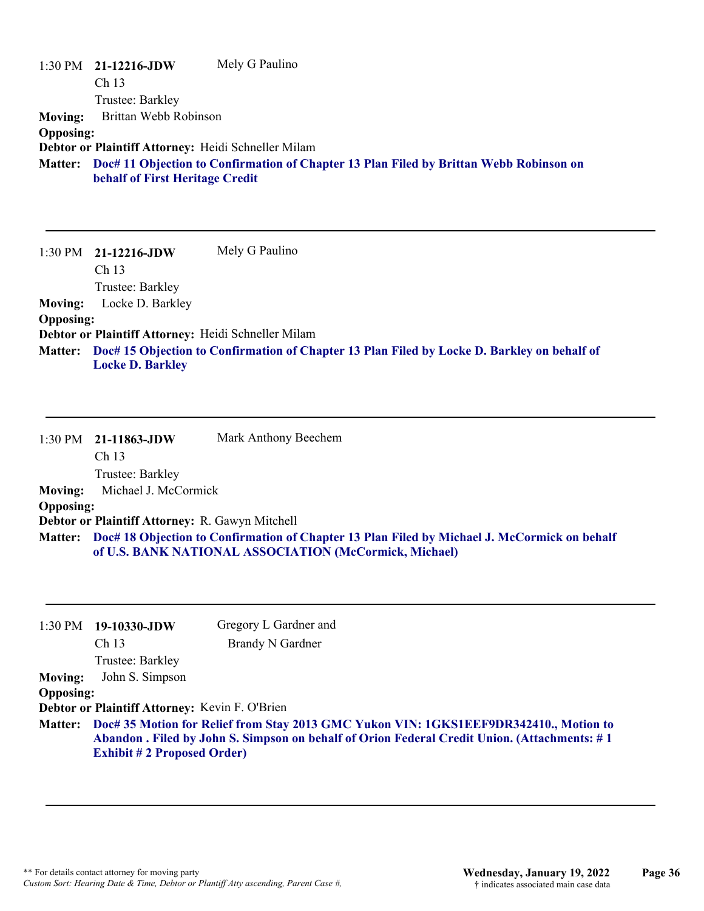|                  | $1:30 \text{ PM}$ 21-12216-JDW                      | Mely G Paulino                                                                                 |
|------------------|-----------------------------------------------------|------------------------------------------------------------------------------------------------|
|                  | Ch <sub>13</sub>                                    |                                                                                                |
|                  | Trustee: Barkley                                    |                                                                                                |
| <b>Moving:</b>   | Brittan Webb Robinson                               |                                                                                                |
| <b>Opposing:</b> |                                                     |                                                                                                |
|                  | Debtor or Plaintiff Attorney: Heidi Schneller Milam |                                                                                                |
|                  | behalf of First Heritage Credit                     | Matter: Doc# 11 Objection to Confirmation of Chapter 13 Plan Filed by Brittan Webb Robinson on |

1:30 PM **21-12216-JDW**  Ch 13 Trustee: Barkley Mely G Paulino **Moving:** Locke D. Barkley **Opposing: Debtor or Plaintiff Attorney:** Heidi Schneller Milam **Doc# 15 Objection to Confirmation of Chapter 13 Plan Filed by Locke D. Barkley on behalf of Matter: Locke D. Barkley**

|                  | 1:30 PM 21-11863-JDW<br>Ch <sub>13</sub>        | Mark Anthony Beechem                                                                                                                                           |
|------------------|-------------------------------------------------|----------------------------------------------------------------------------------------------------------------------------------------------------------------|
|                  | Trustee: Barkley                                |                                                                                                                                                                |
| <b>Moving:</b>   | Michael J. McCormick                            |                                                                                                                                                                |
| <b>Opposing:</b> |                                                 |                                                                                                                                                                |
|                  | Debtor or Plaintiff Attorney: R. Gawyn Mitchell |                                                                                                                                                                |
|                  |                                                 | Matter: Doc# 18 Objection to Confirmation of Chapter 13 Plan Filed by Michael J. McCormick on behalf<br>of U.S. BANK NATIONAL ASSOCIATION (McCormick, Michael) |

|                  | $1:30 \text{ PM}$ 19-10330-JDW                                                                                                                                                                                             | Gregory L Gardner and   |
|------------------|----------------------------------------------------------------------------------------------------------------------------------------------------------------------------------------------------------------------------|-------------------------|
|                  | Ch <sub>13</sub>                                                                                                                                                                                                           | <b>Brandy N Gardner</b> |
|                  | Trustee: Barkley                                                                                                                                                                                                           |                         |
| <b>Moving:</b>   | John S. Simpson                                                                                                                                                                                                            |                         |
| <b>Opposing:</b> |                                                                                                                                                                                                                            |                         |
|                  | Debtor or Plaintiff Attorney: Kevin F. O'Brien                                                                                                                                                                             |                         |
| <b>Matter:</b>   | Doc# 35 Motion for Relief from Stay 2013 GMC Yukon VIN: 1GKS1EEF9DR342410., Motion to<br>Abandon . Filed by John S. Simpson on behalf of Orion Federal Credit Union. (Attachments: #1<br><b>Exhibit #2 Proposed Order)</b> |                         |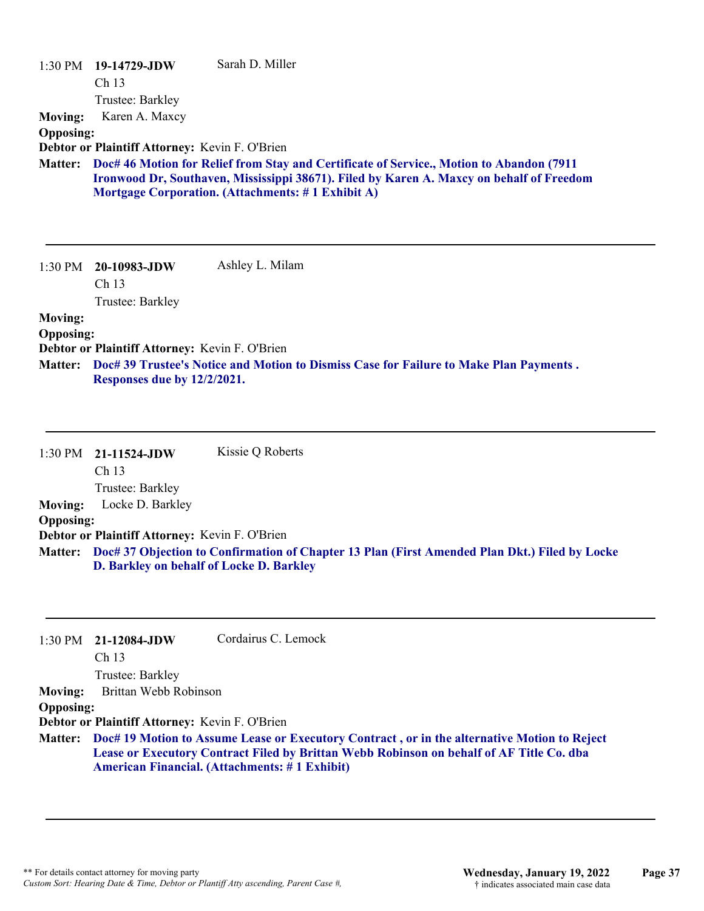|                                                      | $1:30 \text{ PM}$ 19-14729-JDW                                                | Sarah D. Miller                                                                                                                                                                                                                           |
|------------------------------------------------------|-------------------------------------------------------------------------------|-------------------------------------------------------------------------------------------------------------------------------------------------------------------------------------------------------------------------------------------|
|                                                      | Ch <sub>13</sub><br>Trustee: Barkley                                          |                                                                                                                                                                                                                                           |
| <b>Moving:</b>                                       | Karen A. Maxcy                                                                |                                                                                                                                                                                                                                           |
| <b>Opposing:</b>                                     |                                                                               |                                                                                                                                                                                                                                           |
|                                                      | Debtor or Plaintiff Attorney: Kevin F. O'Brien                                |                                                                                                                                                                                                                                           |
| <b>Matter:</b>                                       |                                                                               | Doc# 46 Motion for Relief from Stay and Certificate of Service., Motion to Abandon (7911<br>Ironwood Dr, Southaven, Mississippi 38671). Filed by Karen A. Maxcy on behalf of Freedom<br>Mortgage Corporation. (Attachments: #1 Exhibit A) |
|                                                      | 1:30 PM 20-10983-JDW<br>Ch <sub>13</sub><br>Trustee: Barkley                  | Ashley L. Milam                                                                                                                                                                                                                           |
| <b>Moving:</b><br><b>Opposing:</b><br><b>Matter:</b> | Debtor or Plaintiff Attorney: Kevin F. O'Brien<br>Responses due by 12/2/2021. | Doc# 39 Trustee's Notice and Motion to Dismiss Case for Failure to Make Plan Payments.                                                                                                                                                    |

|                  | 1:30 PM 21-11524-JDW                           | Kissie Q Roberts                                                                                      |
|------------------|------------------------------------------------|-------------------------------------------------------------------------------------------------------|
|                  | Ch <sub>13</sub>                               |                                                                                                       |
|                  | Trustee: Barkley                               |                                                                                                       |
| <b>Moving:</b>   | Locke D. Barkley                               |                                                                                                       |
| <b>Opposing:</b> |                                                |                                                                                                       |
|                  | Debtor or Plaintiff Attorney: Kevin F. O'Brien |                                                                                                       |
|                  | D. Barkley on behalf of Locke D. Barkley       | Matter: Doc# 37 Objection to Confirmation of Chapter 13 Plan (First Amended Plan Dkt.) Filed by Locke |

|                  | $1:30 \text{ PM}$ 21-12084-JDW                 | Cordairus C. Lemock                                                                                                                                                                                                                                      |
|------------------|------------------------------------------------|----------------------------------------------------------------------------------------------------------------------------------------------------------------------------------------------------------------------------------------------------------|
|                  | Ch <sub>13</sub>                               |                                                                                                                                                                                                                                                          |
|                  | Trustee: Barkley                               |                                                                                                                                                                                                                                                          |
| <b>Moving:</b>   | Brittan Webb Robinson                          |                                                                                                                                                                                                                                                          |
| <b>Opposing:</b> |                                                |                                                                                                                                                                                                                                                          |
|                  | Debtor or Plaintiff Attorney: Kevin F. O'Brien |                                                                                                                                                                                                                                                          |
|                  |                                                | Matter: Doc# 19 Motion to Assume Lease or Executory Contract, or in the alternative Motion to Reject<br>Lease or Executory Contract Filed by Brittan Webb Robinson on behalf of AF Title Co. dba<br><b>American Financial.</b> (Attachments: #1 Exhibit) |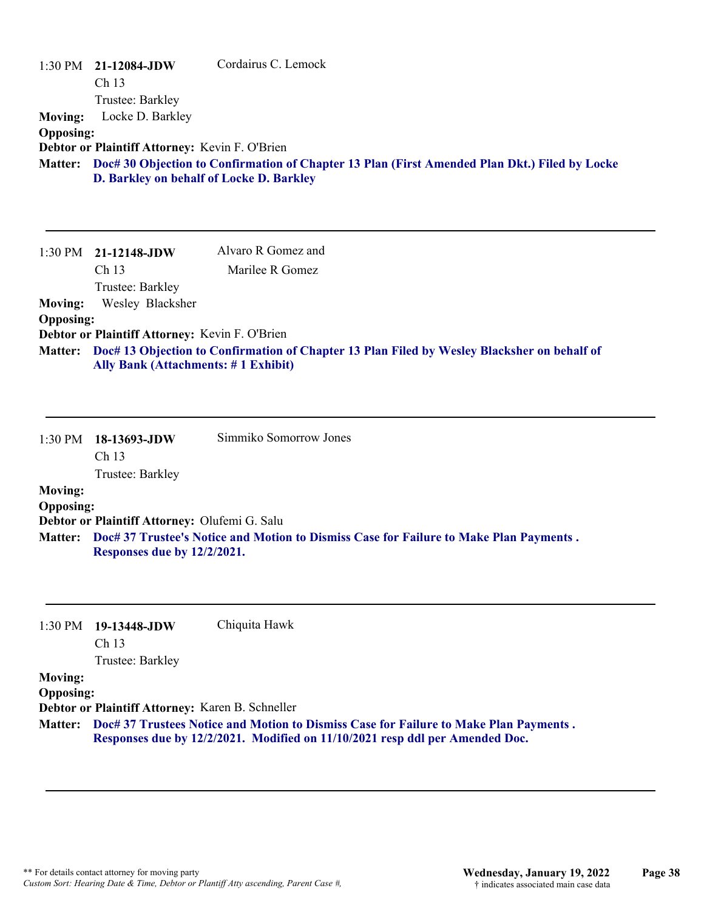| 1:30 PM<br><b>Moving:</b><br><b>Opposing:</b><br><b>Matter:</b> | 21-12084-JDW<br>Ch 13<br>Trustee: Barkley<br>Locke D. Barkley<br>Debtor or Plaintiff Attorney: Kevin F. O'Brien<br>D. Barkley on behalf of Locke D. Barkley | Cordairus C. Lemock<br>Doc# 30 Objection to Confirmation of Chapter 13 Plan (First Amended Plan Dkt.) Filed by Locke |
|-----------------------------------------------------------------|-------------------------------------------------------------------------------------------------------------------------------------------------------------|----------------------------------------------------------------------------------------------------------------------|
|                                                                 | 1:30 PM 21-12148-JDW<br>Ch <sub>13</sub><br>Trustee: Barkley                                                                                                | Alvaro R Gomez and<br>Marilee R Gomez                                                                                |
| <b>Moving:</b>                                                  | Wesley Blacksher                                                                                                                                            |                                                                                                                      |
| <b>Opposing:</b>                                                |                                                                                                                                                             |                                                                                                                      |
| <b>Matter:</b>                                                  | Debtor or Plaintiff Attorney: Kevin F. O'Brien<br><b>Ally Bank (Attachments: #1 Exhibit)</b>                                                                | Doc# 13 Objection to Confirmation of Chapter 13 Plan Filed by Wesley Blacksher on behalf of                          |
| 1:30 PM                                                         | 18-13693-JDW<br>Ch 13<br>Trustee: Barkley                                                                                                                   | Simmiko Somorrow Jones                                                                                               |
| <b>Moving:</b>                                                  |                                                                                                                                                             |                                                                                                                      |
| <b>Opposing:</b>                                                |                                                                                                                                                             |                                                                                                                      |
| <b>Matter:</b>                                                  | Debtor or Plaintiff Attorney: Olufemi G. Salu<br>Responses due by 12/2/2021.                                                                                | Doc# 37 Trustee's Notice and Motion to Dismiss Case for Failure to Make Plan Payments.                               |
| 1:30 PM                                                         | 19-13448-JDW<br>Ch 13                                                                                                                                       | Chiquita Hawk                                                                                                        |

Trustee: Barkley

#### **Moving:**

**Opposing:**

**Debtor or Plaintiff Attorney:** Karen B. Schneller

**Doc# 37 Trustees Notice and Motion to Dismiss Case for Failure to Make Plan Payments . Matter: Responses due by 12/2/2021. Modified on 11/10/2021 resp ddl per Amended Doc.**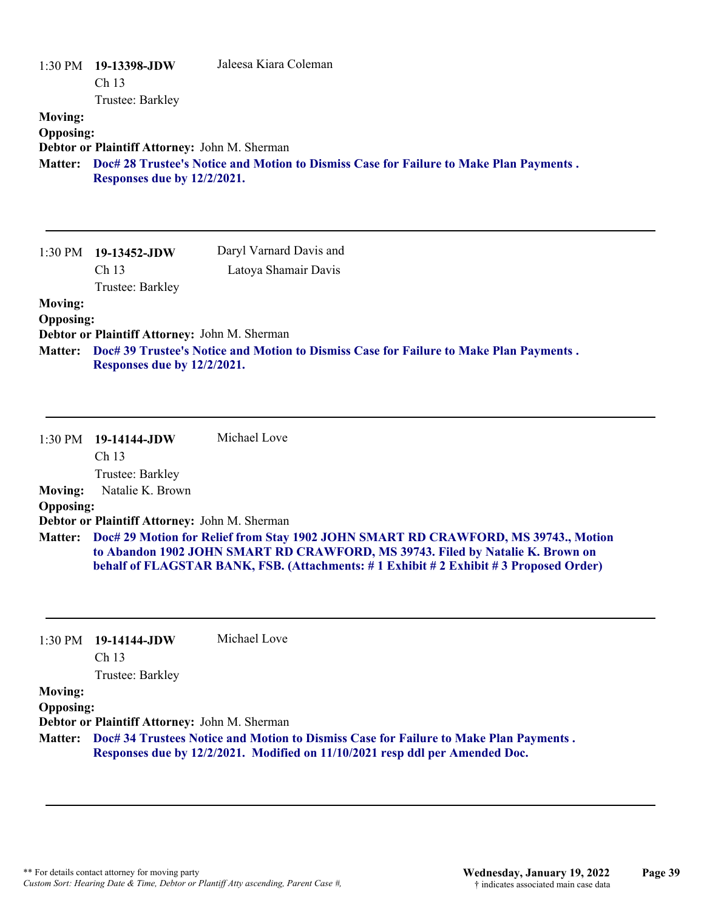| <b>Moving:</b><br><b>Opposing:</b>                   | 1:30 PM 19-13398-JDW<br>Ch 13<br>Trustee: Barkley<br>Debtor or Plaintiff Attorney: John M. Sherman<br>Responses due by 12/2/2021. | Jaleesa Kiara Coleman<br>Matter: Doc# 28 Trustee's Notice and Motion to Dismiss Case for Failure to Make Plan Payments.                                                                                                                                              |
|------------------------------------------------------|-----------------------------------------------------------------------------------------------------------------------------------|----------------------------------------------------------------------------------------------------------------------------------------------------------------------------------------------------------------------------------------------------------------------|
| 1:30 PM                                              | 19-13452-JDW<br>Ch <sub>13</sub><br>Trustee: Barkley                                                                              | Daryl Varnard Davis and<br>Latoya Shamair Davis                                                                                                                                                                                                                      |
| <b>Moving:</b><br><b>Opposing:</b><br><b>Matter:</b> | Debtor or Plaintiff Attorney: John M. Sherman<br>Responses due by 12/2/2021.                                                      | Doc# 39 Trustee's Notice and Motion to Dismiss Case for Failure to Make Plan Payments.                                                                                                                                                                               |
| 1:30 PM                                              | 19-14144-JDW<br>Ch 13<br>Trustee: Barkley                                                                                         | Michael Love                                                                                                                                                                                                                                                         |
| <b>Moving:</b>                                       | Natalie K. Brown                                                                                                                  |                                                                                                                                                                                                                                                                      |
| <b>Opposing:</b>                                     | Debtor or Plaintiff Attorney: John M. Sherman                                                                                     |                                                                                                                                                                                                                                                                      |
|                                                      |                                                                                                                                   | Matter: Doc# 29 Motion for Relief from Stay 1902 JOHN SMART RD CRAWFORD, MS 39743., Motion<br>to Abandon 1902 JOHN SMART RD CRAWFORD, MS 39743. Filed by Natalie K. Brown on<br>behalf of FLAGSTAR BANK, FSB. (Attachments: #1 Exhibit #2 Exhibit #3 Proposed Order) |
| 1:30 PM                                              | 19-14144-JDW<br>Ch 13<br>Trustee: Barkley                                                                                         | Michael Love                                                                                                                                                                                                                                                         |
| <b>Moving:</b><br><b>Opposing:</b>                   | Debtor or Plaintiff Attorney: John M. Sherman                                                                                     |                                                                                                                                                                                                                                                                      |

**Doc# 34 Trustees Notice and Motion to Dismiss Case for Failure to Make Plan Payments . Matter: Responses due by 12/2/2021. Modified on 11/10/2021 resp ddl per Amended Doc.**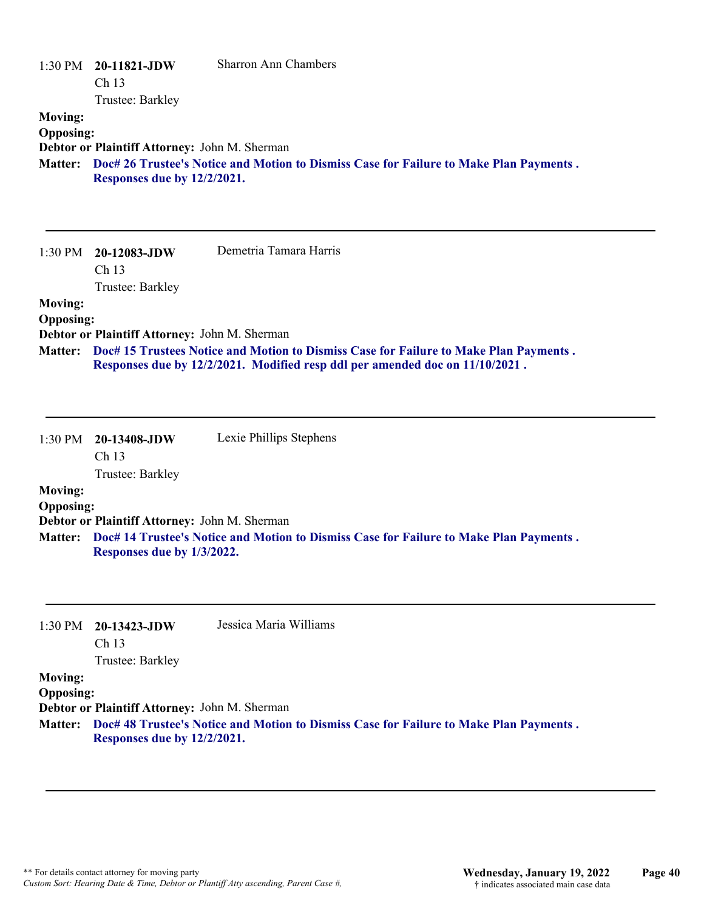| $1:30$ PM<br><b>Moving:</b> | 20-11821-JDW<br>Ch <sub>13</sub><br>Trustee: Barkley                                                                                                                           | <b>Sharron Ann Chambers</b>                                                                                                                                           |  |  |
|-----------------------------|--------------------------------------------------------------------------------------------------------------------------------------------------------------------------------|-----------------------------------------------------------------------------------------------------------------------------------------------------------------------|--|--|
| <b>Opposing:</b>            | Debtor or Plaintiff Attorney: John M. Sherman<br>Matter: Doc# 26 Trustee's Notice and Motion to Dismiss Case for Failure to Make Plan Payments.<br>Responses due by 12/2/2021. |                                                                                                                                                                       |  |  |
| 1:30 PM                     | 20-12083-JDW<br>Ch 13<br>Trustee: Barkley                                                                                                                                      | Demetria Tamara Harris                                                                                                                                                |  |  |
| <b>Moving:</b>              |                                                                                                                                                                                |                                                                                                                                                                       |  |  |
| <b>Opposing:</b>            | Debtor or Plaintiff Attorney: John M. Sherman                                                                                                                                  |                                                                                                                                                                       |  |  |
| Matter:                     |                                                                                                                                                                                | Doc# 15 Trustees Notice and Motion to Dismiss Case for Failure to Make Plan Payments.<br>Responses due by 12/2/2021. Modified resp ddl per amended doc on 11/10/2021. |  |  |
| 1:30 PM                     | 20-13408-JDW<br>Ch <sub>13</sub><br>Trustee: Barkley                                                                                                                           | Lexie Phillips Stephens                                                                                                                                               |  |  |
| <b>Moving:</b>              |                                                                                                                                                                                |                                                                                                                                                                       |  |  |
| <b>Opposing:</b>            | Debtor or Plaintiff Attorney: John M. Sherman                                                                                                                                  |                                                                                                                                                                       |  |  |
| <b>Matter:</b>              | Responses due by 1/3/2022.                                                                                                                                                     | Doc# 14 Trustee's Notice and Motion to Dismiss Case for Failure to Make Plan Payments.                                                                                |  |  |
| $1:30$ PM                   | 20-13423-JDW<br>Ch 13                                                                                                                                                          | Jessica Maria Williams                                                                                                                                                |  |  |
| <b>Moving:</b>              | Trustee: Barkley                                                                                                                                                               |                                                                                                                                                                       |  |  |
| <b>Opposing:</b>            |                                                                                                                                                                                |                                                                                                                                                                       |  |  |
| <b>Matter:</b>              | Debtor or Plaintiff Attorney: John M. Sherman<br>Responses due by 12/2/2021.                                                                                                   | Doc# 48 Trustee's Notice and Motion to Dismiss Case for Failure to Make Plan Payments.                                                                                |  |  |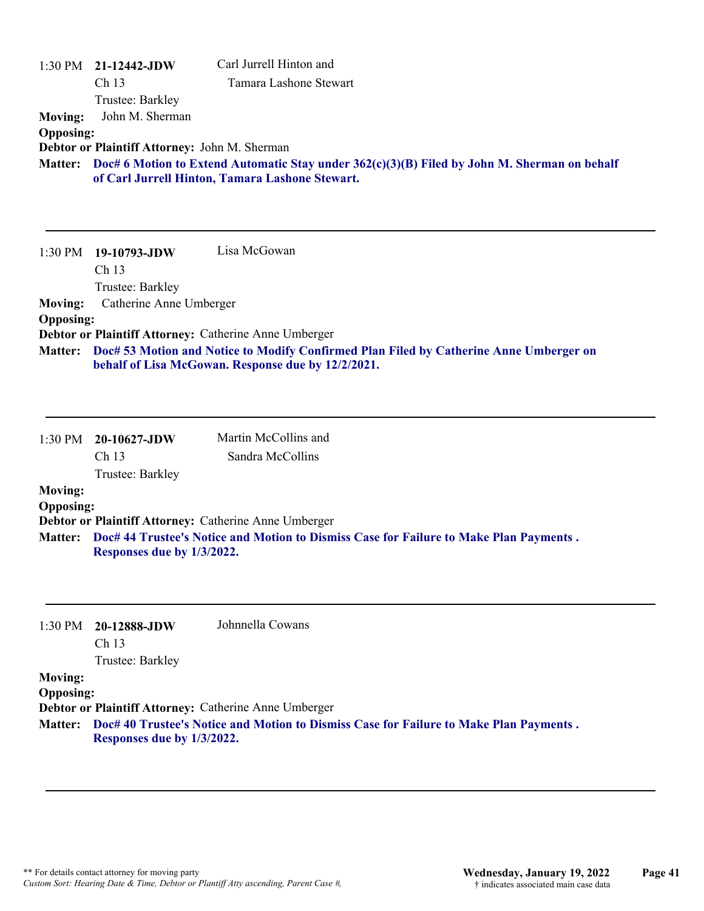| <b>Moving:</b><br><b>Opposing:</b>                   | 1:30 PM 21-12442-JDW<br>Ch 13<br>Trustee: Barkley<br>John M. Sherman<br>Debtor or Plaintiff Attorney: John M. Sherman | Carl Jurrell Hinton and<br>Tamara Lashone Stewart                                                                                                       |
|------------------------------------------------------|-----------------------------------------------------------------------------------------------------------------------|---------------------------------------------------------------------------------------------------------------------------------------------------------|
|                                                      |                                                                                                                       | Matter: Doc# 6 Motion to Extend Automatic Stay under 362(c)(3)(B) Filed by John M. Sherman on behalf<br>of Carl Jurrell Hinton, Tamara Lashone Stewart. |
| 1:30 PM                                              | 19-10793-JDW<br>Ch 13<br>Trustee: Barkley                                                                             | Lisa McGowan                                                                                                                                            |
| <b>Moving:</b>                                       | Catherine Anne Umberger                                                                                               |                                                                                                                                                         |
| <b>Opposing:</b>                                     |                                                                                                                       | Debtor or Plaintiff Attorney: Catherine Anne Umberger                                                                                                   |
| <b>Matter:</b>                                       |                                                                                                                       | Doc# 53 Motion and Notice to Modify Confirmed Plan Filed by Catherine Anne Umberger on<br>behalf of Lisa McGowan. Response due by 12/2/2021.            |
| 1:30 PM                                              | 20-10627-JDW                                                                                                          | Martin McCollins and                                                                                                                                    |
|                                                      | Ch 13<br>Trustee: Barkley                                                                                             | Sandra McCollins                                                                                                                                        |
| <b>Moving:</b><br><b>Opposing:</b>                   |                                                                                                                       |                                                                                                                                                         |
| <b>Matter:</b>                                       | Responses due by 1/3/2022.                                                                                            | Debtor or Plaintiff Attorney: Catherine Anne Umberger<br>Doc# 44 Trustee's Notice and Motion to Dismiss Case for Failure to Make Plan Payments.         |
| 1:30 PM                                              | 20-12888-JDW<br>Ch 13<br>Trustee: Barkley                                                                             | Johnnella Cowans                                                                                                                                        |
| <b>Moving:</b><br><b>Opposing:</b><br><b>Matter:</b> | Responses due by 1/3/2022.                                                                                            | Debtor or Plaintiff Attorney: Catherine Anne Umberger<br>Doc# 40 Trustee's Notice and Motion to Dismiss Case for Failure to Make Plan Payments.         |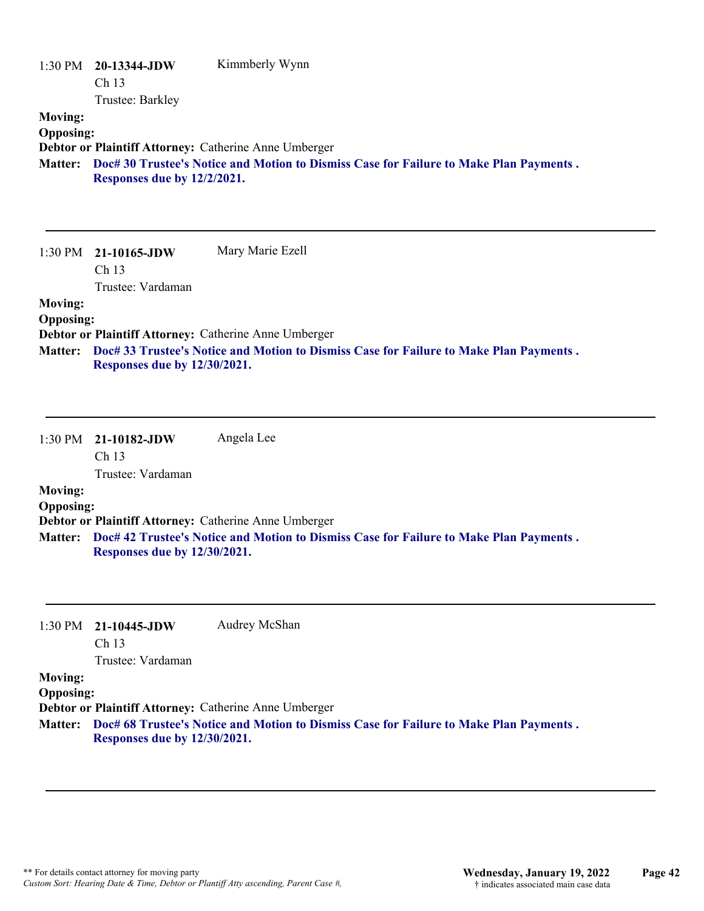|                  | 1:30 PM 20-13344-JDW        | Kimmberly Wynn                                                                         |
|------------------|-----------------------------|----------------------------------------------------------------------------------------|
|                  | Ch <sub>13</sub>            |                                                                                        |
|                  | Trustee: Barkley            |                                                                                        |
| <b>Moving:</b>   |                             |                                                                                        |
| <b>Opposing:</b> |                             |                                                                                        |
|                  |                             | Debtor or Plaintiff Attorney: Catherine Anne Umberger                                  |
| <b>Matter:</b>   |                             | Doc# 30 Trustee's Notice and Motion to Dismiss Case for Failure to Make Plan Payments. |
|                  | Responses due by 12/2/2021. |                                                                                        |
|                  |                             |                                                                                        |
|                  |                             |                                                                                        |
|                  |                             |                                                                                        |
|                  | 1:30 PM 21-10165-JDW        | Mary Marie Ezell                                                                       |
|                  | Ch <sub>13</sub>            |                                                                                        |
|                  | Trustee: Vardaman           |                                                                                        |
| <b>Moving:</b>   |                             |                                                                                        |

#### **Opposing:**

**Debtor or Plaintiff Attorney:** Catherine Anne Umberger

**Doc# 33 Trustee's Notice and Motion to Dismiss Case for Failure to Make Plan Payments . Matter: Responses due by 12/30/2021.**

1:30 PM **21-10182-JDW**  Ch 13 Trustee: Vardaman Angela Lee **Moving:**

#### **Opposing:**

**Debtor or Plaintiff Attorney:** Catherine Anne Umberger

**Doc# 42 Trustee's Notice and Motion to Dismiss Case for Failure to Make Plan Payments . Matter: Responses due by 12/30/2021.**

#### 1:30 PM **21-10445-JDW**  Audrey McShan

Ch 13

Trustee: Vardaman

#### **Moving:**

**Opposing:**

**Debtor or Plaintiff Attorney:** Catherine Anne Umberger

**Doc# 68 Trustee's Notice and Motion to Dismiss Case for Failure to Make Plan Payments . Matter: Responses due by 12/30/2021.**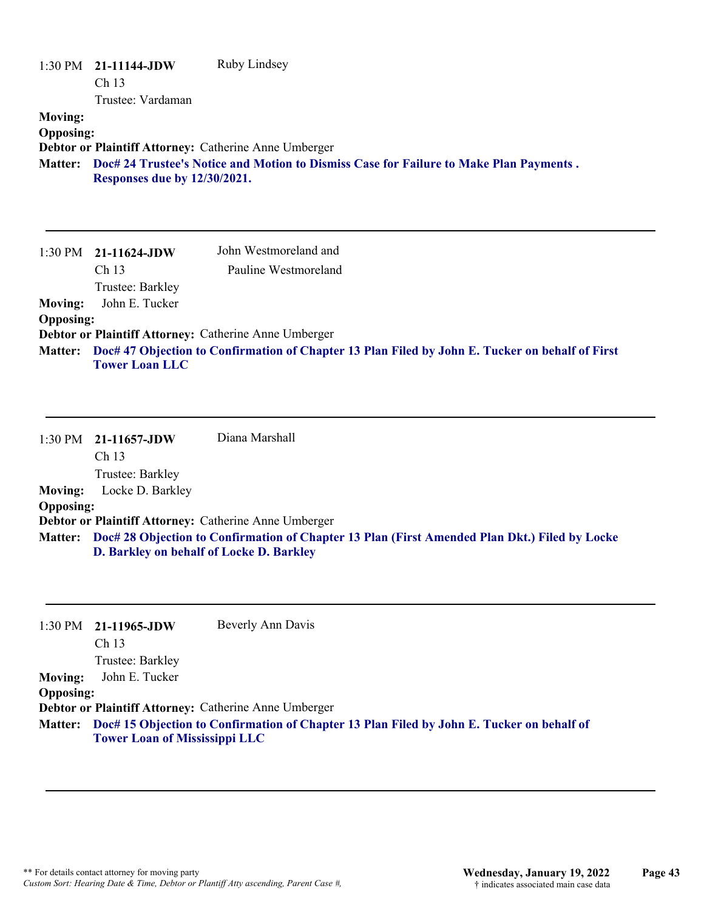|                                                | 1:30 PM 21-11144-JDW | Ruby Lindsey                                                                           |
|------------------------------------------------|----------------------|----------------------------------------------------------------------------------------|
|                                                | Ch <sub>13</sub>     |                                                                                        |
|                                                | Trustee: Vardaman    |                                                                                        |
| <b>Moving:</b>                                 |                      |                                                                                        |
| <b>Opposing:</b>                               |                      |                                                                                        |
|                                                |                      | Debtor or Plaintiff Attorney: Catherine Anne Umberger                                  |
| <b>Matter:</b><br>Responses due by 12/30/2021. |                      | Doc# 24 Trustee's Notice and Motion to Dismiss Case for Failure to Make Plan Payments. |
|                                                |                      |                                                                                        |
|                                                |                      |                                                                                        |
|                                                |                      |                                                                                        |
|                                                |                      |                                                                                        |

|                  | $1:30 \text{ PM}$ 21-11624-JDW | John Westmoreland and                                                                                   |
|------------------|--------------------------------|---------------------------------------------------------------------------------------------------------|
|                  | Ch <sub>13</sub>               | Pauline Westmoreland                                                                                    |
|                  | Trustee: Barkley               |                                                                                                         |
| <b>Moving:</b>   | John E. Tucker                 |                                                                                                         |
| <b>Opposing:</b> |                                |                                                                                                         |
|                  |                                | Debtor or Plaintiff Attorney: Catherine Anne Umberger                                                   |
|                  | <b>Tower Loan LLC</b>          | Matter: Doc# 47 Objection to Confirmation of Chapter 13 Plan Filed by John E. Tucker on behalf of First |

|                  | $1:30 \text{ PM}$ 21-11657-JDW                        | Diana Marshall                                                                                        |
|------------------|-------------------------------------------------------|-------------------------------------------------------------------------------------------------------|
|                  | Ch <sub>13</sub>                                      |                                                                                                       |
|                  | Trustee: Barkley                                      |                                                                                                       |
| Moving:          | Locke D. Barkley                                      |                                                                                                       |
| <b>Opposing:</b> |                                                       |                                                                                                       |
|                  | Debtor or Plaintiff Attorney: Catherine Anne Umberger |                                                                                                       |
|                  |                                                       | Matter: Doc# 28 Objection to Confirmation of Chapter 13 Plan (First Amended Plan Dkt.) Filed by Locke |
|                  | D. Barkley on behalf of Locke D. Barkley              |                                                                                                       |

|                  | $1:30 \text{ PM}$ 21-11965-JDW       | Beverly Ann Davis                                                                                 |
|------------------|--------------------------------------|---------------------------------------------------------------------------------------------------|
|                  | Ch <sub>13</sub>                     |                                                                                                   |
|                  | Trustee: Barkley                     |                                                                                                   |
| <b>Moving:</b>   | John E. Tucker                       |                                                                                                   |
| <b>Opposing:</b> |                                      |                                                                                                   |
|                  |                                      | <b>Debtor or Plaintiff Attorney: Catherine Anne Umberger</b>                                      |
|                  | <b>Tower Loan of Mississippi LLC</b> | Matter: Doc# 15 Objection to Confirmation of Chapter 13 Plan Filed by John E. Tucker on behalf of |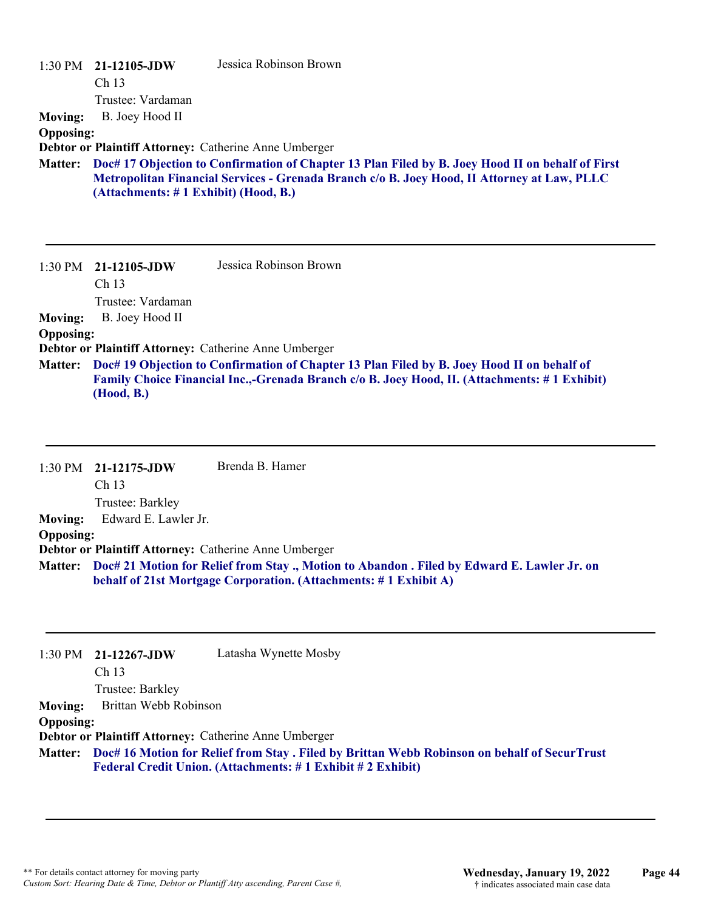| <b>Moving:</b>                     | $1:30$ PM $21-12105$ -JDW<br>Ch <sub>13</sub><br>Trustee: Vardaman<br>B. Joey Hood II | Jessica Robinson Brown                                                                                                                                                                                                                                     |
|------------------------------------|---------------------------------------------------------------------------------------|------------------------------------------------------------------------------------------------------------------------------------------------------------------------------------------------------------------------------------------------------------|
| <b>Opposing:</b>                   |                                                                                       |                                                                                                                                                                                                                                                            |
|                                    |                                                                                       | Debtor or Plaintiff Attorney: Catherine Anne Umberger                                                                                                                                                                                                      |
| <b>Matter:</b>                     | (Attachments: #1 Exhibit) (Hood, B.)                                                  | Doc# 17 Objection to Confirmation of Chapter 13 Plan Filed by B. Joey Hood II on behalf of First<br>Metropolitan Financial Services - Grenada Branch c/o B. Joey Hood, II Attorney at Law, PLLC                                                            |
|                                    | 1:30 PM 21-12105-JDW<br>Ch <sub>13</sub><br>Trustee: Vardaman                         | Jessica Robinson Brown                                                                                                                                                                                                                                     |
| <b>Moving:</b>                     | B. Joey Hood II                                                                       |                                                                                                                                                                                                                                                            |
| <b>Opposing:</b><br><b>Matter:</b> | (Hood, B.)                                                                            | Debtor or Plaintiff Attorney: Catherine Anne Umberger<br>Doc# 19 Objection to Confirmation of Chapter 13 Plan Filed by B. Joey Hood II on behalf of<br><b>Family Choice Financial Inc.,-Grenada Branch c/o B. Joey Hood, II. (Attachments: #1 Exhibit)</b> |

|                  | 1:30 PM 21-12175-JDW                                  | Brenda B. Hamer                                                                                                                                                         |
|------------------|-------------------------------------------------------|-------------------------------------------------------------------------------------------------------------------------------------------------------------------------|
|                  | Ch <sub>13</sub>                                      |                                                                                                                                                                         |
|                  | Trustee: Barkley                                      |                                                                                                                                                                         |
| <b>Moving:</b>   | Edward E. Lawler Jr.                                  |                                                                                                                                                                         |
| <b>Opposing:</b> |                                                       |                                                                                                                                                                         |
|                  | Debtor or Plaintiff Attorney: Catherine Anne Umberger |                                                                                                                                                                         |
|                  |                                                       | Matter: Doc# 21 Motion for Relief from Stay ., Motion to Abandon . Filed by Edward E. Lawler Jr. on<br>behalf of 21st Mortgage Corporation. (Attachments: #1 Exhibit A) |

|                  | $1:30 \text{ PM}$ 21-12267-JDW | Latasha Wynette Mosby                                                                                                                                              |
|------------------|--------------------------------|--------------------------------------------------------------------------------------------------------------------------------------------------------------------|
|                  | Ch <sub>13</sub>               |                                                                                                                                                                    |
|                  | Trustee: Barkley               |                                                                                                                                                                    |
| <b>Moving:</b>   | Brittan Webb Robinson          |                                                                                                                                                                    |
| <b>Opposing:</b> |                                |                                                                                                                                                                    |
|                  |                                | Debtor or Plaintiff Attorney: Catherine Anne Umberger                                                                                                              |
|                  |                                | Matter: Doc# 16 Motion for Relief from Stay . Filed by Brittan Webb Robinson on behalf of SecurTrust<br>Federal Credit Union. (Attachments: #1 Exhibit #2 Exhibit) |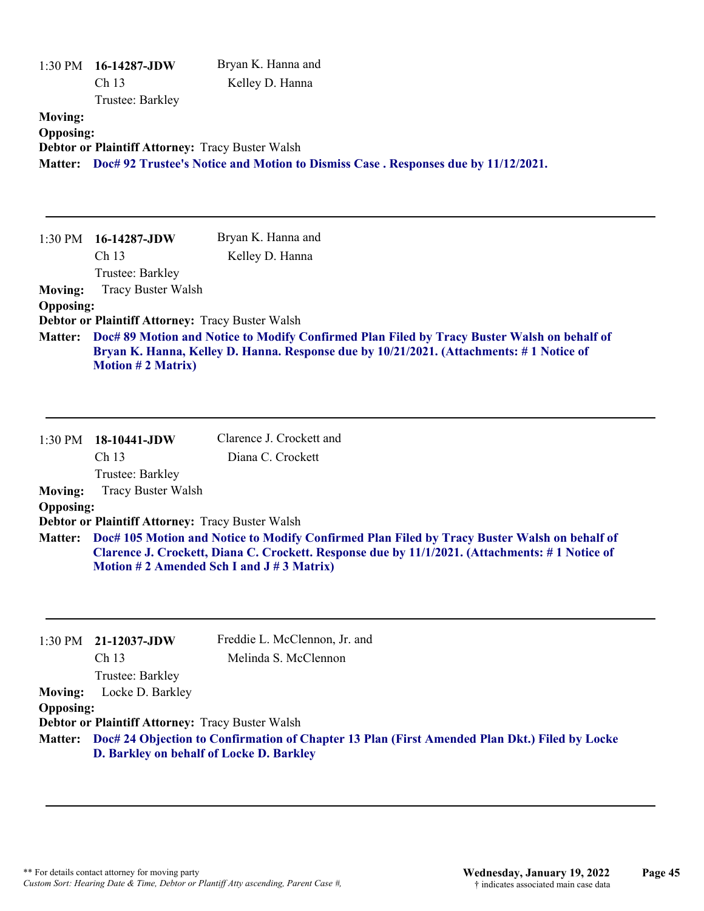|                                    | 1:30 PM 16-14287-JDW<br>Ch 13<br>Trustee: Barkley                                            | Bryan K. Hanna and<br>Kelley D. Hanna                                                                                                                                                                                                      |
|------------------------------------|----------------------------------------------------------------------------------------------|--------------------------------------------------------------------------------------------------------------------------------------------------------------------------------------------------------------------------------------------|
| <b>Moving:</b><br><b>Opposing:</b> | Debtor or Plaintiff Attorney: Tracy Buster Walsh                                             | Matter: Doc# 92 Trustee's Notice and Motion to Dismiss Case . Responses due by 11/12/2021.                                                                                                                                                 |
| 1:30 PM                            | 16-14287-JDW                                                                                 | Bryan K. Hanna and                                                                                                                                                                                                                         |
|                                    | Ch 13<br>Trustee: Barkley                                                                    | Kelley D. Hanna                                                                                                                                                                                                                            |
| <b>Moving:</b>                     | <b>Tracy Buster Walsh</b>                                                                    |                                                                                                                                                                                                                                            |
| <b>Opposing:</b>                   |                                                                                              |                                                                                                                                                                                                                                            |
|                                    | Debtor or Plaintiff Attorney: Tracy Buster Walsh                                             |                                                                                                                                                                                                                                            |
| <b>Matter:</b>                     | <b>Motion #2 Matrix)</b>                                                                     | Doc# 89 Motion and Notice to Modify Confirmed Plan Filed by Tracy Buster Walsh on behalf of<br>Bryan K. Hanna, Kelley D. Hanna. Response due by 10/21/2021. (Attachments: #1 Notice of                                                     |
| 1:30 PM                            | 18-10441-JDW                                                                                 | Clarence J. Crockett and                                                                                                                                                                                                                   |
|                                    | Ch 13                                                                                        | Diana C. Crockett                                                                                                                                                                                                                          |
|                                    | Trustee: Barkley                                                                             |                                                                                                                                                                                                                                            |
| <b>Moving:</b>                     | <b>Tracy Buster Walsh</b>                                                                    |                                                                                                                                                                                                                                            |
| <b>Opposing:</b>                   |                                                                                              |                                                                                                                                                                                                                                            |
| <b>Matter:</b>                     | Debtor or Plaintiff Attorney: Tracy Buster Walsh                                             | Doc# 105 Motion and Notice to Modify Confirmed Plan Filed by Tracy Buster Walsh on behalf of<br>Clarence J. Crockett, Diana C. Crockett. Response due by 11/1/2021. (Attachments: #1 Notice of<br>Motion #2 Amended Sch I and J #3 Matrix) |
| 1:30 PM                            | 21-12037-JDW                                                                                 | Freddie L. McClennon, Jr. and                                                                                                                                                                                                              |
|                                    | Ch 13                                                                                        | Melinda S. McClennon                                                                                                                                                                                                                       |
|                                    | Trustee: Barkley                                                                             |                                                                                                                                                                                                                                            |
| <b>Moving:</b>                     | Locke D. Barkley                                                                             |                                                                                                                                                                                                                                            |
| <b>Opposing:</b>                   |                                                                                              |                                                                                                                                                                                                                                            |
| <b>Matter:</b>                     | Debtor or Plaintiff Attorney: Tracy Buster Walsh<br>D. Barkley on behalf of Locke D. Barkley | Doc# 24 Objection to Confirmation of Chapter 13 Plan (First Amended Plan Dkt.) Filed by Locke                                                                                                                                              |
|                                    |                                                                                              |                                                                                                                                                                                                                                            |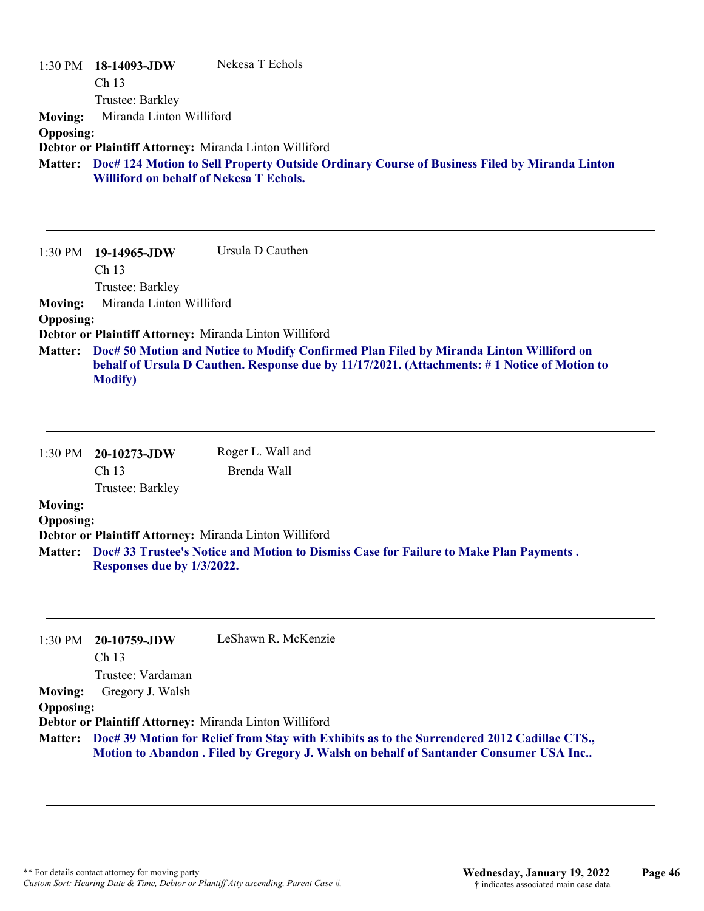|                  | 1:30 PM 18-14093-JDW                                                                         | Nekesa T Echols                                        |  |
|------------------|----------------------------------------------------------------------------------------------|--------------------------------------------------------|--|
|                  | Ch <sub>13</sub>                                                                             |                                                        |  |
|                  | Trustee: Barkley                                                                             |                                                        |  |
| <b>Moving:</b>   | Miranda Linton Williford                                                                     |                                                        |  |
| <b>Opposing:</b> |                                                                                              |                                                        |  |
|                  |                                                                                              | Debtor or Plaintiff Attorney: Miranda Linton Williford |  |
| <b>Matter:</b>   | Doc# 124 Motion to Sell Property Outside Ordinary Course of Business Filed by Miranda Linton |                                                        |  |
|                  | <b>Williford on behalf of Nekesa T Echols.</b>                                               |                                                        |  |
|                  |                                                                                              |                                                        |  |
|                  |                                                                                              |                                                        |  |
|                  |                                                                                              |                                                        |  |
| 1:30 PM          | 19-14965-JDW                                                                                 | Ursula D Cauthen                                       |  |
|                  | Ch <sub>13</sub>                                                                             |                                                        |  |
|                  | Trustee: Barkley                                                                             |                                                        |  |
| <b>Moving:</b>   | Miranda Linton Williford                                                                     |                                                        |  |

**Opposing:**

**Debtor or Plaintiff Attorney:** Miranda Linton Williford

**Doc# 50 Motion and Notice to Modify Confirmed Plan Filed by Miranda Linton Williford on Matter: behalf of Ursula D Cauthen. Response due by 11/17/2021. (Attachments: # 1 Notice of Motion to Modify)**

|                  | $1:30$ PM $20-10273$ -JDW                                                              | Roger L. Wall and                                      |  |
|------------------|----------------------------------------------------------------------------------------|--------------------------------------------------------|--|
|                  | Ch <sub>13</sub>                                                                       | Brenda Wall                                            |  |
|                  | Trustee: Barkley                                                                       |                                                        |  |
| <b>Moving:</b>   |                                                                                        |                                                        |  |
| <b>Opposing:</b> |                                                                                        |                                                        |  |
|                  |                                                                                        | Debtor or Plaintiff Attorney: Miranda Linton Williford |  |
| <b>Matter:</b>   | Doc# 33 Trustee's Notice and Motion to Dismiss Case for Failure to Make Plan Payments. |                                                        |  |
|                  | Responses due by 1/3/2022.                                                             |                                                        |  |

|                  | $1:30 \text{ PM}$ 20-10759-JDW | LeShawn R. McKenzie                                                                                 |
|------------------|--------------------------------|-----------------------------------------------------------------------------------------------------|
|                  | Ch <sub>13</sub>               |                                                                                                     |
|                  | Trustee: Vardaman              |                                                                                                     |
| <b>Moving:</b>   | Gregory J. Walsh               |                                                                                                     |
| <b>Opposing:</b> |                                |                                                                                                     |
|                  |                                | Debtor or Plaintiff Attorney: Miranda Linton Williford                                              |
|                  |                                | Matter: Doc# 39 Motion for Relief from Stay with Exhibits as to the Surrendered 2012 Cadillac CTS., |
|                  |                                | Motion to Abandon . Filed by Gregory J. Walsh on behalf of Santander Consumer USA Inc               |